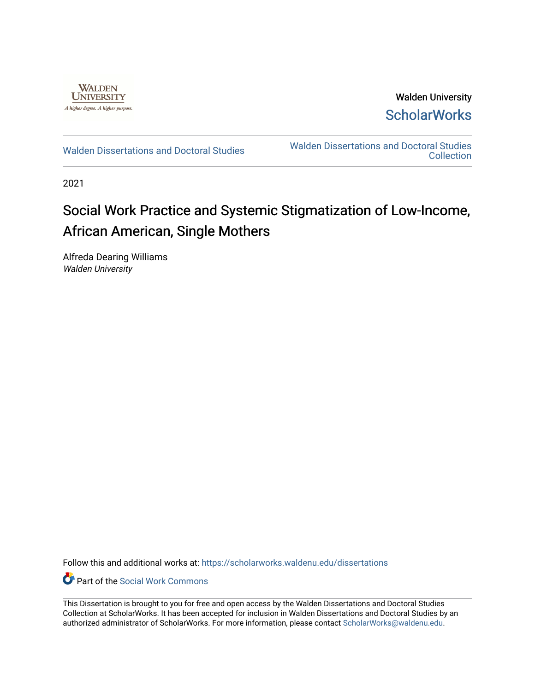

Walden University **ScholarWorks** 

[Walden Dissertations and Doctoral Studies](https://scholarworks.waldenu.edu/dissertations) Walden Dissertations and Doctoral Studies **Collection** 

2021

# Social Work Practice and Systemic Stigmatization of Low-Income, African American, Single Mothers

Alfreda Dearing Williams Walden University

Follow this and additional works at: [https://scholarworks.waldenu.edu/dissertations](https://scholarworks.waldenu.edu/dissertations?utm_source=scholarworks.waldenu.edu%2Fdissertations%2F10964&utm_medium=PDF&utm_campaign=PDFCoverPages)

**C** Part of the [Social Work Commons](http://network.bepress.com/hgg/discipline/713?utm_source=scholarworks.waldenu.edu%2Fdissertations%2F10964&utm_medium=PDF&utm_campaign=PDFCoverPages)

This Dissertation is brought to you for free and open access by the Walden Dissertations and Doctoral Studies Collection at ScholarWorks. It has been accepted for inclusion in Walden Dissertations and Doctoral Studies by an authorized administrator of ScholarWorks. For more information, please contact [ScholarWorks@waldenu.edu](mailto:ScholarWorks@waldenu.edu).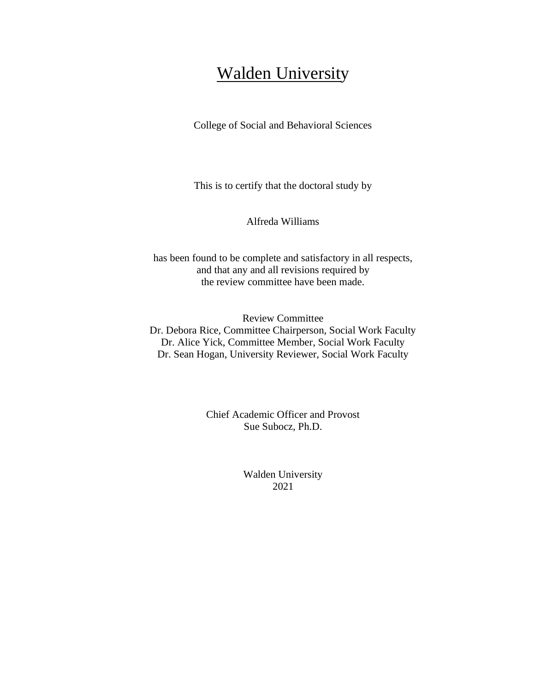# Walden University

College of Social and Behavioral Sciences

This is to certify that the doctoral study by

Alfreda Williams

has been found to be complete and satisfactory in all respects, and that any and all revisions required by the review committee have been made.

Review Committee Dr. Debora Rice, Committee Chairperson, Social Work Faculty Dr. Alice Yick, Committee Member, Social Work Faculty Dr. Sean Hogan, University Reviewer, Social Work Faculty

> Chief Academic Officer and Provost Sue Subocz, Ph.D.

> > Walden University 2021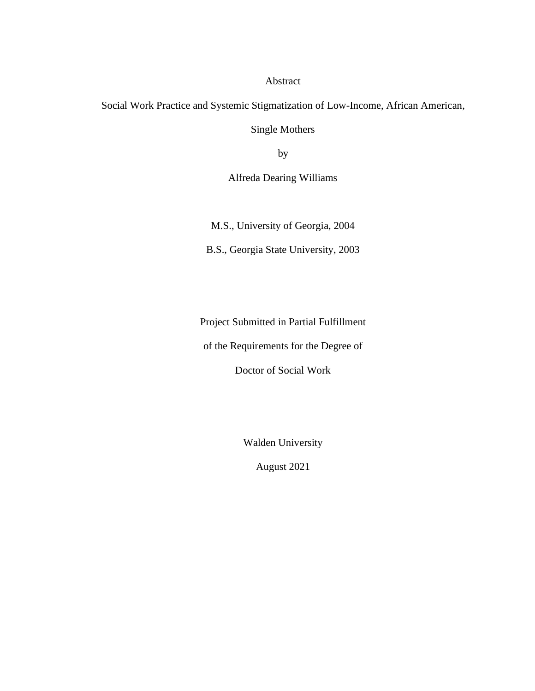## Abstract

Social Work Practice and Systemic Stigmatization of Low-Income, African American,

Single Mothers

by

Alfreda Dearing Williams

M.S., University of Georgia, 2004

B.S., Georgia State University, 2003

Project Submitted in Partial Fulfillment

of the Requirements for the Degree of

Doctor of Social Work

Walden University

August 2021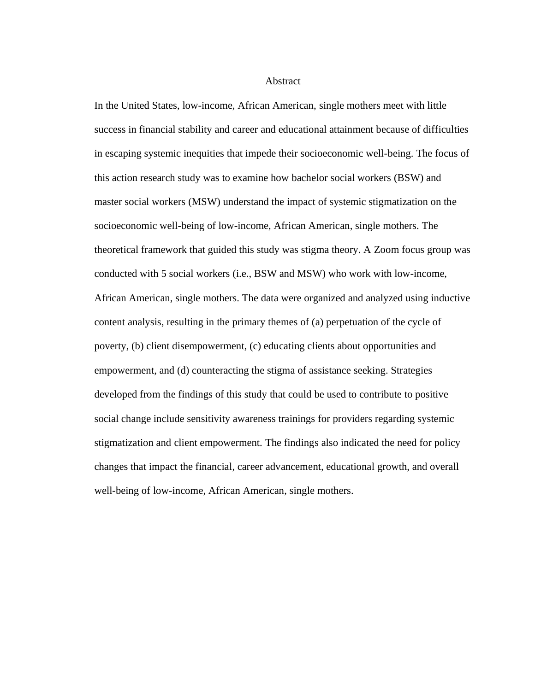Abstract

In the United States, low-income, African American, single mothers meet with little success in financial stability and career and educational attainment because of difficulties in escaping systemic inequities that impede their socioeconomic well-being. The focus of this action research study was to examine how bachelor social workers (BSW) and master social workers (MSW) understand the impact of systemic stigmatization on the socioeconomic well-being of low-income, African American, single mothers. The theoretical framework that guided this study was stigma theory. A Zoom focus group was conducted with 5 social workers (i.e., BSW and MSW) who work with low-income, African American, single mothers. The data were organized and analyzed using inductive content analysis, resulting in the primary themes of (a) perpetuation of the cycle of poverty, (b) client disempowerment, (c) educating clients about opportunities and empowerment, and (d) counteracting the stigma of assistance seeking. Strategies developed from the findings of this study that could be used to contribute to positive social change include sensitivity awareness trainings for providers regarding systemic stigmatization and client empowerment. The findings also indicated the need for policy changes that impact the financial, career advancement, educational growth, and overall well-being of low-income, African American, single mothers.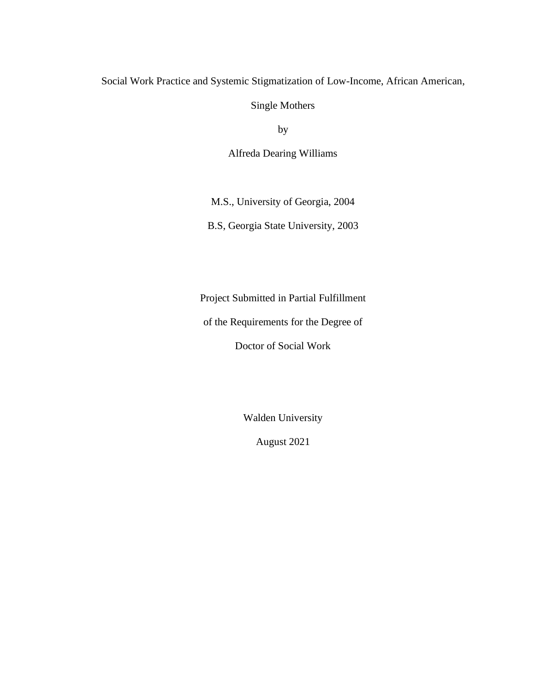# Social Work Practice and Systemic Stigmatization of Low-Income, African American,

Single Mothers

by

Alfreda Dearing Williams

M.S., University of Georgia, 2004

B.S, Georgia State University, 2003

Project Submitted in Partial Fulfillment

of the Requirements for the Degree of

Doctor of Social Work

Walden University

August 2021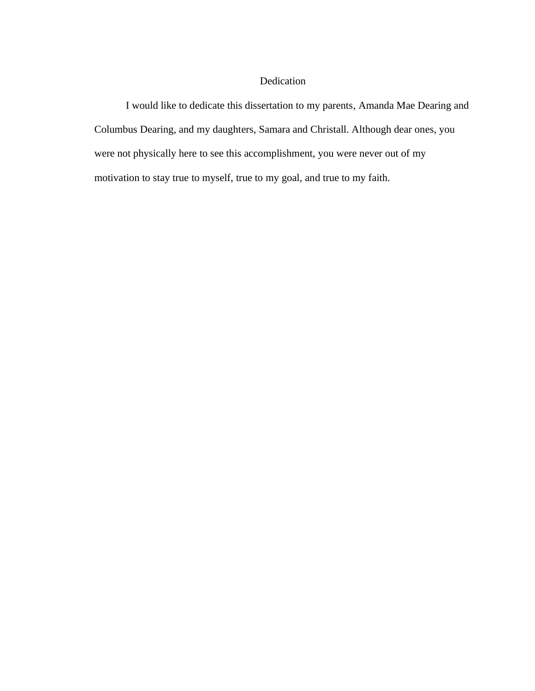# Dedication

I would like to dedicate this dissertation to my parents, Amanda Mae Dearing and Columbus Dearing, and my daughters, Samara and Christall. Although dear ones, you were not physically here to see this accomplishment, you were never out of my motivation to stay true to myself, true to my goal, and true to my faith.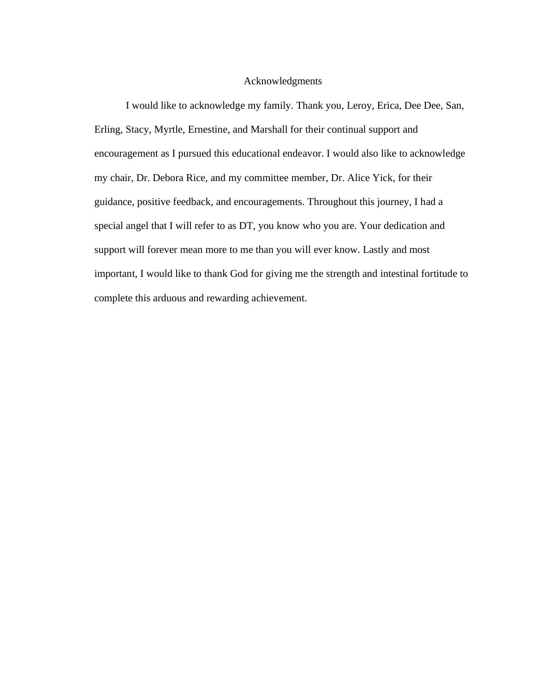## Acknowledgments

I would like to acknowledge my family. Thank you, Leroy, Erica, Dee Dee, San, Erling, Stacy, Myrtle, Ernestine, and Marshall for their continual support and encouragement as I pursued this educational endeavor. I would also like to acknowledge my chair, Dr. Debora Rice, and my committee member, Dr. Alice Yick, for their guidance, positive feedback, and encouragements. Throughout this journey, I had a special angel that I will refer to as DT, you know who you are. Your dedication and support will forever mean more to me than you will ever know. Lastly and most important, I would like to thank God for giving me the strength and intestinal fortitude to complete this arduous and rewarding achievement.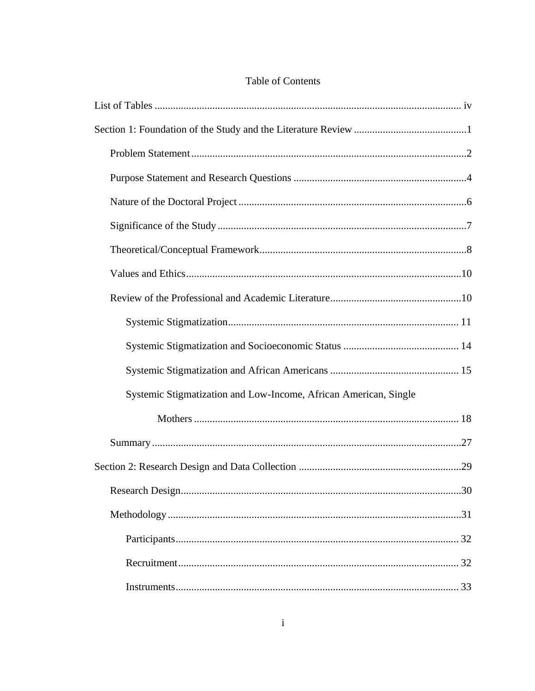|  | <b>Table of Contents</b> |
|--|--------------------------|
|  |                          |

| Systemic Stigmatization and Low-Income, African American, Single |
|------------------------------------------------------------------|
|                                                                  |
|                                                                  |
|                                                                  |
|                                                                  |
|                                                                  |
|                                                                  |
|                                                                  |
|                                                                  |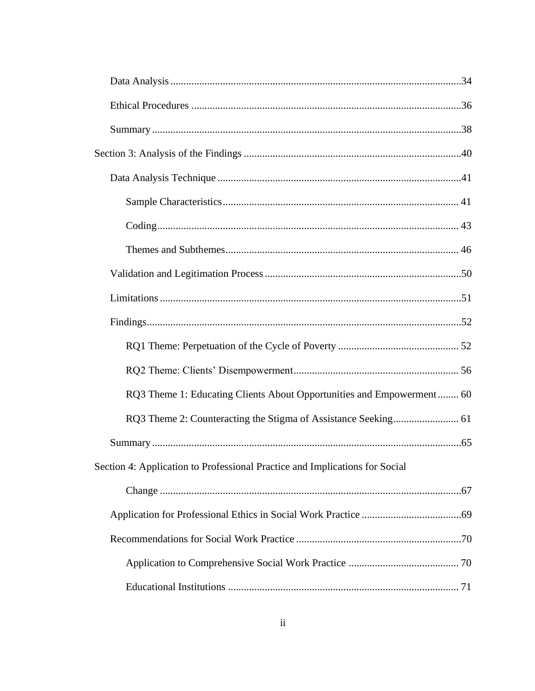| RQ3 Theme 1: Educating Clients About Opportunities and Empowerment 60       |
|-----------------------------------------------------------------------------|
|                                                                             |
|                                                                             |
| Section 4: Application to Professional Practice and Implications for Social |
|                                                                             |
|                                                                             |
|                                                                             |
|                                                                             |
|                                                                             |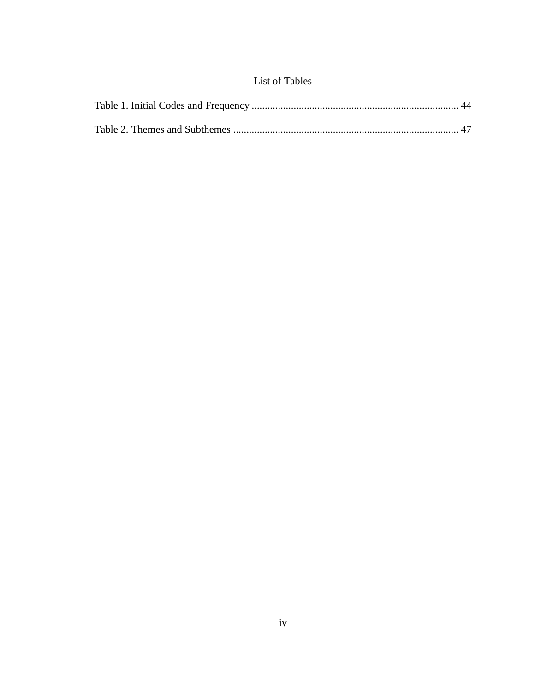# List of Tables

<span id="page-10-0"></span>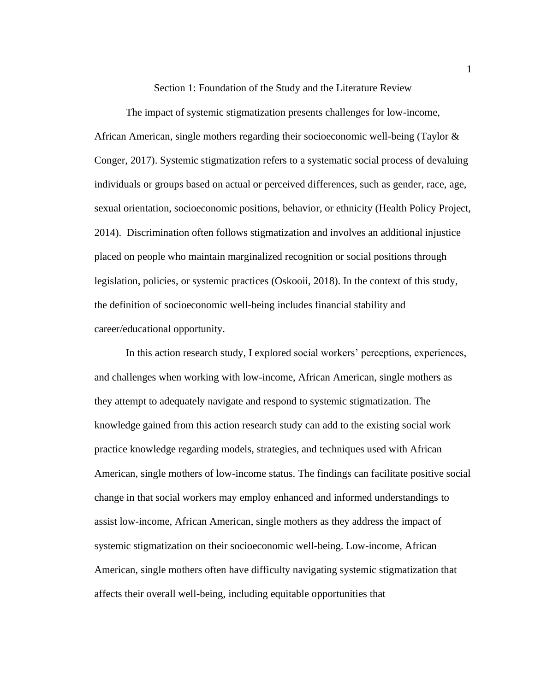Section 1: Foundation of the Study and the Literature Review

<span id="page-11-0"></span>The impact of systemic stigmatization presents challenges for low-income, African American, single mothers regarding their socioeconomic well-being (Taylor & Conger, 2017). Systemic stigmatization refers to a systematic social process of devaluing individuals or groups based on actual or perceived differences, such as gender, race, age, sexual orientation, socioeconomic positions, behavior, or ethnicity (Health Policy Project, 2014). Discrimination often follows stigmatization and involves an additional injustice placed on people who maintain marginalized recognition or social positions through legislation, policies, or systemic practices (Oskooii, 2018). In the context of this study, the definition of socioeconomic well-being includes financial stability and career/educational opportunity.

In this action research study, I explored social workers' perceptions, experiences, and challenges when working with low-income, African American, single mothers as they attempt to adequately navigate and respond to systemic stigmatization. The knowledge gained from this action research study can add to the existing social work practice knowledge regarding models, strategies, and techniques used with African American, single mothers of low-income status. The findings can facilitate positive social change in that social workers may employ enhanced and informed understandings to assist low-income, African American, single mothers as they address the impact of systemic stigmatization on their socioeconomic well-being. Low-income, African American, single mothers often have difficulty navigating systemic stigmatization that affects their overall well-being, including equitable opportunities that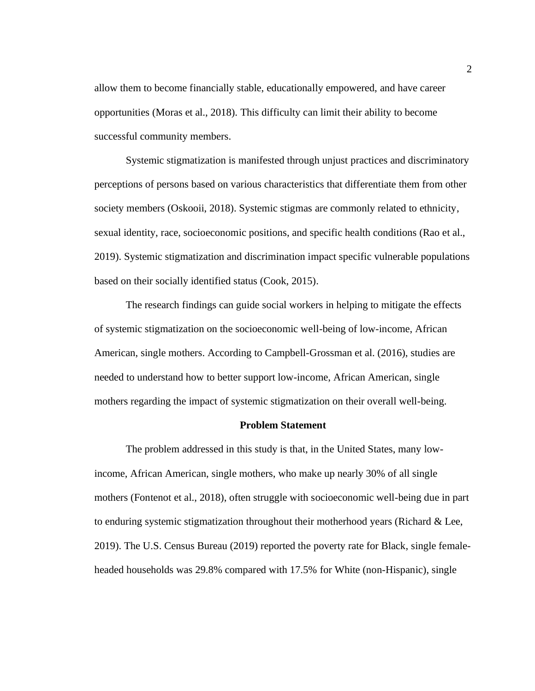allow them to become financially stable, educationally empowered, and have career opportunities (Moras et al., 2018). This difficulty can limit their ability to become successful community members.

Systemic stigmatization is manifested through unjust practices and discriminatory perceptions of persons based on various characteristics that differentiate them from other society members (Oskooii, 2018). Systemic stigmas are commonly related to ethnicity, sexual identity, race, socioeconomic positions, and specific health conditions (Rao et al., 2019). Systemic stigmatization and discrimination impact specific vulnerable populations based on their socially identified status (Cook, 2015).

The research findings can guide social workers in helping to mitigate the effects of systemic stigmatization on the socioeconomic well-being of low-income, African American, single mothers. According to Campbell-Grossman et al. (2016), studies are needed to understand how to better support low-income, African American, single mothers regarding the impact of systemic stigmatization on their overall well-being.

#### **Problem Statement**

<span id="page-12-0"></span>The problem addressed in this study is that, in the United States, many lowincome, African American, single mothers, who make up nearly 30% of all single mothers (Fontenot et al., 2018), often struggle with socioeconomic well-being due in part to enduring systemic stigmatization throughout their motherhood years (Richard & Lee, 2019). The U.S. Census Bureau (2019) reported the poverty rate for Black, single femaleheaded households was 29.8% compared with 17.5% for White (non-Hispanic), single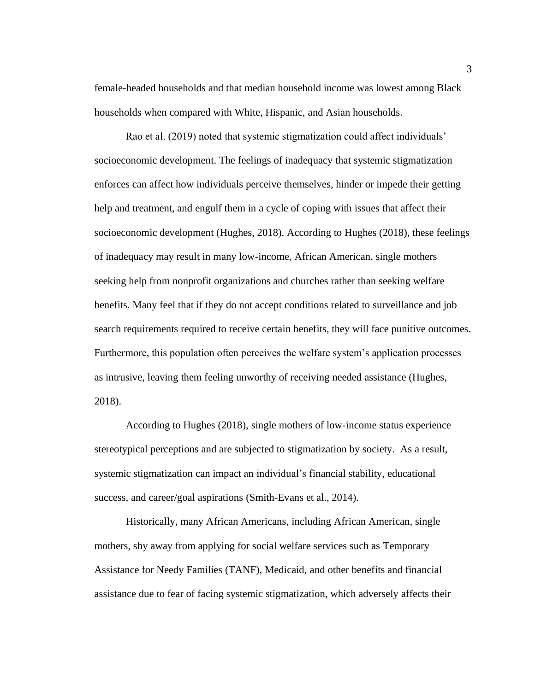female-headed households and that median household income was lowest among Black households when compared with White, Hispanic, and Asian households.

Rao et al. (2019) noted that systemic stigmatization could affect individuals' socioeconomic development. The feelings of inadequacy that systemic stigmatization enforces can affect how individuals perceive themselves, hinder or impede their getting help and treatment, and engulf them in a cycle of coping with issues that affect their socioeconomic development (Hughes, 2018). According to Hughes (2018), these feelings of inadequacy may result in many low-income, African American, single mothers seeking help from nonprofit organizations and churches rather than seeking welfare benefits. Many feel that if they do not accept conditions related to surveillance and job search requirements required to receive certain benefits, they will face punitive outcomes. Furthermore, this population often perceives the welfare system's application processes as intrusive, leaving them feeling unworthy of receiving needed assistance (Hughes, 2018).

According to Hughes (2018), single mothers of low-income status experience stereotypical perceptions and are subjected to stigmatization by society. As a result, systemic stigmatization can impact an individual's financial stability, educational success, and career/goal aspirations (Smith-Evans et al., 2014).

Historically, many African Americans, including African American, single mothers, shy away from applying for social welfare services such as Temporary Assistance for Needy Families (TANF), Medicaid, and other benefits and financial assistance due to fear of facing systemic stigmatization, which adversely affects their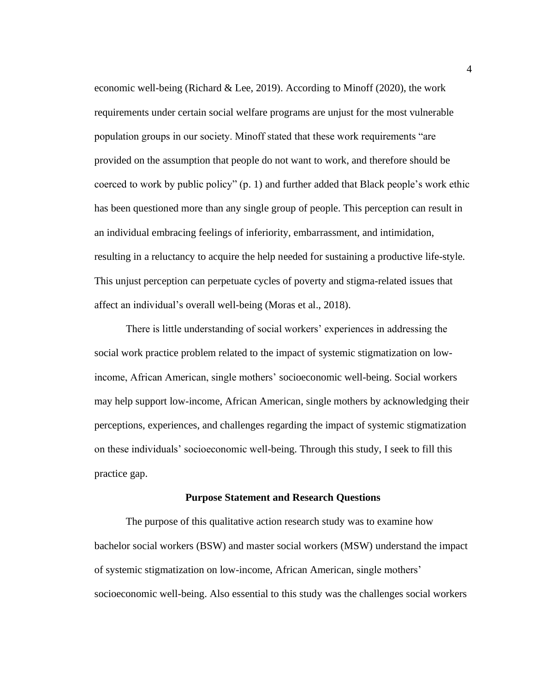economic well-being (Richard & Lee, 2019). According to Minoff (2020), the work requirements under certain social welfare programs are unjust for the most vulnerable population groups in our society. Minoff stated that these work requirements "are provided on the assumption that people do not want to work, and therefore should be coerced to work by public policy" (p. 1) and further added that Black people's work ethic has been questioned more than any single group of people. This perception can result in an individual embracing feelings of inferiority, embarrassment, and intimidation, resulting in a reluctancy to acquire the help needed for sustaining a productive life-style. This unjust perception can perpetuate cycles of poverty and stigma-related issues that affect an individual's overall well-being (Moras et al., 2018).

There is little understanding of social workers' experiences in addressing the social work practice problem related to the impact of systemic stigmatization on lowincome, African American, single mothers' socioeconomic well-being. Social workers may help support low-income, African American, single mothers by acknowledging their perceptions, experiences, and challenges regarding the impact of systemic stigmatization on these individuals' socioeconomic well-being. Through this study, I seek to fill this practice gap.

#### **Purpose Statement and Research Questions**

<span id="page-14-0"></span>The purpose of this qualitative action research study was to examine how bachelor social workers (BSW) and master social workers (MSW) understand the impact of systemic stigmatization on low-income, African American, single mothers' socioeconomic well-being. Also essential to this study was the challenges social workers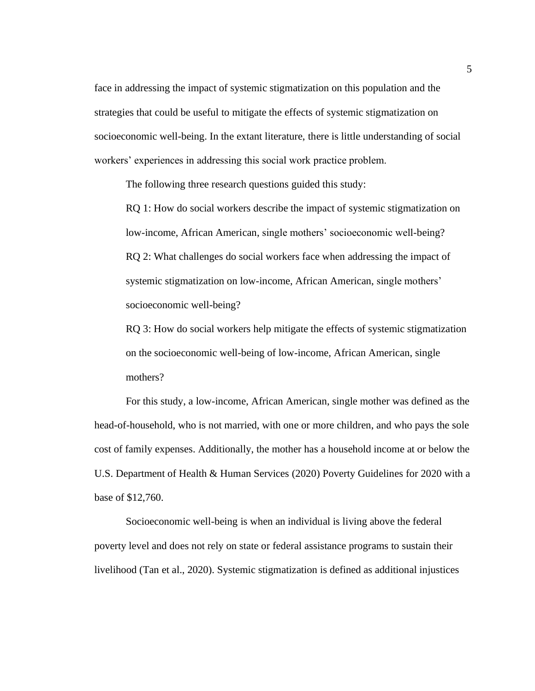face in addressing the impact of systemic stigmatization on this population and the strategies that could be useful to mitigate the effects of systemic stigmatization on socioeconomic well-being. In the extant literature, there is little understanding of social workers' experiences in addressing this social work practice problem.

The following three research questions guided this study:

RQ 1: How do social workers describe the impact of systemic stigmatization on low-income, African American, single mothers' socioeconomic well-being? RQ 2: What challenges do social workers face when addressing the impact of systemic stigmatization on low-income, African American, single mothers' socioeconomic well-being?

RQ 3: How do social workers help mitigate the effects of systemic stigmatization on the socioeconomic well-being of low-income, African American, single mothers?

For this study, a low-income, African American, single mother was defined as the head-of-household, who is not married, with one or more children, and who pays the sole cost of family expenses. Additionally, the mother has a household income at or below the U.S. Department of Health & Human Services (2020) Poverty Guidelines for 2020 with a base of \$12,760.

Socioeconomic well-being is when an individual is living above the federal poverty level and does not rely on state or federal assistance programs to sustain their livelihood (Tan et al., 2020). Systemic stigmatization is defined as additional injustices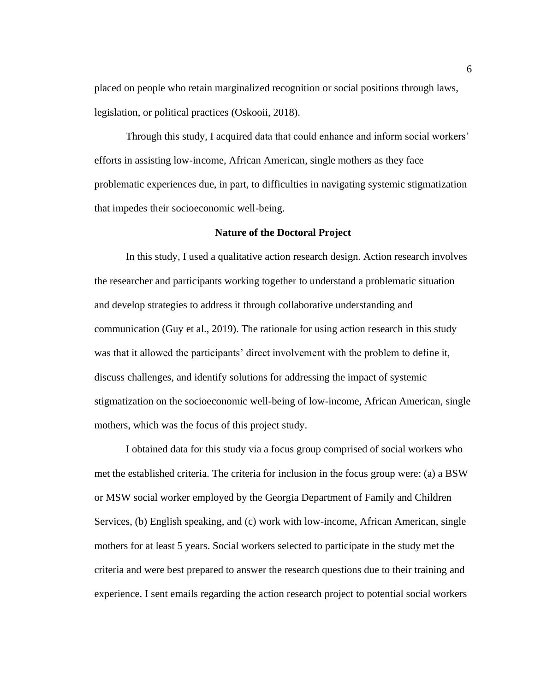placed on people who retain marginalized recognition or social positions through laws, legislation, or political practices (Oskooii, 2018).

Through this study, I acquired data that could enhance and inform social workers' efforts in assisting low-income, African American, single mothers as they face problematic experiences due, in part, to difficulties in navigating systemic stigmatization that impedes their socioeconomic well-being.

#### **Nature of the Doctoral Project**

<span id="page-16-0"></span>In this study, I used a qualitative action research design. Action research involves the researcher and participants working together to understand a problematic situation and develop strategies to address it through collaborative understanding and communication (Guy et al., 2019). The rationale for using action research in this study was that it allowed the participants' direct involvement with the problem to define it, discuss challenges, and identify solutions for addressing the impact of systemic stigmatization on the socioeconomic well-being of low-income, African American, single mothers, which was the focus of this project study.

I obtained data for this study via a focus group comprised of social workers who met the established criteria. The criteria for inclusion in the focus group were: (a) a BSW or MSW social worker employed by the Georgia Department of Family and Children Services, (b) English speaking, and (c) work with low-income, African American, single mothers for at least 5 years. Social workers selected to participate in the study met the criteria and were best prepared to answer the research questions due to their training and experience. I sent emails regarding the action research project to potential social workers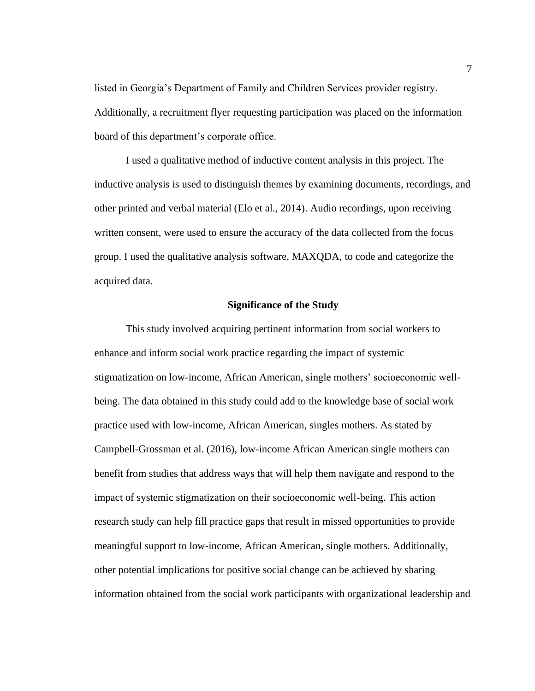listed in Georgia's Department of Family and Children Services provider registry. Additionally, a recruitment flyer requesting participation was placed on the information board of this department's corporate office.

I used a qualitative method of inductive content analysis in this project. The inductive analysis is used to distinguish themes by examining documents, recordings, and other printed and verbal material (Elo et al., 2014). Audio recordings, upon receiving written consent, were used to ensure the accuracy of the data collected from the focus group. I used the qualitative analysis software, MAXQDA, to code and categorize the acquired data.

## **Significance of the Study**

<span id="page-17-0"></span>This study involved acquiring pertinent information from social workers to enhance and inform social work practice regarding the impact of systemic stigmatization on low-income, African American, single mothers' socioeconomic wellbeing. The data obtained in this study could add to the knowledge base of social work practice used with low-income, African American, singles mothers. As stated by Campbell-Grossman et al. (2016), low-income African American single mothers can benefit from studies that address ways that will help them navigate and respond to the impact of systemic stigmatization on their socioeconomic well-being. This action research study can help fill practice gaps that result in missed opportunities to provide meaningful support to low-income, African American, single mothers. Additionally, other potential implications for positive social change can be achieved by sharing information obtained from the social work participants with organizational leadership and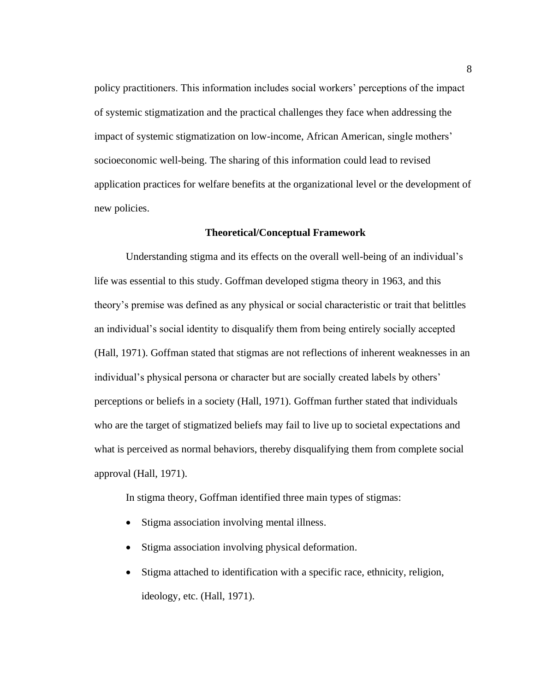policy practitioners. This information includes social workers' perceptions of the impact of systemic stigmatization and the practical challenges they face when addressing the impact of systemic stigmatization on low-income, African American, single mothers' socioeconomic well-being. The sharing of this information could lead to revised application practices for welfare benefits at the organizational level or the development of new policies.

### <span id="page-18-0"></span>**Theoretical/Conceptual Framework**

Understanding stigma and its effects on the overall well-being of an individual's life was essential to this study. Goffman developed stigma theory in 1963, and this theory's premise was defined as any physical or social characteristic or trait that belittles an individual's social identity to disqualify them from being entirely socially accepted (Hall, 1971). Goffman stated that stigmas are not reflections of inherent weaknesses in an individual's physical persona or character but are socially created labels by others' perceptions or beliefs in a society (Hall, 1971). Goffman further stated that individuals who are the target of stigmatized beliefs may fail to live up to societal expectations and what is perceived as normal behaviors, thereby disqualifying them from complete social approval (Hall, 1971).

In stigma theory, Goffman identified three main types of stigmas:

- Stigma association involving mental illness.
- Stigma association involving physical deformation.
- Stigma attached to identification with a specific race, ethnicity, religion, ideology, etc. (Hall, 1971).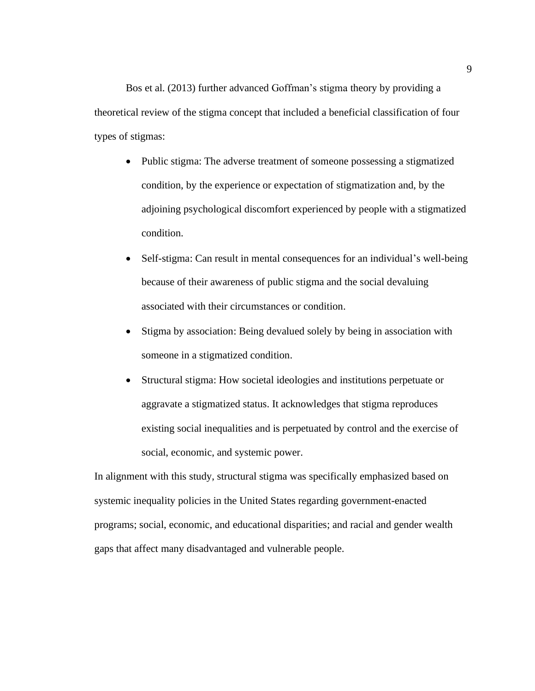Bos et al. (2013) further advanced Goffman's stigma theory by providing a theoretical review of the stigma concept that included a beneficial classification of four types of stigmas:

- Public stigma: The adverse treatment of someone possessing a stigmatized condition, by the experience or expectation of stigmatization and, by the adjoining psychological discomfort experienced by people with a stigmatized condition.
- Self-stigma: Can result in mental consequences for an individual's well-being because of their awareness of public stigma and the social devaluing associated with their circumstances or condition.
- Stigma by association: Being devalued solely by being in association with someone in a stigmatized condition.
- Structural stigma: How societal ideologies and institutions perpetuate or aggravate a stigmatized status. It acknowledges that stigma reproduces existing social inequalities and is perpetuated by control and the exercise of social, economic, and systemic power.

In alignment with this study, structural stigma was specifically emphasized based on systemic inequality policies in the United States regarding government-enacted programs; social, economic, and educational disparities; and racial and gender wealth gaps that affect many disadvantaged and vulnerable people.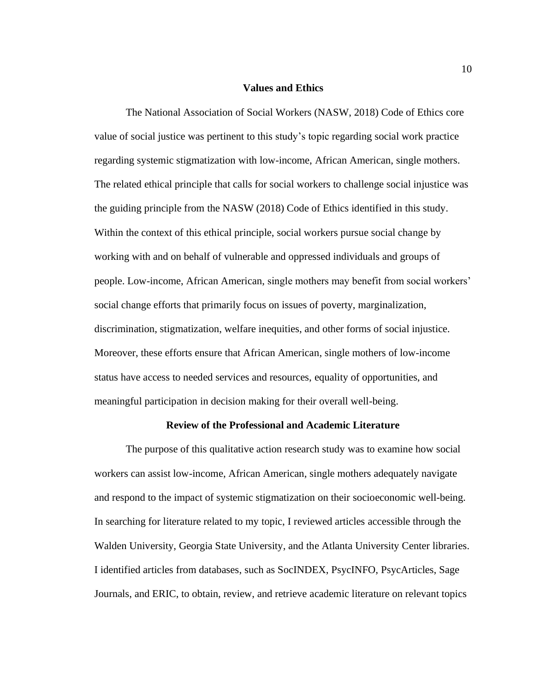#### **Values and Ethics**

<span id="page-20-0"></span>The National Association of Social Workers (NASW, 2018) Code of Ethics core value of social justice was pertinent to this study's topic regarding social work practice regarding systemic stigmatization with low-income, African American, single mothers. The related ethical principle that calls for social workers to challenge social injustice was the guiding principle from the NASW (2018) Code of Ethics identified in this study. Within the context of this ethical principle, social workers pursue social change by working with and on behalf of vulnerable and oppressed individuals and groups of people. Low-income, African American, single mothers may benefit from social workers' social change efforts that primarily focus on issues of poverty, marginalization, discrimination, stigmatization, welfare inequities, and other forms of social injustice. Moreover, these efforts ensure that African American, single mothers of low-income status have access to needed services and resources, equality of opportunities, and meaningful participation in decision making for their overall well-being.

### **Review of the Professional and Academic Literature**

<span id="page-20-1"></span>The purpose of this qualitative action research study was to examine how social workers can assist low-income, African American, single mothers adequately navigate and respond to the impact of systemic stigmatization on their socioeconomic well-being. In searching for literature related to my topic, I reviewed articles accessible through the Walden University, Georgia State University, and the Atlanta University Center libraries. I identified articles from databases, such as SocINDEX, PsycINFO, PsycArticles, Sage Journals, and ERIC, to obtain, review, and retrieve academic literature on relevant topics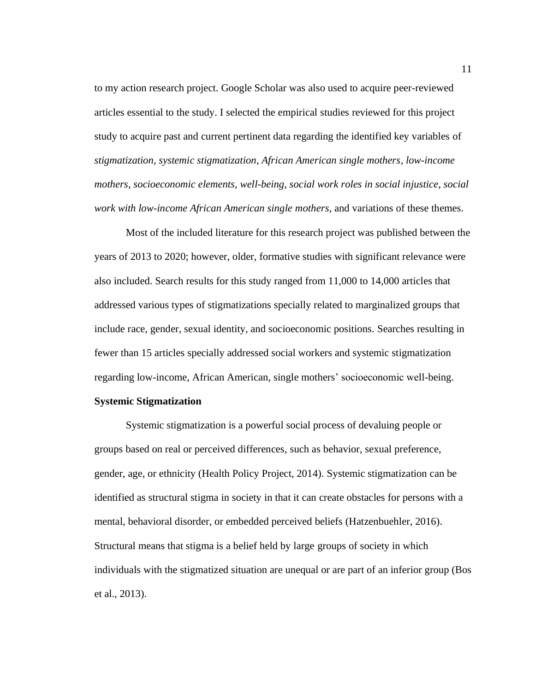to my action research project. Google Scholar was also used to acquire peer-reviewed articles essential to the study. I selected the empirical studies reviewed for this project study to acquire past and current pertinent data regarding the identified key variables of *stigmatization*, *systemic stigmatization*, *African American single mothers*, *low-income mothers*, *socioeconomic elements*, *well-being*, *social work roles in social injustice, social work with low-income African American single mothers*, and variations of these themes.

Most of the included literature for this research project was published between the years of 2013 to 2020; however, older, formative studies with significant relevance were also included. Search results for this study ranged from 11,000 to 14,000 articles that addressed various types of stigmatizations specially related to marginalized groups that include race, gender, sexual identity, and socioeconomic positions. Searches resulting in fewer than 15 articles specially addressed social workers and systemic stigmatization regarding low-income, African American, single mothers' socioeconomic well-being.

### <span id="page-21-0"></span>**Systemic Stigmatization**

Systemic stigmatization is a powerful social process of devaluing people or groups based on real or perceived differences, such as behavior, sexual preference, gender, age, or ethnicity (Health Policy Project, 2014). Systemic stigmatization can be identified as structural stigma in society in that it can create obstacles for persons with a mental, behavioral disorder, or embedded perceived beliefs (Hatzenbuehler, 2016). Structural means that stigma is a belief held by large groups of society in which individuals with the stigmatized situation are unequal or are part of an inferior group (Bos et al., 2013).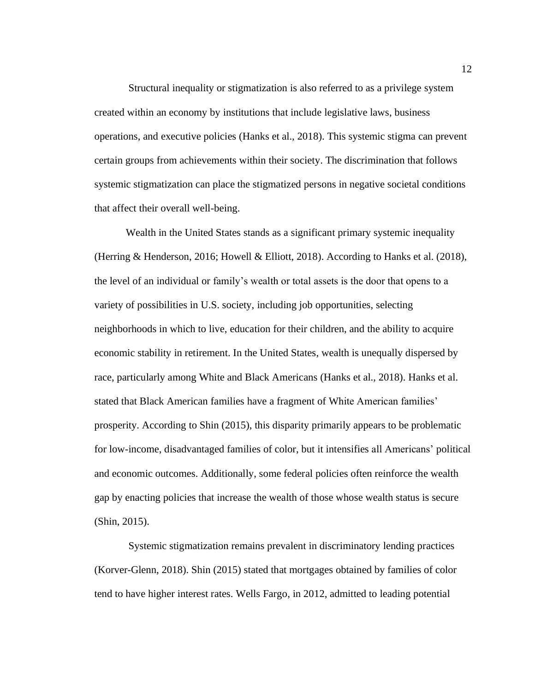Structural inequality or stigmatization is also referred to as a privilege system created within an economy by institutions that include legislative laws, business operations, and executive policies (Hanks et al., 2018). This systemic stigma can prevent certain groups from achievements within their society. The discrimination that follows systemic stigmatization can place the stigmatized persons in negative societal conditions that affect their overall well-being.

Wealth in the United States stands as a significant primary systemic inequality (Herring & Henderson, 2016; Howell & Elliott, 2018). According to Hanks et al. (2018), the level of an individual or family's wealth or total assets is the door that opens to a variety of possibilities in U.S. society, including job opportunities, selecting neighborhoods in which to live, education for their children, and the ability to acquire economic stability in retirement. In the United States, wealth is unequally dispersed by race, particularly among White and Black Americans (Hanks et al., 2018). Hanks et al. stated that Black American families have a fragment of White American families' prosperity. According to Shin (2015), this disparity primarily appears to be problematic for low-income, disadvantaged families of color, but it intensifies all Americans' political and economic outcomes. Additionally, some federal policies often reinforce the wealth gap by enacting policies that increase the wealth of those whose wealth status is secure (Shin, 2015).

Systemic stigmatization remains prevalent in discriminatory lending practices (Korver-Glenn, 2018). Shin (2015) stated that mortgages obtained by families of color tend to have higher interest rates. Wells Fargo, in 2012, admitted to leading potential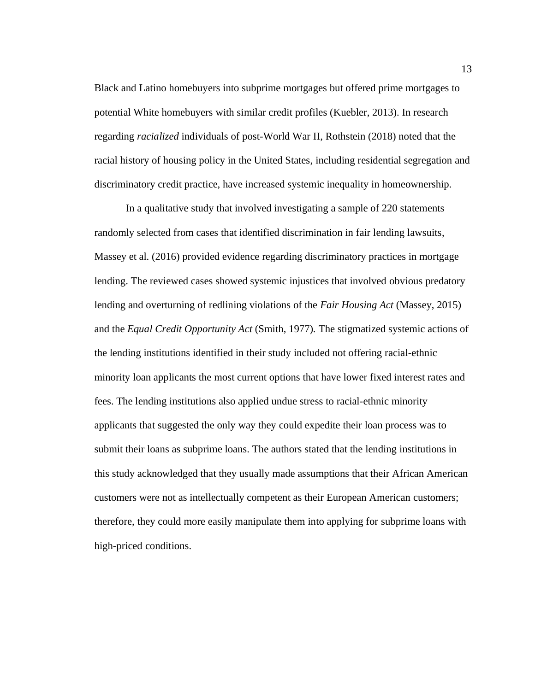Black and Latino homebuyers into subprime mortgages but offered prime mortgages to potential White homebuyers with similar credit profiles (Kuebler, 2013). In research regarding *racialized* individuals of post-World War II, Rothstein (2018) noted that the racial history of housing policy in the United States, including residential segregation and discriminatory credit practice, have increased systemic inequality in homeownership.

In a qualitative study that involved investigating a sample of 220 statements randomly selected from cases that identified discrimination in fair lending lawsuits, Massey et al. (2016) provided evidence regarding discriminatory practices in mortgage lending. The reviewed cases showed systemic injustices that involved obvious predatory lending and overturning of redlining violations of the *Fair Housing Act* (Massey, 2015) and the *Equal Credit Opportunity Act* (Smith, 1977)*.* The stigmatized systemic actions of the lending institutions identified in their study included not offering racial-ethnic minority loan applicants the most current options that have lower fixed interest rates and fees. The lending institutions also applied undue stress to racial-ethnic minority applicants that suggested the only way they could expedite their loan process was to submit their loans as subprime loans. The authors stated that the lending institutions in this study acknowledged that they usually made assumptions that their African American customers were not as intellectually competent as their European American customers; therefore, they could more easily manipulate them into applying for subprime loans with high-priced conditions.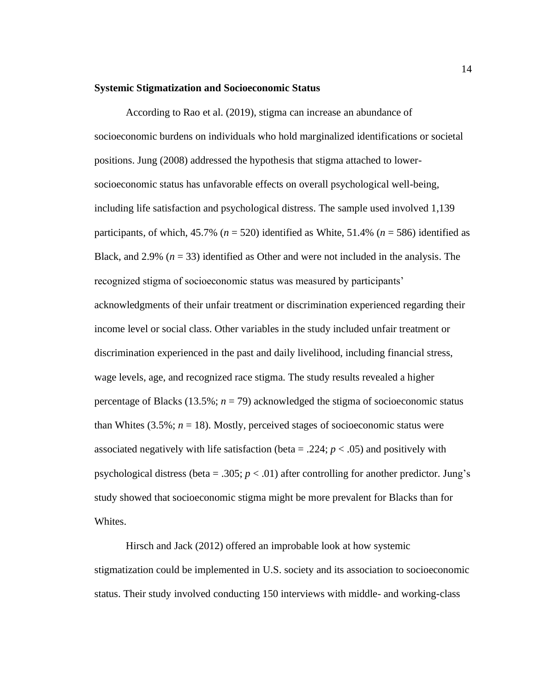#### <span id="page-24-0"></span>**Systemic Stigmatization and Socioeconomic Status**

According to Rao et al. (2019), stigma can increase an abundance of socioeconomic burdens on individuals who hold marginalized identifications or societal positions. Jung (2008) addressed the hypothesis that stigma attached to lowersocioeconomic status has unfavorable effects on overall psychological well-being, including life satisfaction and psychological distress. The sample used involved 1,139 participants, of which,  $45.7\%$  ( $n = 520$ ) identified as White,  $51.4\%$  ( $n = 586$ ) identified as Black, and 2.9%  $(n = 33)$  identified as Other and were not included in the analysis. The recognized stigma of socioeconomic status was measured by participants' acknowledgments of their unfair treatment or discrimination experienced regarding their income level or social class. Other variables in the study included unfair treatment or discrimination experienced in the past and daily livelihood, including financial stress, wage levels, age, and recognized race stigma. The study results revealed a higher percentage of Blacks  $(13.5\%; n = 79)$  acknowledged the stigma of socioeconomic status than Whites  $(3.5\%; n = 18)$ . Mostly, perceived stages of socioeconomic status were associated negatively with life satisfaction (beta  $= .224$ ;  $p < .05$ ) and positively with psychological distress (beta = .305;  $p < .01$ ) after controlling for another predictor. Jung's study showed that socioeconomic stigma might be more prevalent for Blacks than for Whites.

Hirsch and Jack (2012) offered an improbable look at how systemic stigmatization could be implemented in U.S. society and its association to socioeconomic status. Their study involved conducting 150 interviews with middle- and working-class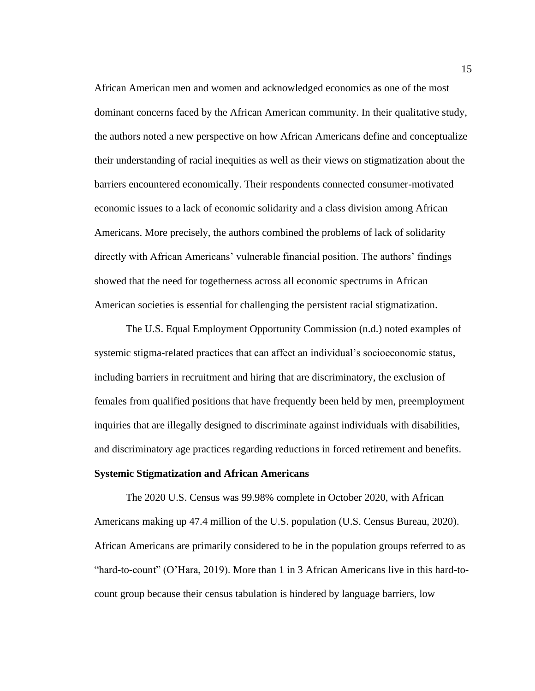African American men and women and acknowledged economics as one of the most dominant concerns faced by the African American community. In their qualitative study, the authors noted a new perspective on how African Americans define and conceptualize their understanding of racial inequities as well as their views on stigmatization about the barriers encountered economically. Their respondents connected consumer-motivated economic issues to a lack of economic solidarity and a class division among African Americans. More precisely, the authors combined the problems of lack of solidarity directly with African Americans' vulnerable financial position. The authors' findings showed that the need for togetherness across all economic spectrums in African American societies is essential for challenging the persistent racial stigmatization.

The U.S. Equal Employment Opportunity Commission (n.d.) noted examples of systemic stigma-related practices that can affect an individual's socioeconomic status, including barriers in recruitment and hiring that are discriminatory, the exclusion of females from qualified positions that have frequently been held by men, preemployment inquiries that are illegally designed to discriminate against individuals with disabilities, and discriminatory age practices regarding reductions in forced retirement and benefits. **Systemic Stigmatization and African Americans**

<span id="page-25-0"></span>The 2020 U.S. Census was 99.98% complete in October 2020, with African Americans making up 47.4 million of the U.S. population (U.S. Census Bureau, 2020). African Americans are primarily considered to be in the population groups referred to as "hard-to-count" (O'Hara, 2019). More than 1 in 3 African Americans live in this hard-tocount group because their census tabulation is hindered by language barriers, low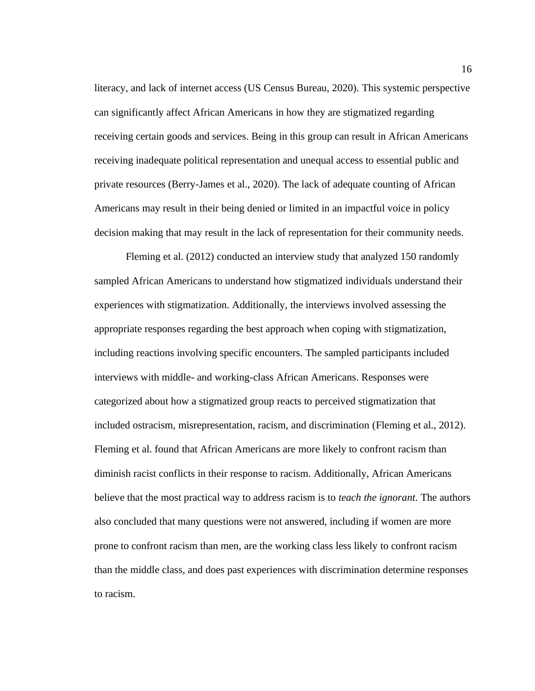literacy, and lack of internet access (US Census Bureau, 2020). This systemic perspective can significantly affect African Americans in how they are stigmatized regarding receiving certain goods and services. Being in this group can result in African Americans receiving inadequate political representation and unequal access to essential public and private resources (Berry-James et al., 2020). The lack of adequate counting of African Americans may result in their being denied or limited in an impactful voice in policy decision making that may result in the lack of representation for their community needs.

Fleming et al. (2012) conducted an interview study that analyzed 150 randomly sampled African Americans to understand how stigmatized individuals understand their experiences with stigmatization. Additionally, the interviews involved assessing the appropriate responses regarding the best approach when coping with stigmatization, including reactions involving specific encounters. The sampled participants included interviews with middle- and working-class African Americans. Responses were categorized about how a stigmatized group reacts to perceived stigmatization that included ostracism, misrepresentation, racism, and discrimination (Fleming et al., 2012). Fleming et al. found that African Americans are more likely to confront racism than diminish racist conflicts in their response to racism. Additionally, African Americans believe that the most practical way to address racism is to *teach the ignorant*. The authors also concluded that many questions were not answered, including if women are more prone to confront racism than men, are the working class less likely to confront racism than the middle class, and does past experiences with discrimination determine responses to racism.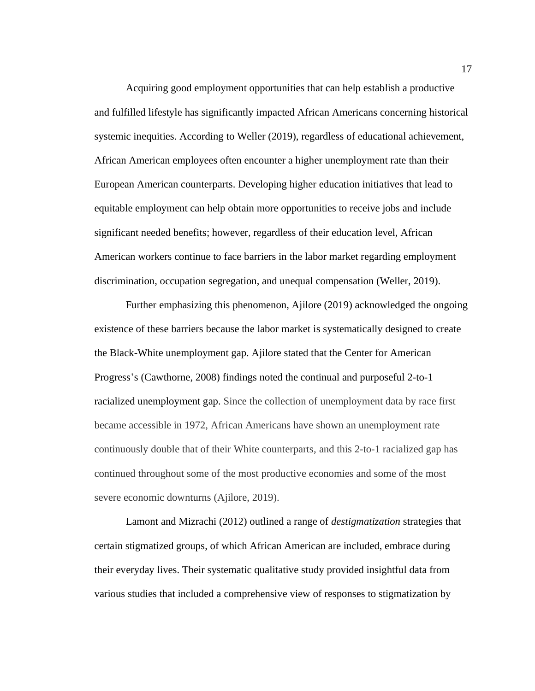Acquiring good employment opportunities that can help establish a productive and fulfilled lifestyle has significantly impacted African Americans concerning historical systemic inequities. According to Weller (2019), regardless of educational achievement, African American employees often encounter a higher unemployment rate than their European American counterparts. Developing higher education initiatives that lead to equitable employment can help obtain more opportunities to receive jobs and include significant needed benefits; however, regardless of their education level, African American workers continue to face barriers in the labor market regarding employment discrimination, occupation segregation, and unequal compensation (Weller, 2019).

Further emphasizing this phenomenon, Ajilore (2019) acknowledged the ongoing existence of these barriers because the labor market is systematically designed to create the Black-White unemployment gap. Ajilore stated that the Center for American Progress's (Cawthorne, 2008) findings noted the continual and purposeful 2-to-1 racialized unemployment gap. Since the collection of unemployment data by race first became accessible in 1972, African Americans have shown an unemployment rate continuously double that of their White counterparts, and this 2-to-1 racialized gap has continued throughout some of the most productive economies and some of the most severe economic downturns (Ajilore, 2019).

Lamont and Mizrachi (2012) outlined a range of *destigmatization* strategies that certain stigmatized groups, of which African American are included, embrace during their everyday lives. Their systematic qualitative study provided insightful data from various studies that included a comprehensive view of responses to stigmatization by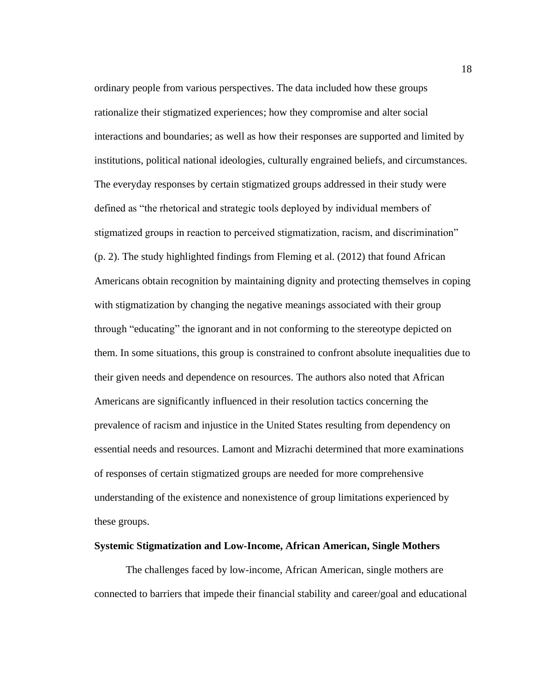ordinary people from various perspectives. The data included how these groups rationalize their stigmatized experiences; how they compromise and alter social interactions and boundaries; as well as how their responses are supported and limited by institutions, political national ideologies, culturally engrained beliefs, and circumstances. The everyday responses by certain stigmatized groups addressed in their study were defined as "the rhetorical and strategic tools deployed by individual members of stigmatized groups in reaction to perceived stigmatization, racism, and discrimination" (p. 2). The study highlighted findings from Fleming et al. (2012) that found African Americans obtain recognition by maintaining dignity and protecting themselves in coping with stigmatization by changing the negative meanings associated with their group through "educating" the ignorant and in not conforming to the stereotype depicted on them. In some situations, this group is constrained to confront absolute inequalities due to their given needs and dependence on resources. The authors also noted that African Americans are significantly influenced in their resolution tactics concerning the prevalence of racism and injustice in the United States resulting from dependency on essential needs and resources. Lamont and Mizrachi determined that more examinations of responses of certain stigmatized groups are needed for more comprehensive understanding of the existence and nonexistence of group limitations experienced by these groups.

#### <span id="page-28-0"></span>**Systemic Stigmatization and Low-Income, African American, Single Mothers**

The challenges faced by low-income, African American, single mothers are connected to barriers that impede their financial stability and career/goal and educational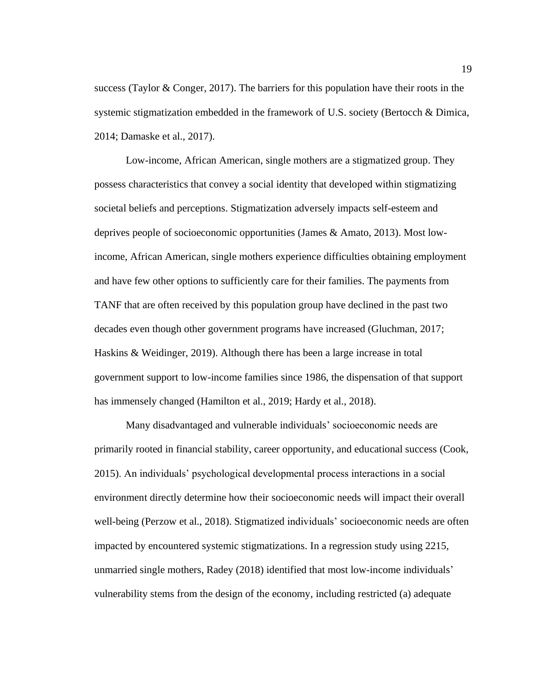success (Taylor & Conger, 2017). The barriers for this population have their roots in the systemic stigmatization embedded in the framework of U.S. society (Bertocch & Dimica, 2014; Damaske et al., 2017).

Low-income, African American, single mothers are a stigmatized group. They possess characteristics that convey a social identity that developed within stigmatizing societal beliefs and perceptions. Stigmatization adversely impacts self-esteem and deprives people of socioeconomic opportunities (James & Amato, 2013). Most lowincome, African American, single mothers experience difficulties obtaining employment and have few other options to sufficiently care for their families. The payments from TANF that are often received by this population group have declined in the past two decades even though other government programs have increased (Gluchman, 2017; Haskins & Weidinger, 2019). Although there has been a large increase in total government support to low-income families since 1986, the dispensation of that support has immensely changed (Hamilton et al., 2019; Hardy et al., 2018).

Many disadvantaged and vulnerable individuals' socioeconomic needs are primarily rooted in financial stability, career opportunity, and educational success (Cook, 2015). An individuals' psychological developmental process interactions in a social environment directly determine how their socioeconomic needs will impact their overall well-being (Perzow et al., 2018). Stigmatized individuals' socioeconomic needs are often impacted by encountered systemic stigmatizations. In a regression study using 2215, unmarried single mothers, Radey (2018) identified that most low-income individuals' vulnerability stems from the design of the economy, including restricted (a) adequate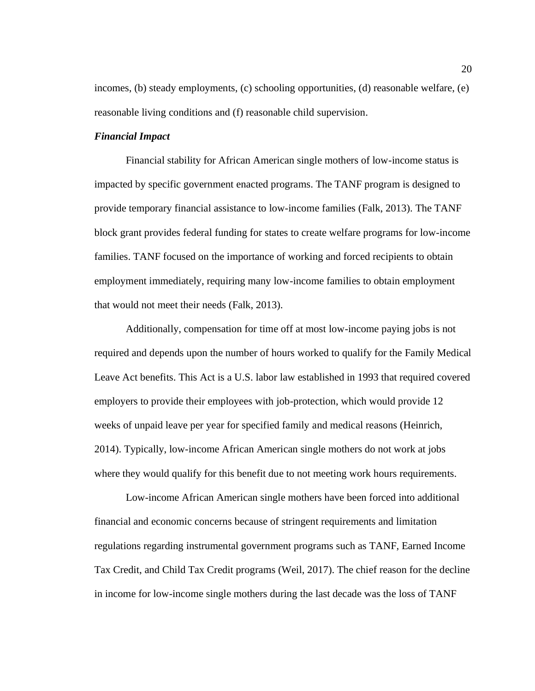incomes, (b) steady employments, (c) schooling opportunities, (d) reasonable welfare, (e) reasonable living conditions and (f) reasonable child supervision.

# *Financial Impact*

Financial stability for African American single mothers of low-income status is impacted by specific government enacted programs. The TANF program is designed to provide temporary financial assistance to low-income families (Falk, 2013). The TANF block grant provides federal funding for states to create welfare programs for low-income families. TANF focused on the importance of working and forced recipients to obtain employment immediately, requiring many low-income families to obtain employment that would not meet their needs (Falk, 2013).

Additionally, compensation for time off at most low-income paying jobs is not required and depends upon the number of hours worked to qualify for the Family Medical Leave Act benefits. This Act is a U.S. labor law established in 1993 that required covered employers to provide their employees with job-protection, which would provide 12 weeks of unpaid leave per year for specified family and medical reasons (Heinrich, 2014). Typically, low-income African American single mothers do not work at jobs where they would qualify for this benefit due to not meeting work hours requirements.

Low-income African American single mothers have been forced into additional financial and economic concerns because of stringent requirements and limitation regulations regarding instrumental government programs such as TANF, Earned Income Tax Credit, and Child Tax Credit programs (Weil, 2017). The chief reason for the decline in income for low-income single mothers during the last decade was the loss of TANF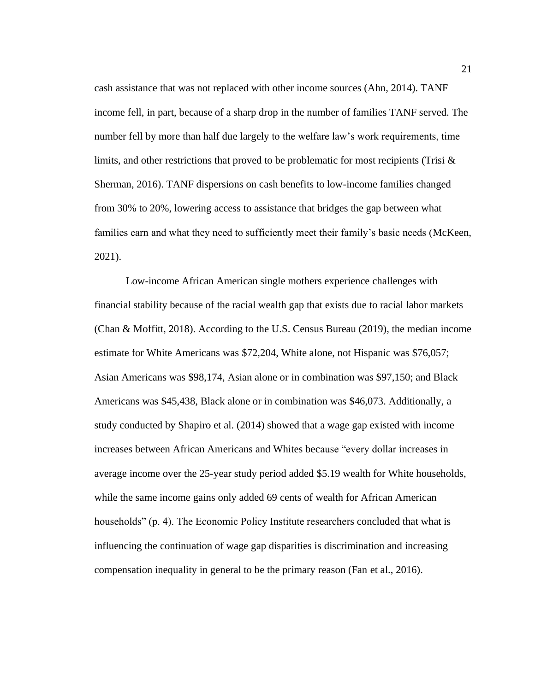cash assistance that was not replaced with other income sources (Ahn, 2014). TANF income fell, in part, because of a sharp drop in the number of families TANF served. The number fell by more than half due largely to the welfare law's work requirements, time limits, and other restrictions that proved to be problematic for most recipients (Trisi & Sherman, 2016). TANF dispersions on cash benefits to low-income families changed from 30% to 20%, lowering access to assistance that bridges the gap between what families earn and what they need to sufficiently meet their family's basic needs (McKeen, 2021).

Low-income African American single mothers experience challenges with financial stability because of the racial wealth gap that exists due to racial labor markets (Chan & Moffitt, 2018). According to the U.S. Census Bureau (2019), the median income estimate for White Americans was \$72,204, White alone, not Hispanic was \$76,057; Asian Americans was \$98,174, Asian alone or in combination was \$97,150; and Black Americans was \$45,438, Black alone or in combination was \$46,073. Additionally, a study conducted by Shapiro et al. (2014) showed that a wage gap existed with income increases between African Americans and Whites because "every dollar increases in average income over the 25-year study period added \$5.19 wealth for White households, while the same income gains only added 69 cents of wealth for African American households" (p. 4). The Economic Policy Institute researchers concluded that what is influencing the continuation of wage gap disparities is discrimination and increasing compensation inequality in general to be the primary reason (Fan et al., 2016).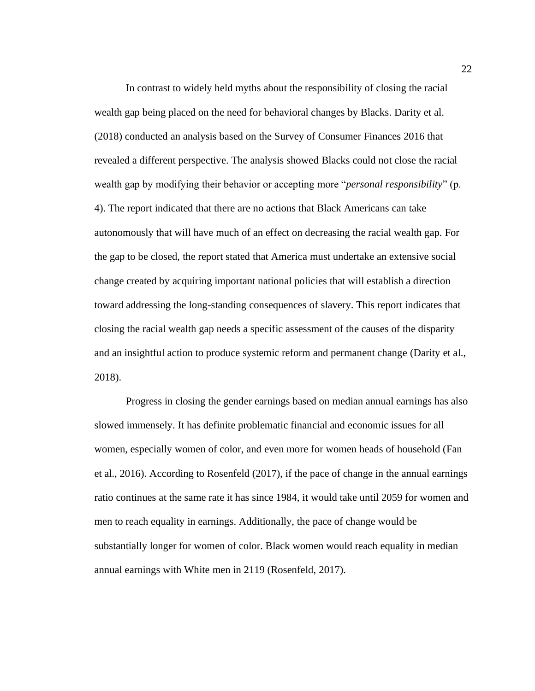In contrast to widely held myths about the responsibility of closing the racial wealth gap being placed on the need for behavioral changes by Blacks. Darity et al. (2018) conducted an analysis based on the Survey of Consumer Finances 2016 that revealed a different perspective. The analysis showed Blacks could not close the racial wealth gap by modifying their behavior or accepting more "*personal responsibility*" (p. 4). The report indicated that there are no actions that Black Americans can take autonomously that will have much of an effect on decreasing the racial wealth gap. For the gap to be closed, the report stated that America must undertake an extensive social change created by acquiring important national policies that will establish a direction toward addressing the long-standing consequences of slavery. This report indicates that closing the racial wealth gap needs a specific assessment of the causes of the disparity and an insightful action to produce systemic reform and permanent change (Darity et al., 2018).

Progress in closing the gender earnings based on median annual earnings has also slowed immensely. It has definite problematic financial and economic issues for all women, especially women of color, and even more for women heads of household (Fan et al., 2016). According to Rosenfeld (2017), if the pace of change in the annual earnings ratio continues at the same rate it has since 1984, it would take until 2059 for women and men to reach equality in earnings. Additionally, the pace of change would be substantially longer for women of color. Black women would reach equality in median annual earnings with White men in 2119 (Rosenfeld, 2017).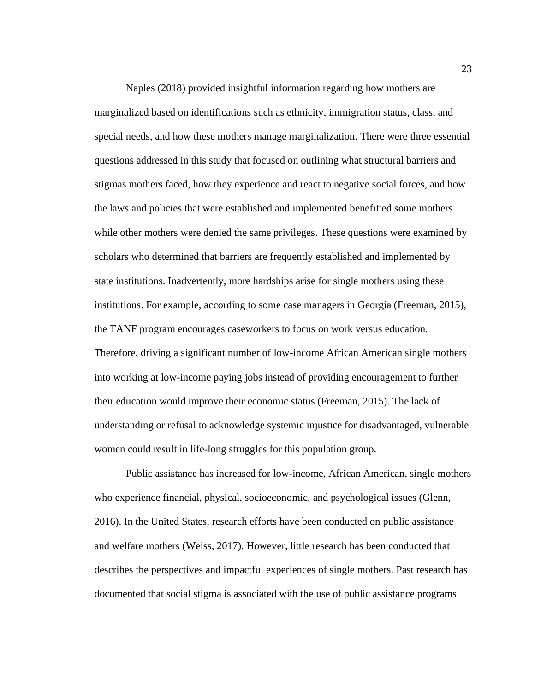Naples (2018) provided insightful information regarding how mothers are marginalized based on identifications such as ethnicity, immigration status, class, and special needs, and how these mothers manage marginalization. There were three essential questions addressed in this study that focused on outlining what structural barriers and stigmas mothers faced, how they experience and react to negative social forces, and how the laws and policies that were established and implemented benefitted some mothers while other mothers were denied the same privileges. These questions were examined by scholars who determined that barriers are frequently established and implemented by state institutions. Inadvertently, more hardships arise for single mothers using these institutions. For example, according to some case managers in Georgia (Freeman, 2015), the TANF program encourages caseworkers to focus on work versus education. Therefore, driving a significant number of low-income African American single mothers into working at low-income paying jobs instead of providing encouragement to further their education would improve their economic status (Freeman, 2015). The lack of understanding or refusal to acknowledge systemic injustice for disadvantaged, vulnerable women could result in life-long struggles for this population group.

Public assistance has increased for low-income, African American, single mothers who experience financial, physical, socioeconomic, and psychological issues (Glenn, 2016). In the United States, research efforts have been conducted on public assistance and welfare mothers (Weiss, 2017). However, little research has been conducted that describes the perspectives and impactful experiences of single mothers. Past research has documented that social stigma is associated with the use of public assistance programs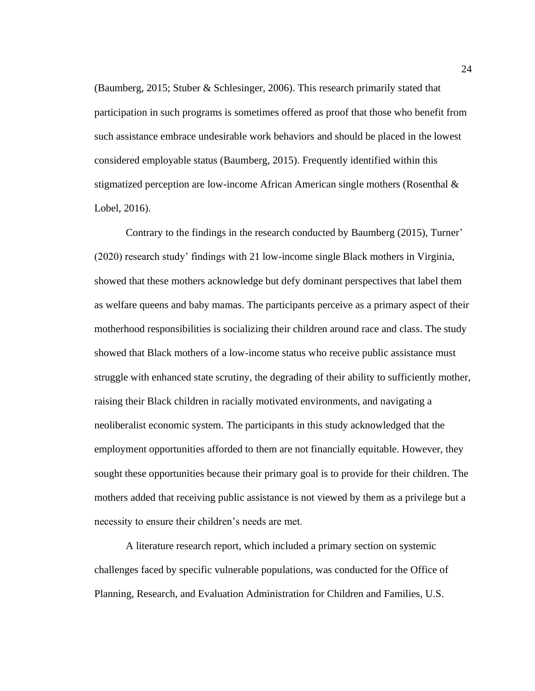(Baumberg, 2015; Stuber & Schlesinger, 2006). This research primarily stated that participation in such programs is sometimes offered as proof that those who benefit from such assistance embrace undesirable work behaviors and should be placed in the lowest considered employable status (Baumberg, 2015). Frequently identified within this stigmatized perception are low-income African American single mothers (Rosenthal  $\&$ Lobel, 2016).

Contrary to the findings in the research conducted by Baumberg (2015), Turner' (2020) research study' findings with 21 low-income single Black mothers in Virginia, showed that these mothers acknowledge but defy dominant perspectives that label them as welfare queens and baby mamas. The participants perceive as a primary aspect of their motherhood responsibilities is socializing their children around race and class. The study showed that Black mothers of a low-income status who receive public assistance must struggle with enhanced state scrutiny, the degrading of their ability to sufficiently mother, raising their Black children in racially motivated environments, and navigating a neoliberalist economic system. The participants in this study acknowledged that the employment opportunities afforded to them are not financially equitable. However, they sought these opportunities because their primary goal is to provide for their children. The mothers added that receiving public assistance is not viewed by them as a privilege but a necessity to ensure their children's needs are met.

A literature research report, which included a primary section on systemic challenges faced by specific vulnerable populations, was conducted for the Office of Planning, Research, and Evaluation Administration for Children and Families, U.S.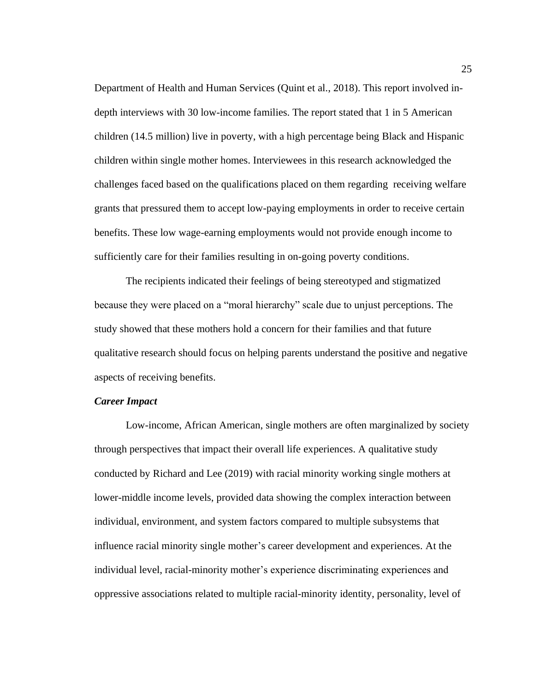Department of Health and Human Services (Quint et al., 2018). This report involved indepth interviews with 30 low-income families. The report stated that 1 in 5 American children (14.5 million) live in poverty, with a high percentage being Black and Hispanic children within single mother homes. Interviewees in this research acknowledged the challenges faced based on the qualifications placed on them regarding receiving welfare grants that pressured them to accept low-paying employments in order to receive certain benefits. These low wage-earning employments would not provide enough income to sufficiently care for their families resulting in on-going poverty conditions.

The recipients indicated their feelings of being stereotyped and stigmatized because they were placed on a "moral hierarchy" scale due to unjust perceptions. The study showed that these mothers hold a concern for their families and that future qualitative research should focus on helping parents understand the positive and negative aspects of receiving benefits.

### *Career Impact*

Low-income, African American, single mothers are often marginalized by society through perspectives that impact their overall life experiences. A qualitative study conducted by Richard and Lee (2019) with racial minority working single mothers at lower-middle income levels, provided data showing the complex interaction between individual, environment, and system factors compared to multiple subsystems that influence racial minority single mother's career development and experiences. At the individual level, racial-minority mother's experience discriminating experiences and oppressive associations related to multiple racial-minority identity, personality, level of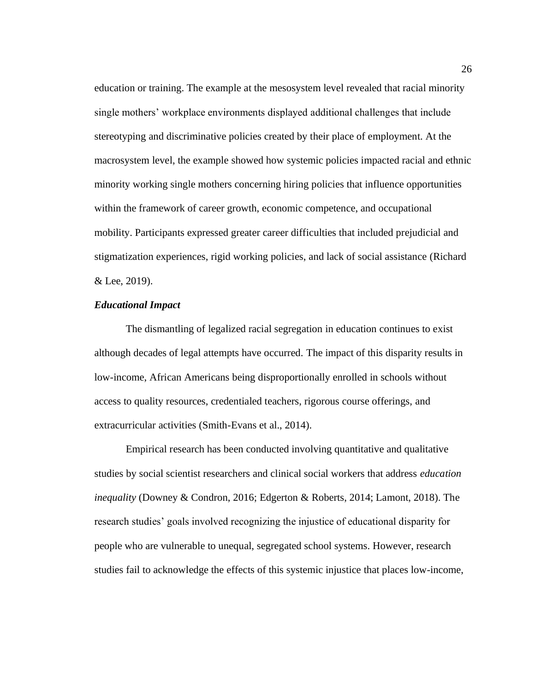education or training. The example at the mesosystem level revealed that racial minority single mothers' workplace environments displayed additional challenges that include stereotyping and discriminative policies created by their place of employment. At the macrosystem level, the example showed how systemic policies impacted racial and ethnic minority working single mothers concerning hiring policies that influence opportunities within the framework of career growth, economic competence, and occupational mobility. Participants expressed greater career difficulties that included prejudicial and stigmatization experiences, rigid working policies, and lack of social assistance (Richard & Lee, 2019).

# *Educational Impact*

The dismantling of legalized racial segregation in education continues to exist although decades of legal attempts have occurred. The impact of this disparity results in low-income, African Americans being disproportionally enrolled in schools without access to quality resources, credentialed teachers, rigorous course offerings, and extracurricular activities (Smith-Evans et al., 2014).

Empirical research has been conducted involving quantitative and qualitative studies by social scientist researchers and clinical social workers that address *education inequality* (Downey & Condron, 2016; Edgerton & Roberts, 2014; Lamont, 2018). The research studies' goals involved recognizing the injustice of educational disparity for people who are vulnerable to unequal, segregated school systems. However, research studies fail to acknowledge the effects of this systemic injustice that places low-income,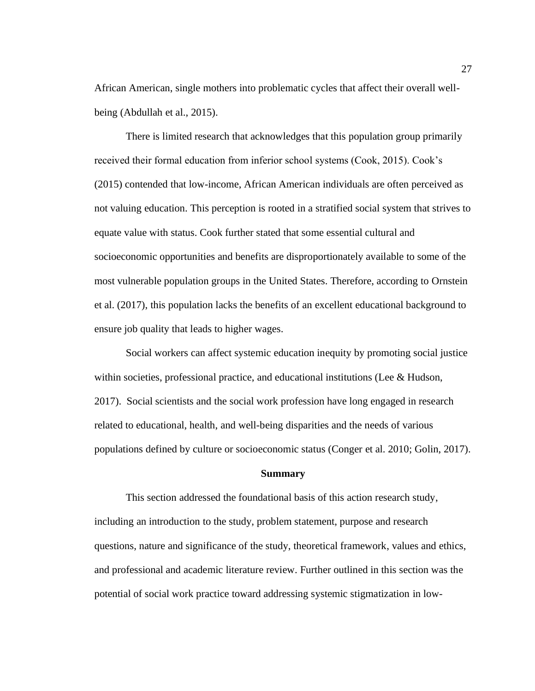African American, single mothers into problematic cycles that affect their overall wellbeing (Abdullah et al., 2015).

There is limited research that acknowledges that this population group primarily received their formal education from inferior school systems (Cook, 2015). Cook's (2015) contended that low-income, African American individuals are often perceived as not valuing education. This perception is rooted in a stratified social system that strives to equate value with status. Cook further stated that some essential cultural and socioeconomic opportunities and benefits are disproportionately available to some of the most vulnerable population groups in the United States. Therefore, according to Ornstein et al. (2017), this population lacks the benefits of an excellent educational background to ensure job quality that leads to higher wages.

Social workers can affect systemic education inequity by promoting social justice within societies, professional practice, and educational institutions (Lee & Hudson, 2017). Social scientists and the social work profession have long engaged in research related to educational, health, and well-being disparities and the needs of various populations defined by culture or socioeconomic status (Conger et al. 2010; Golin, 2017).

#### **Summary**

This section addressed the foundational basis of this action research study, including an introduction to the study, problem statement, purpose and research questions, nature and significance of the study, theoretical framework, values and ethics, and professional and academic literature review. Further outlined in this section was the potential of social work practice toward addressing systemic stigmatization in low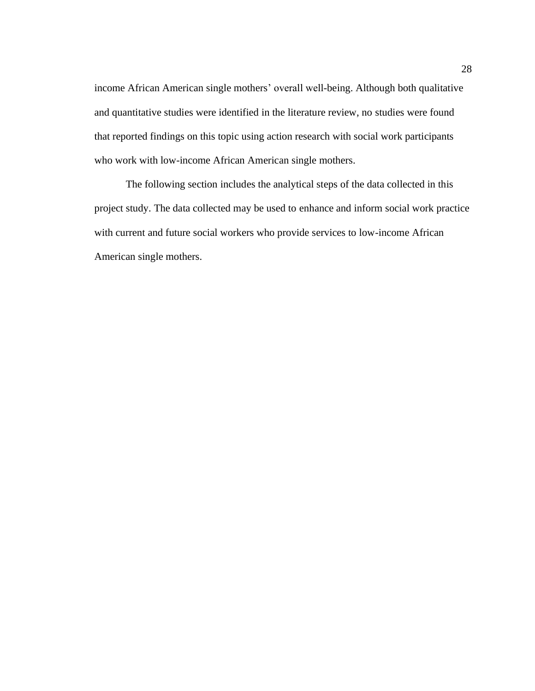income African American single mothers' overall well-being. Although both qualitative and quantitative studies were identified in the literature review, no studies were found that reported findings on this topic using action research with social work participants who work with low-income African American single mothers.

The following section includes the analytical steps of the data collected in this project study. The data collected may be used to enhance and inform social work practice with current and future social workers who provide services to low-income African American single mothers.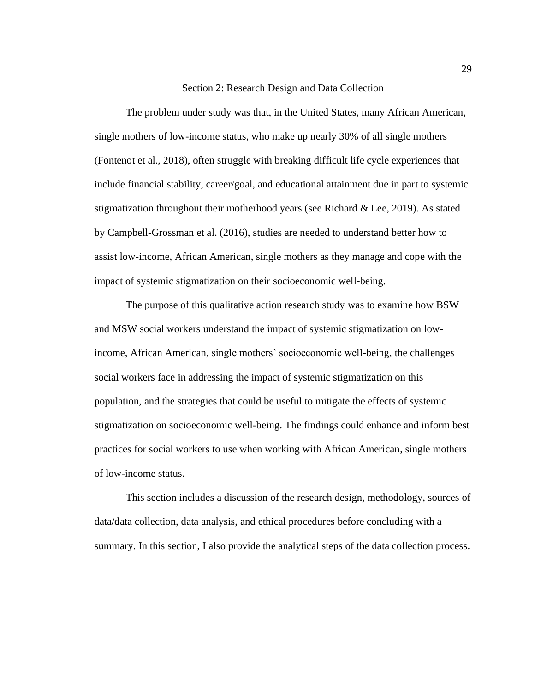## Section 2: Research Design and Data Collection

The problem under study was that, in the United States, many African American, single mothers of low-income status, who make up nearly 30% of all single mothers (Fontenot et al., 2018), often struggle with breaking difficult life cycle experiences that include financial stability, career/goal, and educational attainment due in part to systemic stigmatization throughout their motherhood years (see Richard & Lee, 2019). As stated by Campbell-Grossman et al. (2016), studies are needed to understand better how to assist low-income, African American, single mothers as they manage and cope with the impact of systemic stigmatization on their socioeconomic well-being.

The purpose of this qualitative action research study was to examine how BSW and MSW social workers understand the impact of systemic stigmatization on lowincome, African American, single mothers' socioeconomic well-being, the challenges social workers face in addressing the impact of systemic stigmatization on this population, and the strategies that could be useful to mitigate the effects of systemic stigmatization on socioeconomic well-being. The findings could enhance and inform best practices for social workers to use when working with African American, single mothers of low-income status.

This section includes a discussion of the research design, methodology, sources of data/data collection, data analysis, and ethical procedures before concluding with a summary. In this section, I also provide the analytical steps of the data collection process.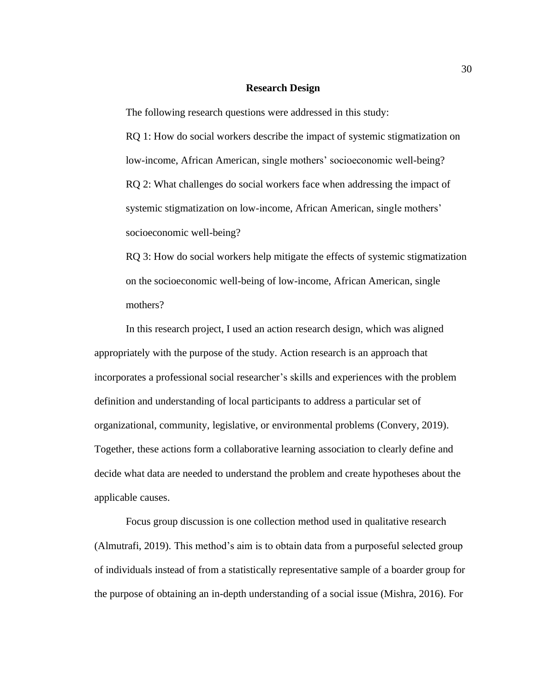### **Research Design**

The following research questions were addressed in this study:

RQ 1: How do social workers describe the impact of systemic stigmatization on low-income, African American, single mothers' socioeconomic well-being? RQ 2: What challenges do social workers face when addressing the impact of systemic stigmatization on low-income, African American, single mothers' socioeconomic well-being?

RQ 3: How do social workers help mitigate the effects of systemic stigmatization on the socioeconomic well-being of low-income, African American, single mothers?

In this research project, I used an action research design, which was aligned appropriately with the purpose of the study. Action research is an approach that incorporates a professional social researcher's skills and experiences with the problem definition and understanding of local participants to address a particular set of organizational, community, legislative, or environmental problems (Convery, 2019). Together, these actions form a collaborative learning association to clearly define and decide what data are needed to understand the problem and create hypotheses about the applicable causes.

Focus group discussion is one collection method used in qualitative research (Almutrafi, 2019). This method's aim is to obtain data from a purposeful selected group of individuals instead of from a statistically representative sample of a boarder group for the purpose of obtaining an in-depth understanding of a social issue (Mishra, 2016). For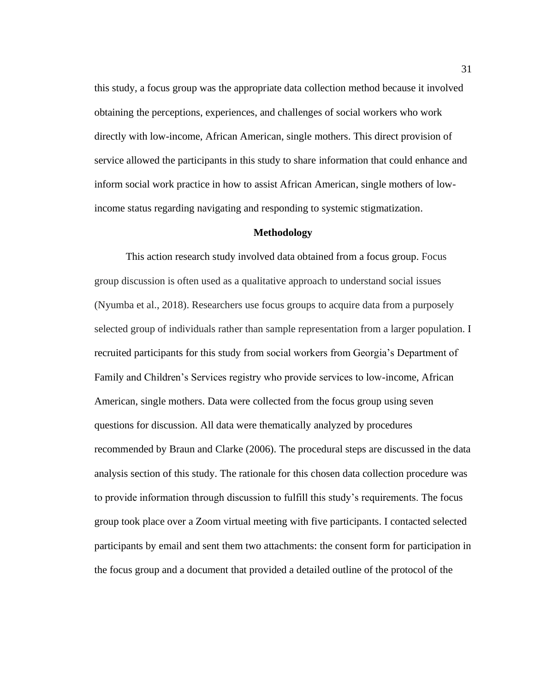this study, a focus group was the appropriate data collection method because it involved obtaining the perceptions, experiences, and challenges of social workers who work directly with low-income, African American, single mothers. This direct provision of service allowed the participants in this study to share information that could enhance and inform social work practice in how to assist African American, single mothers of lowincome status regarding navigating and responding to systemic stigmatization.

### **Methodology**

This action research study involved data obtained from a focus group. Focus group discussion is often used as a qualitative approach to understand social issues (Nyumba et al., 2018). Researchers use focus groups to acquire data from a purposely selected group of individuals rather than sample representation from a larger population. I recruited participants for this study from social workers from Georgia's Department of Family and Children's Services registry who provide services to low-income, African American, single mothers. Data were collected from the focus group using seven questions for discussion. All data were thematically analyzed by procedures recommended by Braun and Clarke (2006). The procedural steps are discussed in the data analysis section of this study. The rationale for this chosen data collection procedure was to provide information through discussion to fulfill this study's requirements. The focus group took place over a Zoom virtual meeting with five participants. I contacted selected participants by email and sent them two attachments: the consent form for participation in the focus group and a document that provided a detailed outline of the protocol of the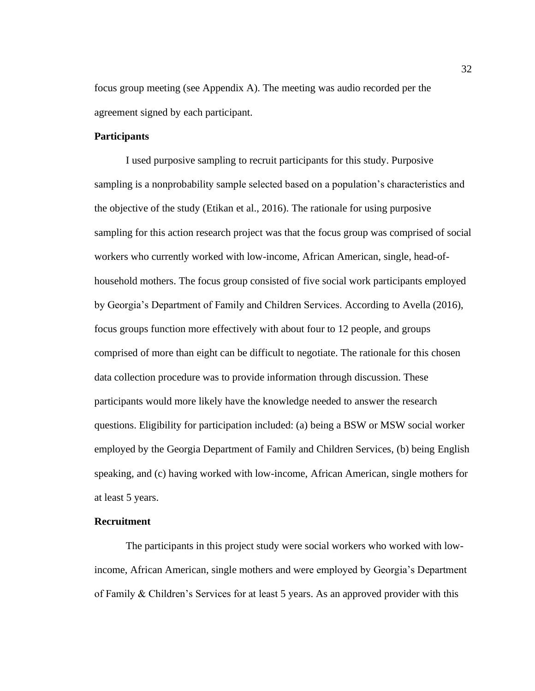focus group meeting (see Appendix A). The meeting was audio recorded per the agreement signed by each participant.

# **Participants**

I used purposive sampling to recruit participants for this study. Purposive sampling is a nonprobability sample selected based on a population's characteristics and the objective of the study (Etikan et al., 2016). The rationale for using purposive sampling for this action research project was that the focus group was comprised of social workers who currently worked with low-income, African American, single, head-ofhousehold mothers. The focus group consisted of five social work participants employed by Georgia's Department of Family and Children Services. According to Avella (2016), focus groups function more effectively with about four to 12 people, and groups comprised of more than eight can be difficult to negotiate. The rationale for this chosen data collection procedure was to provide information through discussion. These participants would more likely have the knowledge needed to answer the research questions. Eligibility for participation included: (a) being a BSW or MSW social worker employed by the Georgia Department of Family and Children Services, (b) being English speaking, and (c) having worked with low-income, African American, single mothers for at least 5 years.

# **Recruitment**

The participants in this project study were social workers who worked with lowincome, African American, single mothers and were employed by Georgia's Department of Family & Children's Services for at least 5 years. As an approved provider with this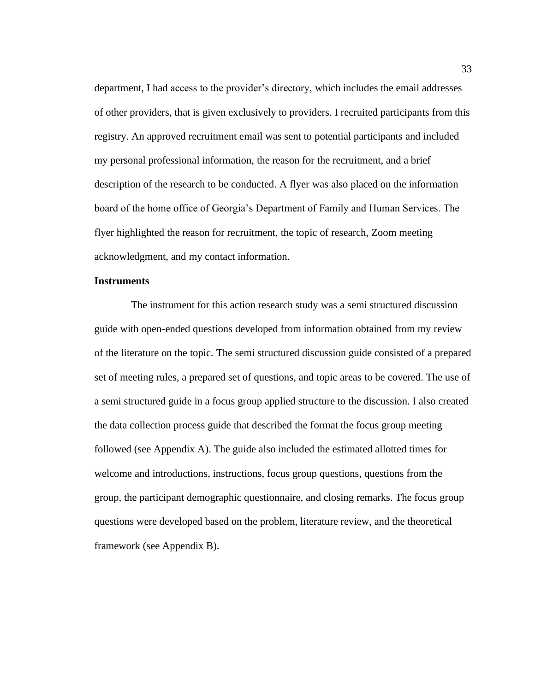department, I had access to the provider's directory, which includes the email addresses of other providers, that is given exclusively to providers. I recruited participants from this registry. An approved recruitment email was sent to potential participants and included my personal professional information, the reason for the recruitment, and a brief description of the research to be conducted. A flyer was also placed on the information board of the home office of Georgia's Department of Family and Human Services. The flyer highlighted the reason for recruitment, the topic of research, Zoom meeting acknowledgment, and my contact information.

## **Instruments**

 The instrument for this action research study was a semi structured discussion guide with open-ended questions developed from information obtained from my review of the literature on the topic. The semi structured discussion guide consisted of a prepared set of meeting rules, a prepared set of questions, and topic areas to be covered. The use of a semi structured guide in a focus group applied structure to the discussion. I also created the data collection process guide that described the format the focus group meeting followed (see Appendix A). The guide also included the estimated allotted times for welcome and introductions, instructions, focus group questions, questions from the group, the participant demographic questionnaire, and closing remarks. The focus group questions were developed based on the problem, literature review, and the theoretical framework (see Appendix B).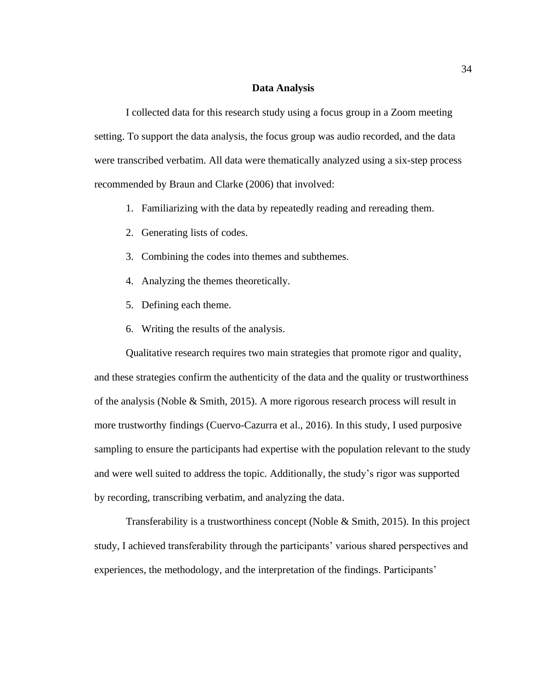## **Data Analysis**

I collected data for this research study using a focus group in a Zoom meeting setting. To support the data analysis, the focus group was audio recorded, and the data were transcribed verbatim. All data were thematically analyzed using a six-step process recommended by Braun and Clarke (2006) that involved:

- 1. Familiarizing with the data by repeatedly reading and rereading them.
- 2. Generating lists of codes.
- 3. Combining the codes into themes and subthemes.
- 4. Analyzing the themes theoretically.
- 5. Defining each theme.
- 6. Writing the results of the analysis.

Qualitative research requires two main strategies that promote rigor and quality, and these strategies confirm the authenticity of the data and the quality or trustworthiness of the analysis (Noble & Smith, 2015). A more rigorous research process will result in more trustworthy findings (Cuervo-Cazurra et al., 2016). In this study, I used purposive sampling to ensure the participants had expertise with the population relevant to the study and were well suited to address the topic. Additionally, the study's rigor was supported by recording, transcribing verbatim, and analyzing the data.

Transferability is a trustworthiness concept (Noble & Smith, 2015). In this project study, I achieved transferability through the participants' various shared perspectives and experiences, the methodology, and the interpretation of the findings. Participants'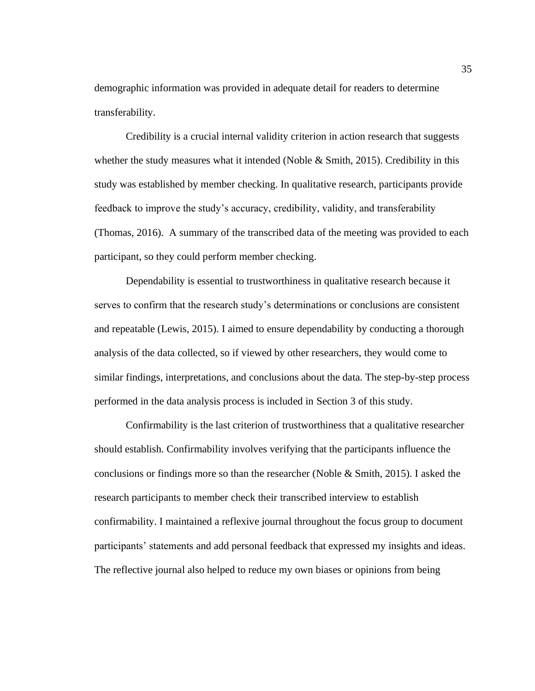demographic information was provided in adequate detail for readers to determine transferability.

Credibility is a crucial internal validity criterion in action research that suggests whether the study measures what it intended (Noble  $& Smith, 2015$ ). Credibility in this study was established by member checking. In qualitative research, participants provide feedback to improve the study's accuracy, credibility, validity, and transferability (Thomas, 2016). A summary of the transcribed data of the meeting was provided to each participant, so they could perform member checking.

Dependability is essential to trustworthiness in qualitative research because it serves to confirm that the research study's determinations or conclusions are consistent and repeatable (Lewis, 2015). I aimed to ensure dependability by conducting a thorough analysis of the data collected, so if viewed by other researchers, they would come to similar findings, interpretations, and conclusions about the data. The step-by-step process performed in the data analysis process is included in Section 3 of this study.

Confirmability is the last criterion of trustworthiness that a qualitative researcher should establish. Confirmability involves verifying that the participants influence the conclusions or findings more so than the researcher (Noble  $\&$  Smith, 2015). I asked the research participants to member check their transcribed interview to establish confirmability. I maintained a reflexive journal throughout the focus group to document participants' statements and add personal feedback that expressed my insights and ideas. The reflective journal also helped to reduce my own biases or opinions from being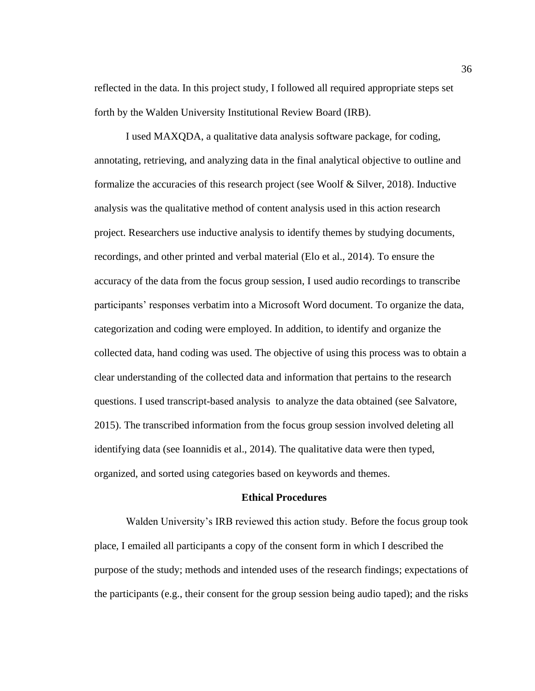reflected in the data. In this project study, I followed all required appropriate steps set forth by the Walden University Institutional Review Board (IRB).

I used MAXQDA, a qualitative data analysis software package, for coding, annotating, retrieving, and analyzing data in the final analytical objective to outline and formalize the accuracies of this research project (see Woolf & Silver, 2018). Inductive analysis was the qualitative method of content analysis used in this action research project. Researchers use inductive analysis to identify themes by studying documents, recordings, and other printed and verbal material (Elo et al., 2014). To ensure the accuracy of the data from the focus group session, I used audio recordings to transcribe participants' responses verbatim into a Microsoft Word document. To organize the data, categorization and coding were employed. In addition, to identify and organize the collected data, hand coding was used. The objective of using this process was to obtain a clear understanding of the collected data and information that pertains to the research questions. I used transcript-based analysis to analyze the data obtained (see Salvatore, 2015). The transcribed information from the focus group session involved deleting all identifying data (see Ioannidis et al., 2014). The qualitative data were then typed, organized, and sorted using categories based on keywords and themes.

#### **Ethical Procedures**

Walden University's IRB reviewed this action study. Before the focus group took place, I emailed all participants a copy of the consent form in which I described the purpose of the study; methods and intended uses of the research findings; expectations of the participants (e.g., their consent for the group session being audio taped); and the risks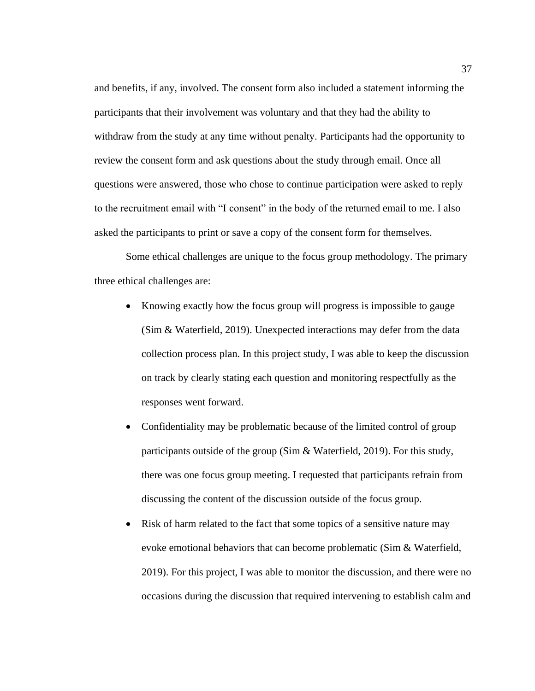and benefits, if any, involved. The consent form also included a statement informing the participants that their involvement was voluntary and that they had the ability to withdraw from the study at any time without penalty. Participants had the opportunity to review the consent form and ask questions about the study through email. Once all questions were answered, those who chose to continue participation were asked to reply to the recruitment email with "I consent" in the body of the returned email to me. I also asked the participants to print or save a copy of the consent form for themselves.

Some ethical challenges are unique to the focus group methodology. The primary three ethical challenges are:

- Knowing exactly how the focus group will progress is impossible to gauge (Sim & Waterfield, 2019). Unexpected interactions may defer from the data collection process plan. In this project study, I was able to keep the discussion on track by clearly stating each question and monitoring respectfully as the responses went forward.
- Confidentiality may be problematic because of the limited control of group participants outside of the group (Sim & Waterfield, 2019). For this study, there was one focus group meeting. I requested that participants refrain from discussing the content of the discussion outside of the focus group.
- Risk of harm related to the fact that some topics of a sensitive nature may evoke emotional behaviors that can become problematic (Sim & Waterfield, 2019). For this project, I was able to monitor the discussion, and there were no occasions during the discussion that required intervening to establish calm and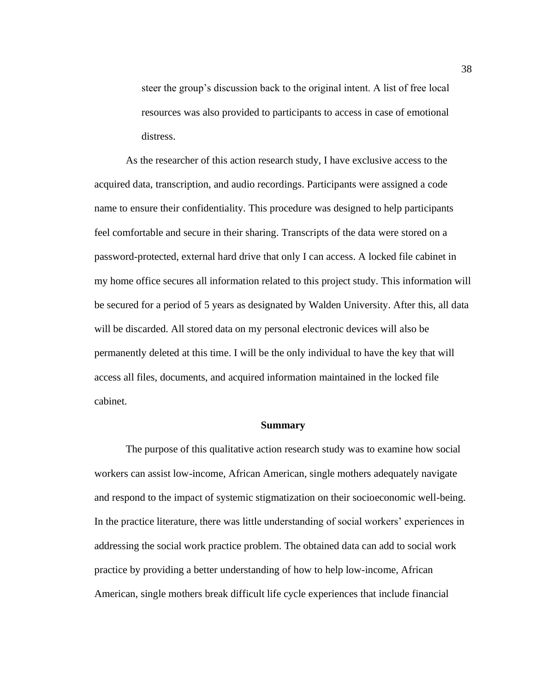steer the group's discussion back to the original intent. A list of free local resources was also provided to participants to access in case of emotional distress.

As the researcher of this action research study, I have exclusive access to the acquired data, transcription, and audio recordings. Participants were assigned a code name to ensure their confidentiality. This procedure was designed to help participants feel comfortable and secure in their sharing. Transcripts of the data were stored on a password-protected, external hard drive that only I can access. A locked file cabinet in my home office secures all information related to this project study. This information will be secured for a period of 5 years as designated by Walden University. After this, all data will be discarded. All stored data on my personal electronic devices will also be permanently deleted at this time. I will be the only individual to have the key that will access all files, documents, and acquired information maintained in the locked file cabinet.

### **Summary**

The purpose of this qualitative action research study was to examine how social workers can assist low-income, African American, single mothers adequately navigate and respond to the impact of systemic stigmatization on their socioeconomic well-being. In the practice literature, there was little understanding of social workers' experiences in addressing the social work practice problem. The obtained data can add to social work practice by providing a better understanding of how to help low-income, African American, single mothers break difficult life cycle experiences that include financial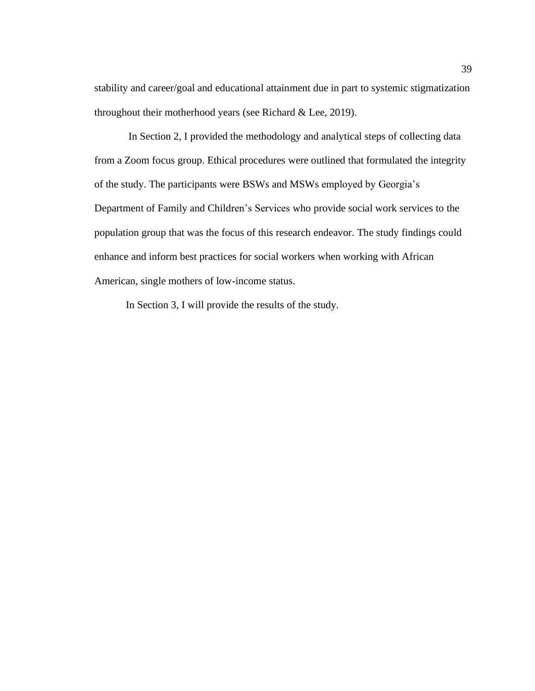stability and career/goal and educational attainment due in part to systemic stigmatization throughout their motherhood years (see Richard & Lee, 2019).

In Section 2, I provided the methodology and analytical steps of collecting data from a Zoom focus group. Ethical procedures were outlined that formulated the integrity of the study. The participants were BSWs and MSWs employed by Georgia's Department of Family and Children's Services who provide social work services to the population group that was the focus of this research endeavor. The study findings could enhance and inform best practices for social workers when working with African American, single mothers of low-income status.

In Section 3, I will provide the results of the study.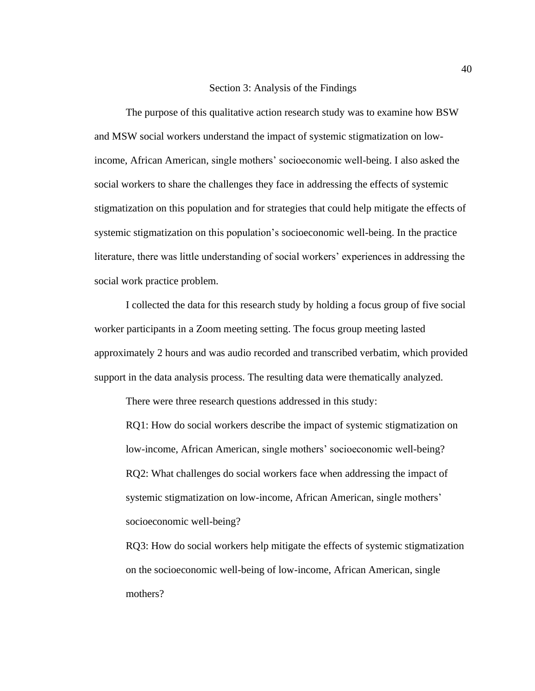### Section 3: Analysis of the Findings

The purpose of this qualitative action research study was to examine how BSW and MSW social workers understand the impact of systemic stigmatization on lowincome, African American, single mothers' socioeconomic well-being. I also asked the social workers to share the challenges they face in addressing the effects of systemic stigmatization on this population and for strategies that could help mitigate the effects of systemic stigmatization on this population's socioeconomic well-being. In the practice literature, there was little understanding of social workers' experiences in addressing the social work practice problem.

I collected the data for this research study by holding a focus group of five social worker participants in a Zoom meeting setting. The focus group meeting lasted approximately 2 hours and was audio recorded and transcribed verbatim, which provided support in the data analysis process. The resulting data were thematically analyzed.

There were three research questions addressed in this study:

RQ1: How do social workers describe the impact of systemic stigmatization on low-income, African American, single mothers' socioeconomic well-being? RQ2: What challenges do social workers face when addressing the impact of systemic stigmatization on low-income, African American, single mothers' socioeconomic well-being?

RQ3: How do social workers help mitigate the effects of systemic stigmatization on the socioeconomic well-being of low-income, African American, single mothers?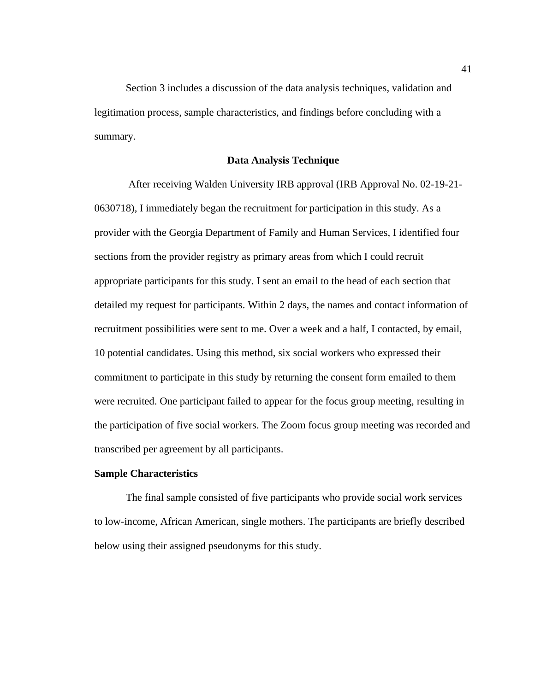Section 3 includes a discussion of the data analysis techniques, validation and legitimation process, sample characteristics, and findings before concluding with a summary.

## **Data Analysis Technique**

After receiving Walden University IRB approval (IRB Approval No. 02-19-21- 0630718), I immediately began the recruitment for participation in this study. As a provider with the Georgia Department of Family and Human Services, I identified four sections from the provider registry as primary areas from which I could recruit appropriate participants for this study. I sent an email to the head of each section that detailed my request for participants. Within 2 days, the names and contact information of recruitment possibilities were sent to me. Over a week and a half, I contacted, by email, 10 potential candidates. Using this method, six social workers who expressed their commitment to participate in this study by returning the consent form emailed to them were recruited. One participant failed to appear for the focus group meeting, resulting in the participation of five social workers. The Zoom focus group meeting was recorded and transcribed per agreement by all participants.

### **Sample Characteristics**

The final sample consisted of five participants who provide social work services to low-income, African American, single mothers. The participants are briefly described below using their assigned pseudonyms for this study.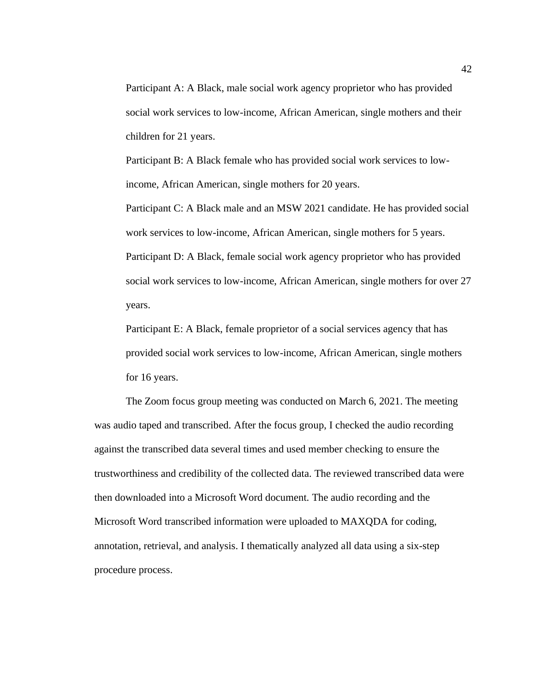Participant A: A Black, male social work agency proprietor who has provided social work services to low-income, African American, single mothers and their children for 21 years.

Participant B: A Black female who has provided social work services to lowincome, African American, single mothers for 20 years.

Participant C: A Black male and an MSW 2021 candidate. He has provided social work services to low-income, African American, single mothers for 5 years. Participant D: A Black, female social work agency proprietor who has provided social work services to low-income, African American, single mothers for over 27 years.

Participant E: A Black, female proprietor of a social services agency that has provided social work services to low-income, African American, single mothers for 16 years.

The Zoom focus group meeting was conducted on March 6, 2021. The meeting was audio taped and transcribed. After the focus group, I checked the audio recording against the transcribed data several times and used member checking to ensure the trustworthiness and credibility of the collected data. The reviewed transcribed data were then downloaded into a Microsoft Word document. The audio recording and the Microsoft Word transcribed information were uploaded to MAXQDA for coding, annotation, retrieval, and analysis. I thematically analyzed all data using a six-step procedure process.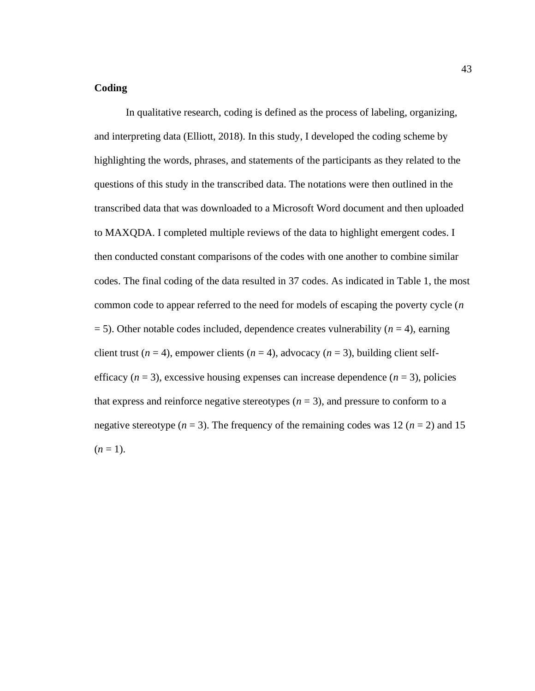# **Coding**

In qualitative research, coding is defined as the process of labeling, organizing, and interpreting data (Elliott, 2018). In this study, I developed the coding scheme by highlighting the words, phrases, and statements of the participants as they related to the questions of this study in the transcribed data. The notations were then outlined in the transcribed data that was downloaded to a Microsoft Word document and then uploaded to MAXQDA. I completed multiple reviews of the data to highlight emergent codes. I then conducted constant comparisons of the codes with one another to combine similar codes. The final coding of the data resulted in 37 codes. As indicated in Table 1, the most common code to appear referred to the need for models of escaping the poverty cycle (*n*  $=$  5). Other notable codes included, dependence creates vulnerability ( $n = 4$ ), earning client trust ( $n = 4$ ), empower clients ( $n = 4$ ), advocacy ( $n = 3$ ), building client selfefficacy  $(n = 3)$ , excessive housing expenses can increase dependence  $(n = 3)$ , policies that express and reinforce negative stereotypes  $(n = 3)$ , and pressure to conform to a negative stereotype ( $n = 3$ ). The frequency of the remaining codes was 12 ( $n = 2$ ) and 15  $(n=1)$ .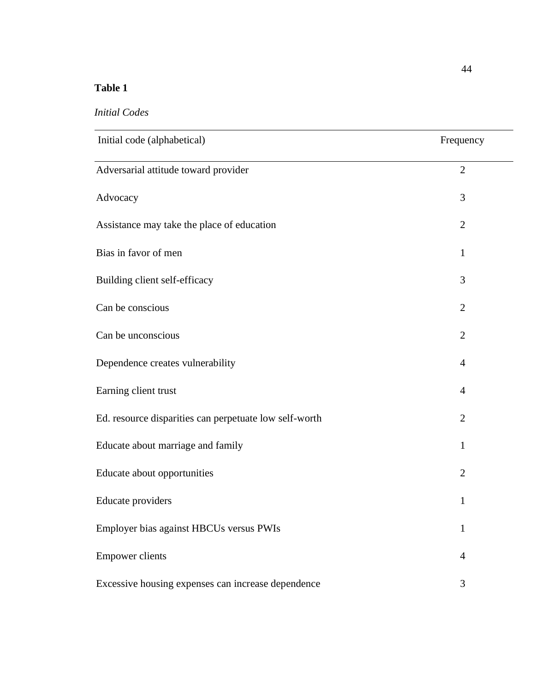# **Table 1**

| Initial code (alphabetical)                            | Frequency      |
|--------------------------------------------------------|----------------|
| Adversarial attitude toward provider                   | $\overline{2}$ |
| Advocacy                                               | 3              |
| Assistance may take the place of education             | $\overline{2}$ |
| Bias in favor of men                                   | 1              |
| Building client self-efficacy                          | 3              |
| Can be conscious                                       | $\overline{2}$ |
| Can be unconscious                                     | $\overline{2}$ |
| Dependence creates vulnerability                       | 4              |
| Earning client trust                                   | $\overline{4}$ |
| Ed. resource disparities can perpetuate low self-worth | $\overline{2}$ |
| Educate about marriage and family                      | 1              |
| Educate about opportunities                            | $\overline{2}$ |
| Educate providers                                      | 1              |
| Employer bias against HBCUs versus PWIs                | $\mathbf{1}$   |
| <b>Empower clients</b>                                 | $\overline{4}$ |
| Excessive housing expenses can increase dependence     | 3              |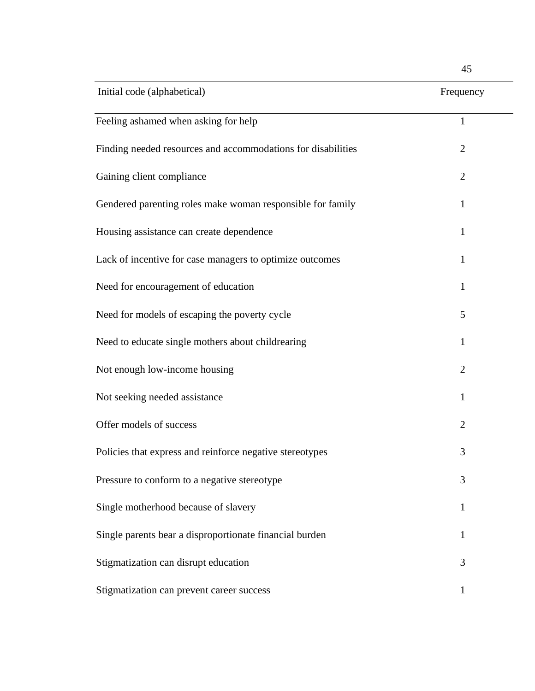| Initial code (alphabetical)                                  | Frequency      |
|--------------------------------------------------------------|----------------|
| Feeling ashamed when asking for help                         | $\mathbf{1}$   |
| Finding needed resources and accommodations for disabilities | $\overline{2}$ |
| Gaining client compliance                                    | $\overline{2}$ |
| Gendered parenting roles make woman responsible for family   | 1              |
| Housing assistance can create dependence                     | 1              |
| Lack of incentive for case managers to optimize outcomes     | $\mathbf{1}$   |
| Need for encouragement of education                          | 1              |
| Need for models of escaping the poverty cycle                | 5              |
| Need to educate single mothers about childrearing            | 1              |
| Not enough low-income housing                                | $\overline{2}$ |
| Not seeking needed assistance                                | 1              |
| Offer models of success                                      | $\overline{2}$ |
| Policies that express and reinforce negative stereotypes     | 3              |
| Pressure to conform to a negative stereotype                 | 3              |
| Single motherhood because of slavery                         | $\mathbf{1}$   |
| Single parents bear a disproportionate financial burden      | 1              |
| Stigmatization can disrupt education                         | 3              |
| Stigmatization can prevent career success                    | 1              |

45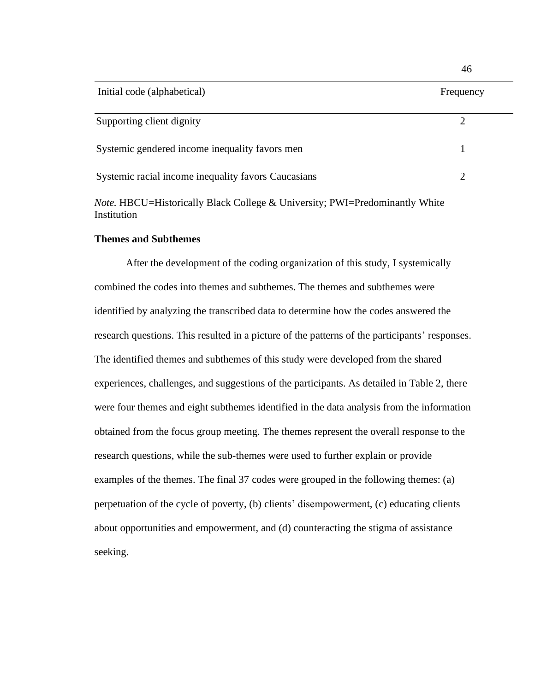| Initial code (alphabetical)                         | Frequency |
|-----------------------------------------------------|-----------|
| Supporting client dignity                           |           |
| Systemic gendered income inequality favors men      |           |
| Systemic racial income inequality favors Caucasians |           |

46

*Note.* HBCU=Historically Black College & University; PWI=Predominantly White Institution

## **Themes and Subthemes**

After the development of the coding organization of this study, I systemically combined the codes into themes and subthemes. The themes and subthemes were identified by analyzing the transcribed data to determine how the codes answered the research questions. This resulted in a picture of the patterns of the participants' responses. The identified themes and subthemes of this study were developed from the shared experiences, challenges, and suggestions of the participants. As detailed in Table 2, there were four themes and eight subthemes identified in the data analysis from the information obtained from the focus group meeting. The themes represent the overall response to the research questions, while the sub-themes were used to further explain or provide examples of the themes. The final 37 codes were grouped in the following themes: (a) perpetuation of the cycle of poverty, (b) clients' disempowerment, (c) educating clients about opportunities and empowerment, and (d) counteracting the stigma of assistance seeking.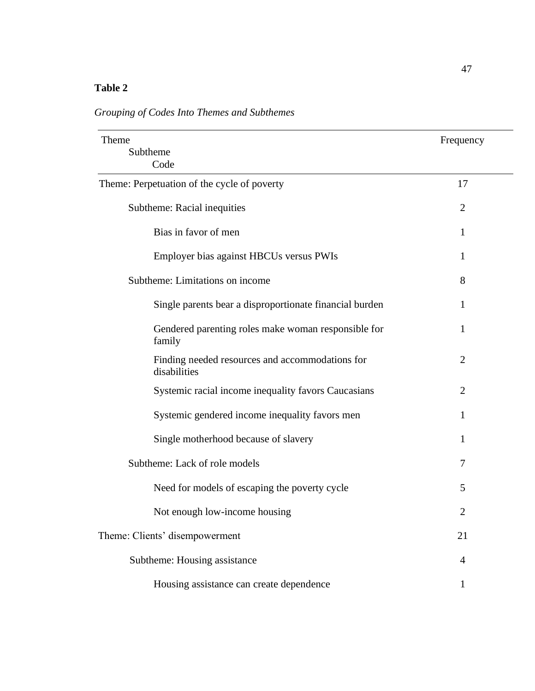# **Table 2**

*Grouping of Codes Into Themes and Subthemes*

| Theme                                                           | Frequency      |
|-----------------------------------------------------------------|----------------|
| Subtheme<br>Code                                                |                |
| Theme: Perpetuation of the cycle of poverty                     | 17             |
| Subtheme: Racial inequities                                     | $\overline{2}$ |
| Bias in favor of men                                            | 1              |
| Employer bias against HBCUs versus PWIs                         | $\mathbf{1}$   |
| Subtheme: Limitations on income                                 | 8              |
| Single parents bear a disproportionate financial burden         | 1              |
| Gendered parenting roles make woman responsible for<br>family   | $\mathbf{1}$   |
| Finding needed resources and accommodations for<br>disabilities | $\overline{2}$ |
| Systemic racial income inequality favors Caucasians             | $\overline{2}$ |
| Systemic gendered income inequality favors men                  | 1              |
| Single motherhood because of slavery                            | 1              |
| Subtheme: Lack of role models                                   | $\tau$         |
| Need for models of escaping the poverty cycle                   | 5              |
| Not enough low-income housing                                   | $\overline{2}$ |
| Theme: Clients' disempowerment                                  | 21             |
| Subtheme: Housing assistance                                    | $\overline{4}$ |
| Housing assistance can create dependence                        | 1              |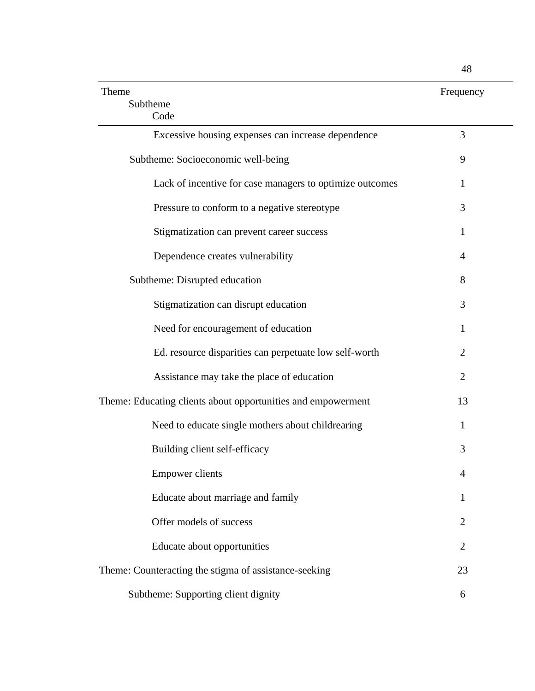| Theme                                                        | Frequency      |
|--------------------------------------------------------------|----------------|
| Subtheme<br>Code                                             |                |
| Excessive housing expenses can increase dependence           | 3              |
| Subtheme: Socioeconomic well-being                           | 9              |
| Lack of incentive for case managers to optimize outcomes     | 1              |
| Pressure to conform to a negative stereotype                 | 3              |
| Stigmatization can prevent career success                    | 1              |
| Dependence creates vulnerability                             | 4              |
| Subtheme: Disrupted education                                | 8              |
| Stigmatization can disrupt education                         | 3              |
| Need for encouragement of education                          | 1              |
| Ed. resource disparities can perpetuate low self-worth       | $\overline{2}$ |
| Assistance may take the place of education                   | $\overline{2}$ |
| Theme: Educating clients about opportunities and empowerment | 13             |
| Need to educate single mothers about childrearing            | 1              |
| Building client self-efficacy                                | 3              |
| <b>Empower clients</b>                                       | 4              |
| Educate about marriage and family                            | 1              |
| Offer models of success                                      | $\overline{2}$ |
| Educate about opportunities                                  | $\overline{2}$ |
| Theme: Counteracting the stigma of assistance-seeking        | 23             |
| Subtheme: Supporting client dignity                          | 6              |

48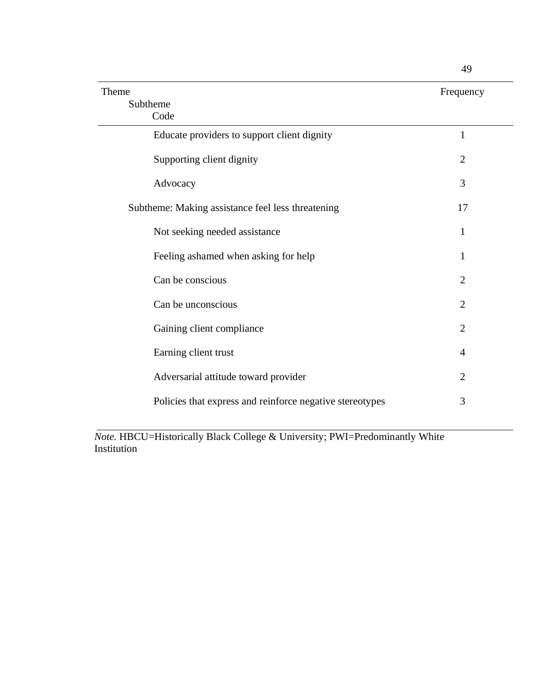| Theme                                                    | Frequency      |
|----------------------------------------------------------|----------------|
| Subtheme                                                 |                |
| Code                                                     |                |
| Educate providers to support client dignity              | $\mathbf{1}$   |
| Supporting client dignity                                | $\overline{2}$ |
| Advocacy                                                 | 3              |
| Subtheme: Making assistance feel less threatening        | 17             |
| Not seeking needed assistance                            | 1              |
| Feeling ashamed when asking for help                     | $\mathbf{1}$   |
| Can be conscious                                         | $\overline{2}$ |
| Can be unconscious                                       | $\overline{2}$ |
| Gaining client compliance                                | $\overline{2}$ |
| Earning client trust                                     | 4              |
| Adversarial attitude toward provider                     | $\overline{2}$ |
| Policies that express and reinforce negative stereotypes | 3              |

*Note.* HBCU=Historically Black College & University; PWI=Predominantly White Institution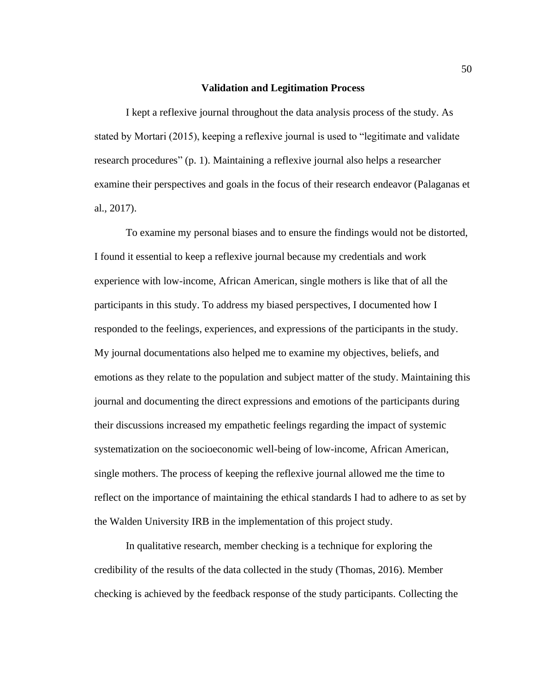### **Validation and Legitimation Process**

I kept a reflexive journal throughout the data analysis process of the study. As stated by Mortari (2015), keeping a reflexive journal is used to "legitimate and validate research procedures" (p. 1). Maintaining a reflexive journal also helps a researcher examine their perspectives and goals in the focus of their research endeavor (Palaganas et al., 2017).

To examine my personal biases and to ensure the findings would not be distorted, I found it essential to keep a reflexive journal because my credentials and work experience with low-income, African American, single mothers is like that of all the participants in this study. To address my biased perspectives, I documented how I responded to the feelings, experiences, and expressions of the participants in the study. My journal documentations also helped me to examine my objectives, beliefs, and emotions as they relate to the population and subject matter of the study. Maintaining this journal and documenting the direct expressions and emotions of the participants during their discussions increased my empathetic feelings regarding the impact of systemic systematization on the socioeconomic well-being of low-income, African American, single mothers. The process of keeping the reflexive journal allowed me the time to reflect on the importance of maintaining the ethical standards I had to adhere to as set by the Walden University IRB in the implementation of this project study.

In qualitative research, member checking is a technique for exploring the credibility of the results of the data collected in the study (Thomas, 2016). Member checking is achieved by the feedback response of the study participants. Collecting the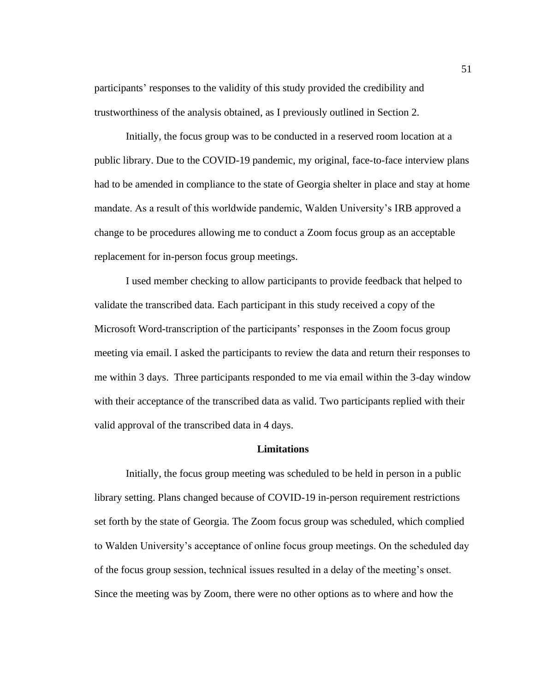participants' responses to the validity of this study provided the credibility and trustworthiness of the analysis obtained, as I previously outlined in Section 2.

Initially, the focus group was to be conducted in a reserved room location at a public library. Due to the COVID-19 pandemic, my original, face-to-face interview plans had to be amended in compliance to the state of Georgia shelter in place and stay at home mandate. As a result of this worldwide pandemic, Walden University's IRB approved a change to be procedures allowing me to conduct a Zoom focus group as an acceptable replacement for in-person focus group meetings.

I used member checking to allow participants to provide feedback that helped to validate the transcribed data. Each participant in this study received a copy of the Microsoft Word-transcription of the participants' responses in the Zoom focus group meeting via email. I asked the participants to review the data and return their responses to me within 3 days. Three participants responded to me via email within the 3-day window with their acceptance of the transcribed data as valid. Two participants replied with their valid approval of the transcribed data in 4 days.

### **Limitations**

Initially, the focus group meeting was scheduled to be held in person in a public library setting. Plans changed because of COVID-19 in-person requirement restrictions set forth by the state of Georgia. The Zoom focus group was scheduled, which complied to Walden University's acceptance of online focus group meetings. On the scheduled day of the focus group session, technical issues resulted in a delay of the meeting's onset. Since the meeting was by Zoom, there were no other options as to where and how the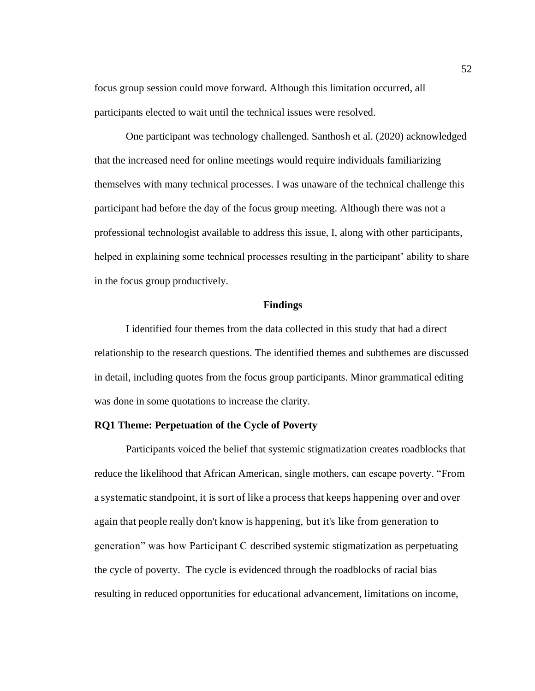focus group session could move forward. Although this limitation occurred, all participants elected to wait until the technical issues were resolved.

One participant was technology challenged. Santhosh et al. (2020) acknowledged that the increased need for online meetings would require individuals familiarizing themselves with many technical processes. I was unaware of the technical challenge this participant had before the day of the focus group meeting. Although there was not a professional technologist available to address this issue, I, along with other participants, helped in explaining some technical processes resulting in the participant' ability to share in the focus group productively.

# **Findings**

I identified four themes from the data collected in this study that had a direct relationship to the research questions. The identified themes and subthemes are discussed in detail, including quotes from the focus group participants. Minor grammatical editing was done in some quotations to increase the clarity.

### **RQ1 Theme: Perpetuation of the Cycle of Poverty**

Participants voiced the belief that systemic stigmatization creates roadblocks that reduce the likelihood that African American, single mothers, can escape poverty. "From a systematic standpoint, it is sort of like a process that keeps happening over and over again that people really don't know is happening, but it's like from generation to generation" was how Participant C described systemic stigmatization as perpetuating the cycle of poverty. The cycle is evidenced through the roadblocks of racial bias resulting in reduced opportunities for educational advancement, limitations on income,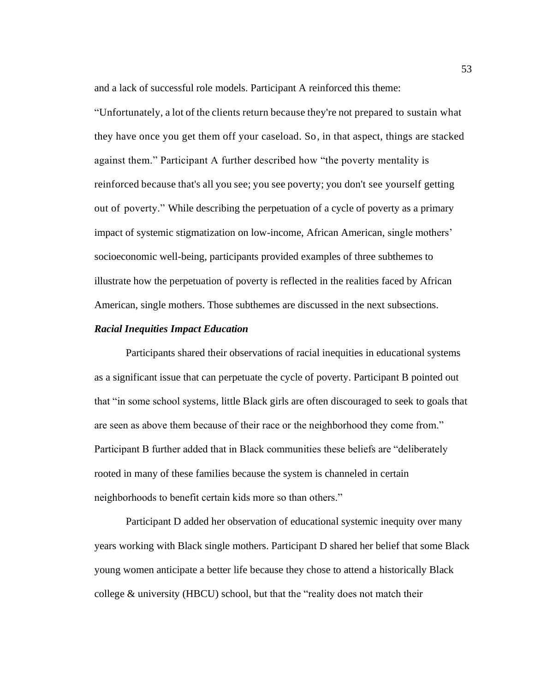and a lack of successful role models. Participant A reinforced this theme:

"Unfortunately, a lot of the clients return because they're not prepared to sustain what they have once you get them off your caseload. So, in that aspect, things are stacked against them." Participant A further described how "the poverty mentality is reinforced because that's all you see; you see poverty; you don't see yourself getting out of poverty." While describing the perpetuation of a cycle of poverty as a primary impact of systemic stigmatization on low-income, African American, single mothers' socioeconomic well-being, participants provided examples of three subthemes to illustrate how the perpetuation of poverty is reflected in the realities faced by African American, single mothers. Those subthemes are discussed in the next subsections.

### *Racial Inequities Impact Education*

Participants shared their observations of racial inequities in educational systems as a significant issue that can perpetuate the cycle of poverty. Participant B pointed out that "in some school systems*,* little Black girls are often discouraged to seek to goals that are seen as above them because of their race or the neighborhood they come from." Participant B further added that in Black communities these beliefs are "deliberately rooted in many of these families because the system is channeled in certain neighborhoods to benefit certain kids more so than others."

Participant D added her observation of educational systemic inequity over many years working with Black single mothers. Participant D shared her belief that some Black young women anticipate a better life because they chose to attend a historically Black college  $&$  university (HBCU) school, but that the "reality does not match their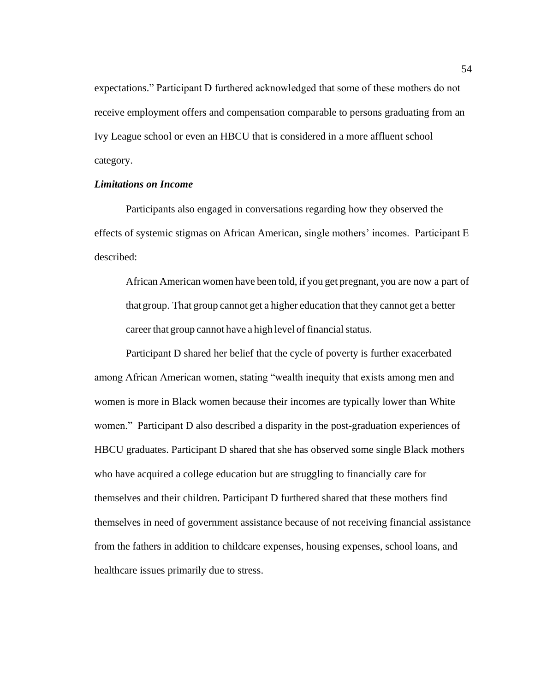expectations." Participant D furthered acknowledged that some of these mothers do not receive employment offers and compensation comparable to persons graduating from an Ivy League school or even an HBCU that is considered in a more affluent school category.

# *Limitations on Income*

Participants also engaged in conversations regarding how they observed the effects of systemic stigmas on African American, single mothers' incomes. Participant E described:

African American women have been told, if you get pregnant, you are now a part of thatgroup. That group cannot get a higher education that they cannot get a better career that group cannot have a high level of financial status.

Participant D shared her belief that the cycle of poverty is further exacerbated among African American women, stating "wealth inequity that exists among men and women is more in Black women because their incomes are typically lower than White women." Participant D also described a disparity in the post-graduation experiences of HBCU graduates. Participant D shared that she has observed some single Black mothers who have acquired a college education but are struggling to financially care for themselves and their children. Participant D furthered shared that these mothers find themselves in need of government assistance because of not receiving financial assistance from the fathers in addition to childcare expenses, housing expenses, school loans, and healthcare issues primarily due to stress.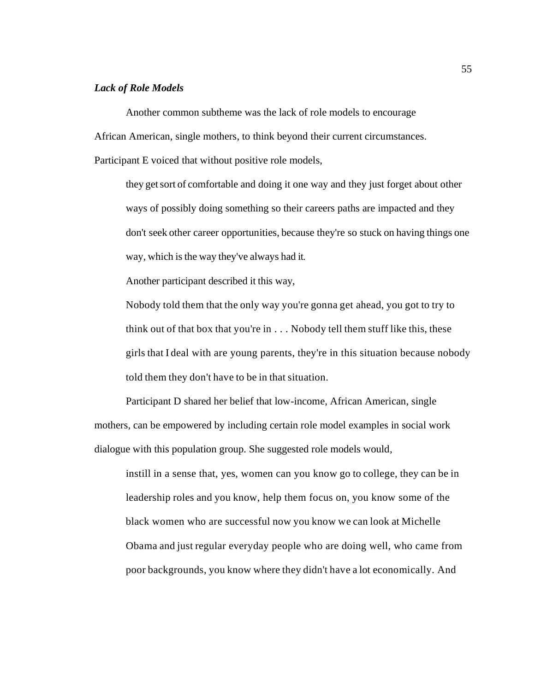# *Lack of Role Models*

Another common subtheme was the lack of role models to encourage African American, single mothers, to think beyond their current circumstances. Participant E voiced that without positive role models,

they getsort of comfortable and doing it one way and they just forget about other ways of possibly doing something so their careers paths are impacted and they don't seek other career opportunities, because they're so stuck on having things one way, which is the way they've always had it.

Another participant described it this way,

Nobody told them that the only way you're gonna get ahead, you got to try to think out of that box that you're in  $\ldots$  Nobody tell them stuff like this, these girls that I deal with are young parents, they're in this situation because nobody told them they don't have to be in that situation.

Participant D shared her belief that low-income, African American, single mothers, can be empowered by including certain role model examples in social work dialogue with this population group. She suggested role models would,

instill in a sense that, yes, women can you know go to college, they can be in leadership roles and you know, help them focus on, you know some of the black women who are successful now you know we can look at Michelle Obama and just regular everyday people who are doing well, who came from poor backgrounds, you know where they didn't have a lot economically. And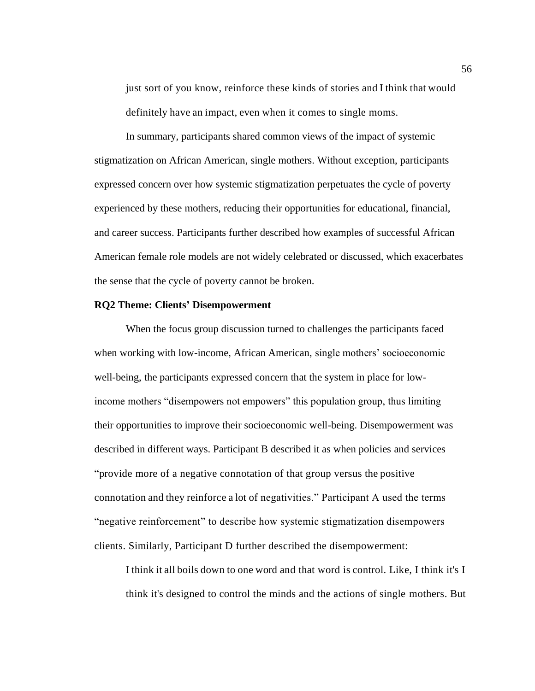just sort of you know, reinforce these kinds of stories and I think that would definitely have an impact, even when it comes to single moms.

In summary, participants shared common views of the impact of systemic stigmatization on African American, single mothers. Without exception, participants expressed concern over how systemic stigmatization perpetuates the cycle of poverty experienced by these mothers, reducing their opportunities for educational, financial, and career success. Participants further described how examples of successful African American female role models are not widely celebrated or discussed, which exacerbates the sense that the cycle of poverty cannot be broken.

## **RQ2 Theme: Clients' Disempowerment**

When the focus group discussion turned to challenges the participants faced when working with low-income, African American, single mothers' socioeconomic well-being, the participants expressed concern that the system in place for lowincome mothers "disempowers not empowers" this population group, thus limiting their opportunities to improve their socioeconomic well-being. Disempowerment was described in different ways. Participant B described it as when policies and services "provide more of a negative connotation of that group versus the positive connotation and they reinforce a lot of negativities." Participant A used the terms "negative reinforcement" to describe how systemic stigmatization disempowers clients. Similarly, Participant D further described the disempowerment:

I think it all boils down to one word and that word is control. Like, I think it's I think it's designed to control the minds and the actions of single mothers. But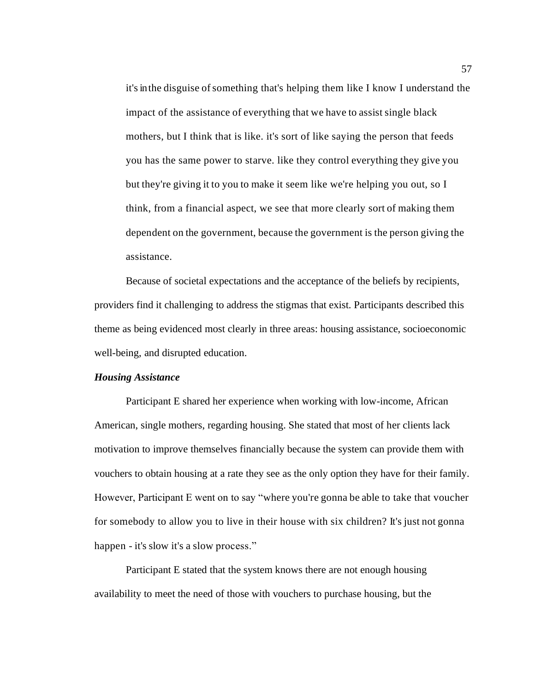it's in the disguise of something that's helping them like I know I understand the impact of the assistance of everything that we have to assist single black mothers, but I think that is like. it's sort of like saying the person that feeds you has the same power to starve. like they control everything they give you but they're giving it to you to make it seem like we're helping you out, so I think, from a financial aspect, we see that more clearly sort of making them dependent on the government, because the government is the person giving the assistance.

Because of societal expectations and the acceptance of the beliefs by recipients, providers find it challenging to address the stigmas that exist. Participants described this theme as being evidenced most clearly in three areas: housing assistance, socioeconomic well-being, and disrupted education.

# *Housing Assistance*

Participant E shared her experience when working with low-income, African American, single mothers, regarding housing. She stated that most of her clients lack motivation to improve themselves financially because the system can provide them with vouchers to obtain housing at a rate they see as the only option they have for their family. However, Participant E went on to say "where you're gonna be able to take that voucher for somebody to allow you to live in their house with six children? It's just not gonna happen - it's slow it's a slow process."

Participant E stated that the system knows there are not enough housing availability to meet the need of those with vouchers to purchase housing, but the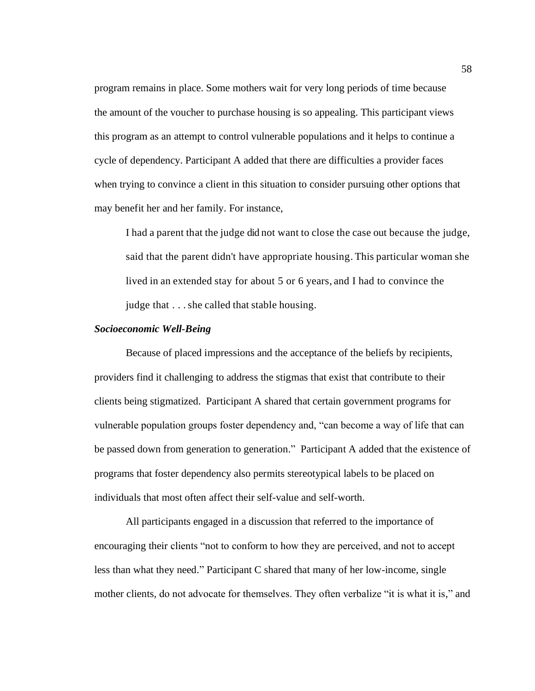program remains in place. Some mothers wait for very long periods of time because the amount of the voucher to purchase housing is so appealing. This participant views this program as an attempt to control vulnerable populations and it helps to continue a cycle of dependency. Participant A added that there are difficulties a provider faces when trying to convince a client in this situation to consider pursuing other options that may benefit her and her family. For instance,

I had a parent that the judge did not want to close the case out because the judge, said that the parent didn't have appropriate housing. This particular woman she lived in an extended stay for about 5 or 6 years, and I had to convince the judge that . . . she called that stable housing.

### *Socioeconomic Well-Being*

Because of placed impressions and the acceptance of the beliefs by recipients, providers find it challenging to address the stigmas that exist that contribute to their clients being stigmatized. Participant A shared that certain government programs for vulnerable population groups foster dependency and, "can become a way of life that can be passed down from generation to generation." Participant A added that the existence of programs that foster dependency also permits stereotypical labels to be placed on individuals that most often affect their self-value and self-worth.

All participants engaged in a discussion that referred to the importance of encouraging their clients "not to conform to how they are perceived, and not to accept less than what they need." Participant C shared that many of her low-income, single mother clients, do not advocate for themselves. They often verbalize "it is what it is," and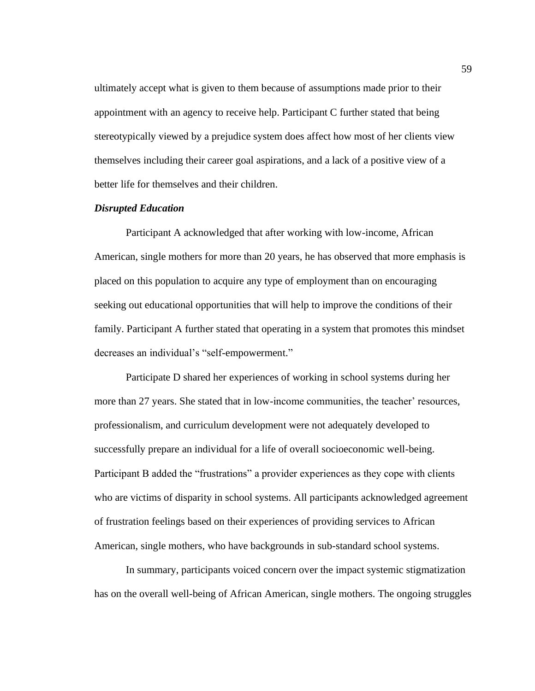ultimately accept what is given to them because of assumptions made prior to their appointment with an agency to receive help. Participant C further stated that being stereotypically viewed by a prejudice system does affect how most of her clients view themselves including their career goal aspirations, and a lack of a positive view of a better life for themselves and their children.

## *Disrupted Education*

Participant A acknowledged that after working with low-income, African American, single mothers for more than 20 years, he has observed that more emphasis is placed on this population to acquire any type of employment than on encouraging seeking out educational opportunities that will help to improve the conditions of their family. Participant A further stated that operating in a system that promotes this mindset decreases an individual's "self-empowerment."

Participate D shared her experiences of working in school systems during her more than 27 years. She stated that in low-income communities, the teacher' resources, professionalism, and curriculum development were not adequately developed to successfully prepare an individual for a life of overall socioeconomic well-being. Participant B added the "frustrations" a provider experiences as they cope with clients who are victims of disparity in school systems. All participants acknowledged agreement of frustration feelings based on their experiences of providing services to African American, single mothers, who have backgrounds in sub-standard school systems.

In summary, participants voiced concern over the impact systemic stigmatization has on the overall well-being of African American, single mothers. The ongoing struggles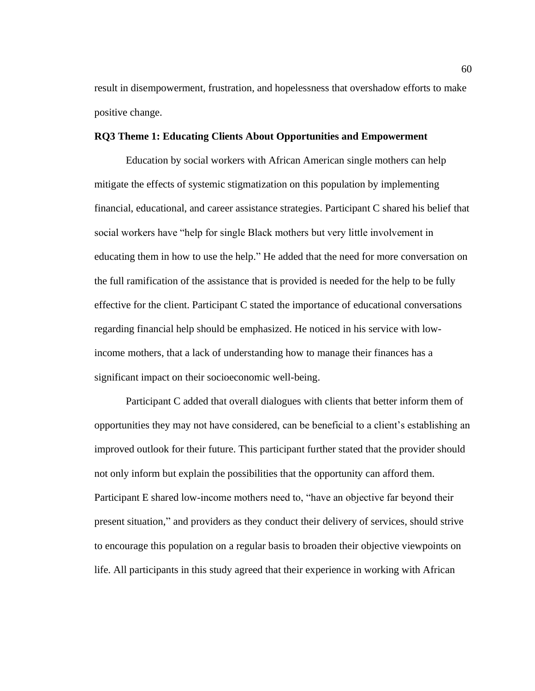result in disempowerment, frustration, and hopelessness that overshadow efforts to make positive change.

### **RQ3 Theme 1: Educating Clients About Opportunities and Empowerment**

Education by social workers with African American single mothers can help mitigate the effects of systemic stigmatization on this population by implementing financial, educational, and career assistance strategies. Participant C shared his belief that social workers have "help for single Black mothers but very little involvement in educating them in how to use the help." He added that the need for more conversation on the full ramification of the assistance that is provided is needed for the help to be fully effective for the client. Participant C stated the importance of educational conversations regarding financial help should be emphasized. He noticed in his service with lowincome mothers, that a lack of understanding how to manage their finances has a significant impact on their socioeconomic well-being.

Participant C added that overall dialogues with clients that better inform them of opportunities they may not have considered, can be beneficial to a client's establishing an improved outlook for their future. This participant further stated that the provider should not only inform but explain the possibilities that the opportunity can afford them. Participant E shared low-income mothers need to, "have an objective far beyond their present situation," and providers as they conduct their delivery of services, should strive to encourage this population on a regular basis to broaden their objective viewpoints on life. All participants in this study agreed that their experience in working with African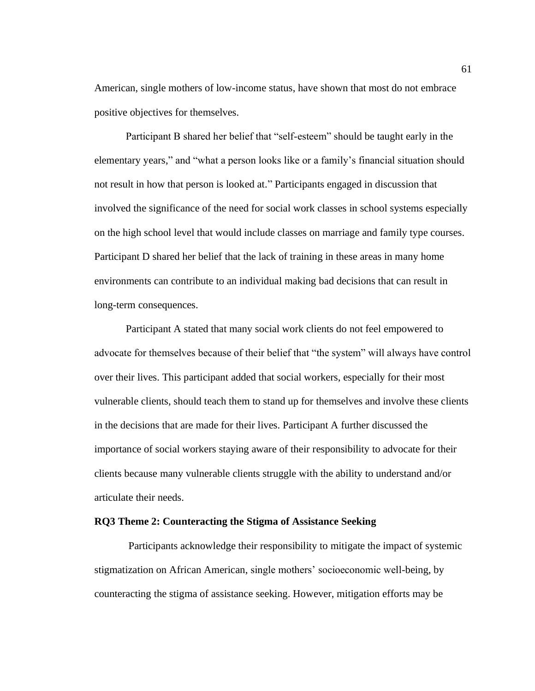American, single mothers of low-income status, have shown that most do not embrace positive objectives for themselves.

Participant B shared her belief that "self-esteem" should be taught early in the elementary years," and "what a person looks like or a family's financial situation should not result in how that person is looked at." Participants engaged in discussion that involved the significance of the need for social work classes in school systems especially on the high school level that would include classes on marriage and family type courses. Participant D shared her belief that the lack of training in these areas in many home environments can contribute to an individual making bad decisions that can result in long-term consequences.

Participant A stated that many social work clients do not feel empowered to advocate for themselves because of their belief that "the system" will always have control over their lives. This participant added that social workers, especially for their most vulnerable clients, should teach them to stand up for themselves and involve these clients in the decisions that are made for their lives. Participant A further discussed the importance of social workers staying aware of their responsibility to advocate for their clients because many vulnerable clients struggle with the ability to understand and/or articulate their needs.

# **RQ3 Theme 2: Counteracting the Stigma of Assistance Seeking**

Participants acknowledge their responsibility to mitigate the impact of systemic stigmatization on African American, single mothers' socioeconomic well-being, by counteracting the stigma of assistance seeking. However, mitigation efforts may be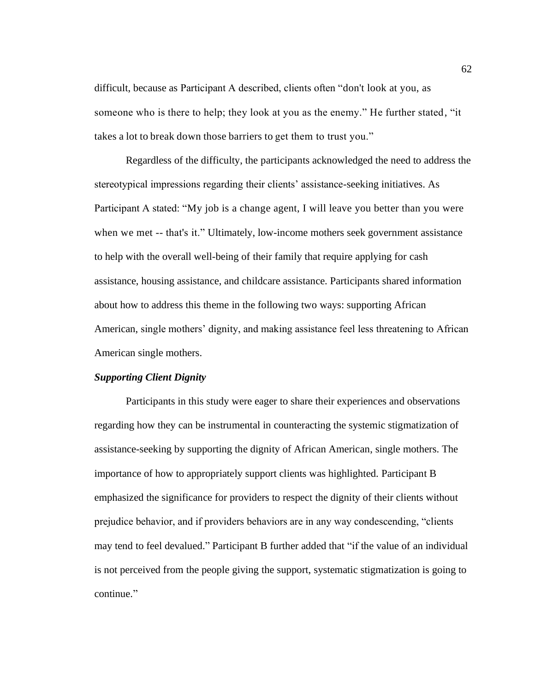difficult, because as Participant A described, clients often "don't look at you, as someone who is there to help; they look at you as the enemy." He further stated, "it takes a lot to break down those barriers to get them to trust you."

Regardless of the difficulty, the participants acknowledged the need to address the stereotypical impressions regarding their clients' assistance-seeking initiatives. As Participant A stated: "My job is a change agent, I will leave you better than you were when we met -- that's it." Ultimately, low-income mothers seek government assistance to help with the overall well-being of their family that require applying for cash assistance, housing assistance, and childcare assistance. Participants shared information about how to address this theme in the following two ways: supporting African American, single mothers' dignity, and making assistance feel less threatening to African American single mothers.

# *Supporting Client Dignity*

Participants in this study were eager to share their experiences and observations regarding how they can be instrumental in counteracting the systemic stigmatization of assistance-seeking by supporting the dignity of African American, single mothers. The importance of how to appropriately support clients was highlighted. Participant B emphasized the significance for providers to respect the dignity of their clients without prejudice behavior, and if providers behaviors are in any way condescending, "clients may tend to feel devalued." Participant B further added that "if the value of an individual is not perceived from the people giving the support, systematic stigmatization is going to continue."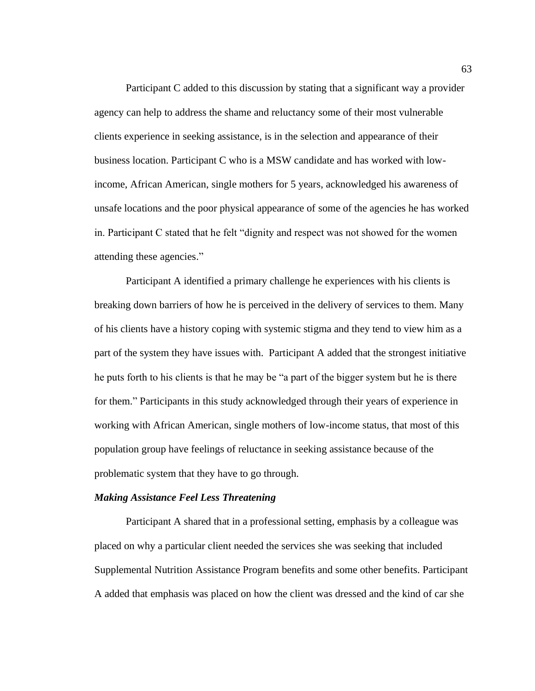Participant C added to this discussion by stating that a significant way a provider agency can help to address the shame and reluctancy some of their most vulnerable clients experience in seeking assistance, is in the selection and appearance of their business location. Participant C who is a MSW candidate and has worked with lowincome, African American, single mothers for 5 years, acknowledged his awareness of unsafe locations and the poor physical appearance of some of the agencies he has worked in. Participant C stated that he felt "dignity and respect was not showed for the women attending these agencies."

Participant A identified a primary challenge he experiences with his clients is breaking down barriers of how he is perceived in the delivery of services to them. Many of his clients have a history coping with systemic stigma and they tend to view him as a part of the system they have issues with. Participant A added that the strongest initiative he puts forth to his clients is that he may be "a part of the bigger system but he is there for them." Participants in this study acknowledged through their years of experience in working with African American, single mothers of low-income status, that most of this population group have feelings of reluctance in seeking assistance because of the problematic system that they have to go through.

#### *Making Assistance Feel Less Threatening*

Participant A shared that in a professional setting, emphasis by a colleague was placed on why a particular client needed the services she was seeking that included Supplemental Nutrition Assistance Program benefits and some other benefits. Participant A added that emphasis was placed on how the client was dressed and the kind of car she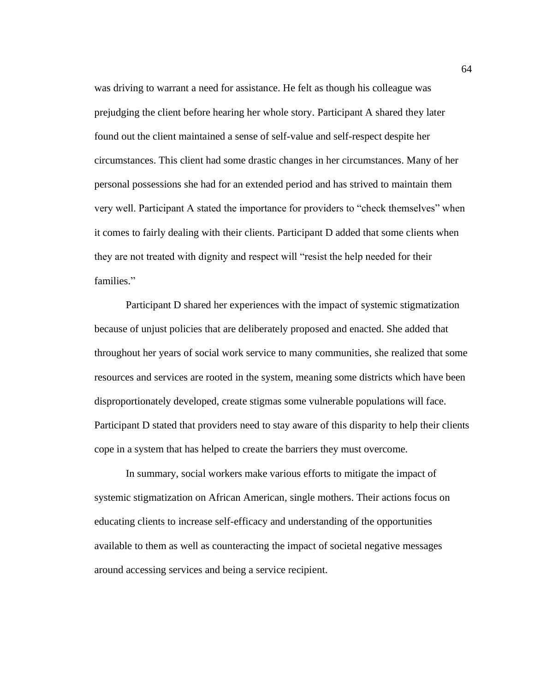was driving to warrant a need for assistance. He felt as though his colleague was prejudging the client before hearing her whole story. Participant A shared they later found out the client maintained a sense of self-value and self-respect despite her circumstances. This client had some drastic changes in her circumstances. Many of her personal possessions she had for an extended period and has strived to maintain them very well. Participant A stated the importance for providers to "check themselves" when it comes to fairly dealing with their clients. Participant D added that some clients when they are not treated with dignity and respect will "resist the help needed for their families."

Participant D shared her experiences with the impact of systemic stigmatization because of unjust policies that are deliberately proposed and enacted. She added that throughout her years of social work service to many communities, she realized that some resources and services are rooted in the system, meaning some districts which have been disproportionately developed, create stigmas some vulnerable populations will face. Participant D stated that providers need to stay aware of this disparity to help their clients cope in a system that has helped to create the barriers they must overcome.

In summary, social workers make various efforts to mitigate the impact of systemic stigmatization on African American, single mothers. Their actions focus on educating clients to increase self-efficacy and understanding of the opportunities available to them as well as counteracting the impact of societal negative messages around accessing services and being a service recipient.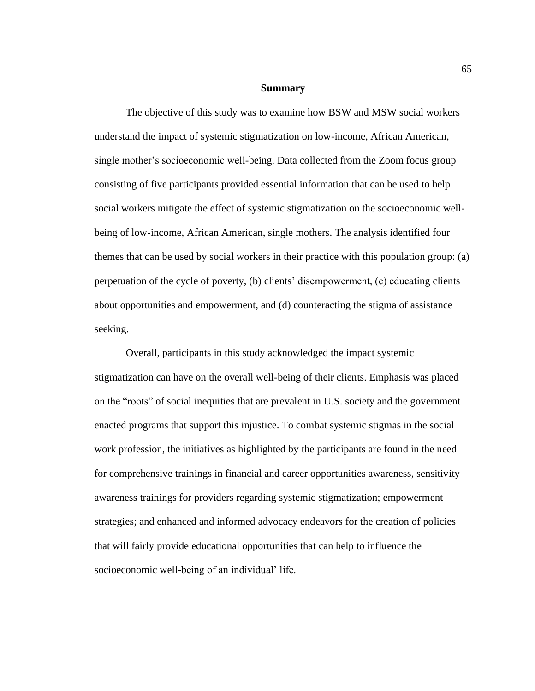### **Summary**

The objective of this study was to examine how BSW and MSW social workers understand the impact of systemic stigmatization on low-income, African American, single mother's socioeconomic well-being. Data collected from the Zoom focus group consisting of five participants provided essential information that can be used to help social workers mitigate the effect of systemic stigmatization on the socioeconomic wellbeing of low-income, African American, single mothers. The analysis identified four themes that can be used by social workers in their practice with this population group: (a) perpetuation of the cycle of poverty, (b) clients' disempowerment, (c) educating clients about opportunities and empowerment, and (d) counteracting the stigma of assistance seeking.

Overall, participants in this study acknowledged the impact systemic stigmatization can have on the overall well-being of their clients. Emphasis was placed on the "roots" of social inequities that are prevalent in U.S. society and the government enacted programs that support this injustice. To combat systemic stigmas in the social work profession, the initiatives as highlighted by the participants are found in the need for comprehensive trainings in financial and career opportunities awareness, sensitivity awareness trainings for providers regarding systemic stigmatization; empowerment strategies; and enhanced and informed advocacy endeavors for the creation of policies that will fairly provide educational opportunities that can help to influence the socioeconomic well-being of an individual' life.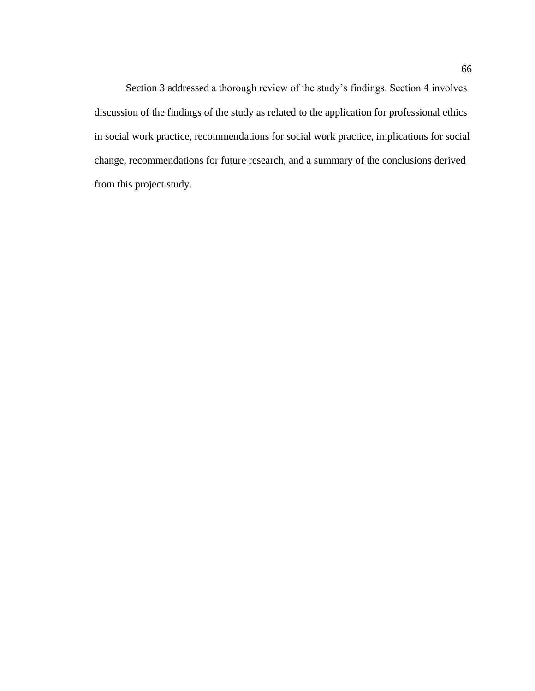Section 3 addressed a thorough review of the study's findings. Section 4 involves discussion of the findings of the study as related to the application for professional ethics in social work practice, recommendations for social work practice, implications for social change, recommendations for future research, and a summary of the conclusions derived from this project study.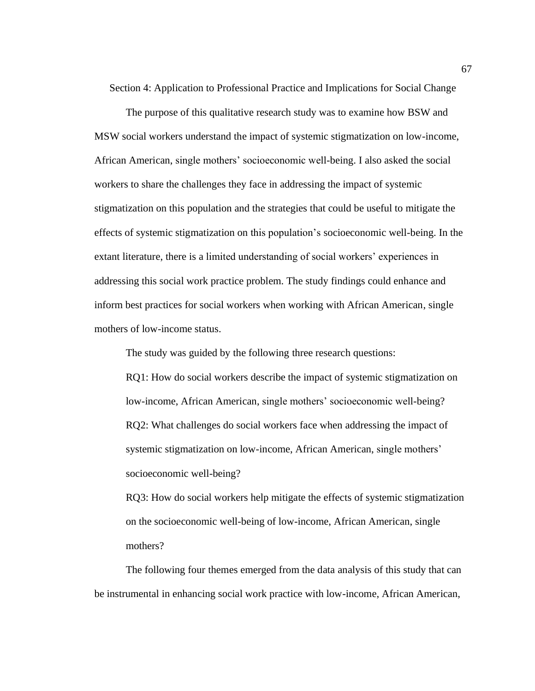Section 4: Application to Professional Practice and Implications for Social Change

The purpose of this qualitative research study was to examine how BSW and MSW social workers understand the impact of systemic stigmatization on low-income, African American, single mothers' socioeconomic well-being. I also asked the social workers to share the challenges they face in addressing the impact of systemic stigmatization on this population and the strategies that could be useful to mitigate the effects of systemic stigmatization on this population's socioeconomic well-being. In the extant literature, there is a limited understanding of social workers' experiences in addressing this social work practice problem. The study findings could enhance and inform best practices for social workers when working with African American, single mothers of low-income status.

The study was guided by the following three research questions:

RQ1: How do social workers describe the impact of systemic stigmatization on low-income, African American, single mothers' socioeconomic well-being? RQ2: What challenges do social workers face when addressing the impact of systemic stigmatization on low-income, African American, single mothers' socioeconomic well-being?

RQ3: How do social workers help mitigate the effects of systemic stigmatization on the socioeconomic well-being of low-income, African American, single mothers?

The following four themes emerged from the data analysis of this study that can be instrumental in enhancing social work practice with low-income, African American,

67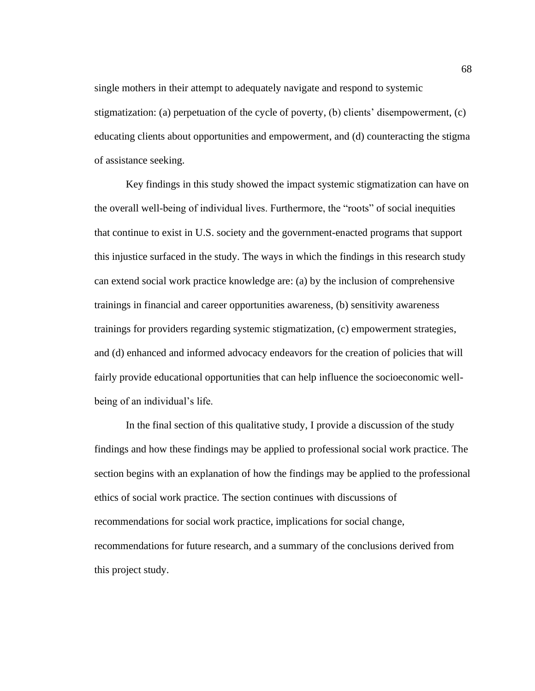single mothers in their attempt to adequately navigate and respond to systemic stigmatization: (a) perpetuation of the cycle of poverty, (b) clients' disempowerment, (c) educating clients about opportunities and empowerment, and (d) counteracting the stigma of assistance seeking.

Key findings in this study showed the impact systemic stigmatization can have on the overall well-being of individual lives. Furthermore, the "roots" of social inequities that continue to exist in U.S. society and the government-enacted programs that support this injustice surfaced in the study. The ways in which the findings in this research study can extend social work practice knowledge are: (a) by the inclusion of comprehensive trainings in financial and career opportunities awareness, (b) sensitivity awareness trainings for providers regarding systemic stigmatization, (c) empowerment strategies, and (d) enhanced and informed advocacy endeavors for the creation of policies that will fairly provide educational opportunities that can help influence the socioeconomic wellbeing of an individual's life.

In the final section of this qualitative study, I provide a discussion of the study findings and how these findings may be applied to professional social work practice. The section begins with an explanation of how the findings may be applied to the professional ethics of social work practice. The section continues with discussions of recommendations for social work practice, implications for social change, recommendations for future research, and a summary of the conclusions derived from this project study.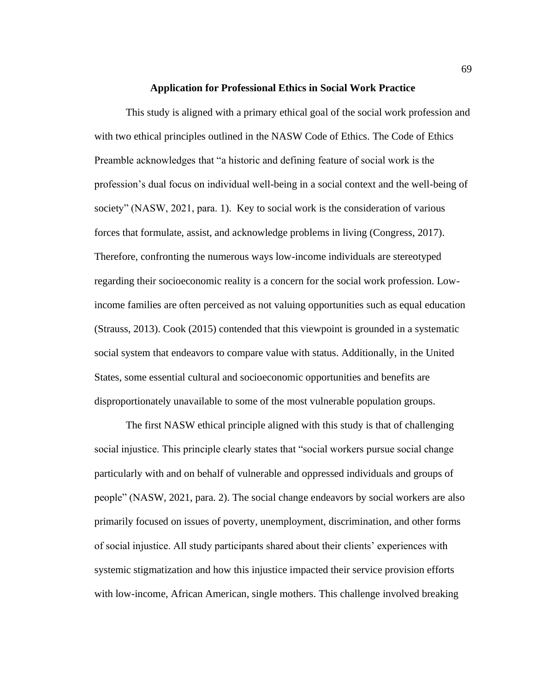#### **Application for Professional Ethics in Social Work Practice**

This study is aligned with a primary ethical goal of the social work profession and with two ethical principles outlined in the NASW Code of Ethics. The Code of Ethics Preamble acknowledges that "a historic and defining feature of social work is the profession's dual focus on individual well-being in a social context and the well-being of society" (NASW, 2021, para. 1). Key to social work is the consideration of various forces that formulate, assist, and acknowledge problems in living (Congress, 2017). Therefore, confronting the numerous ways low-income individuals are stereotyped regarding their socioeconomic reality is a concern for the social work profession. Lowincome families are often perceived as not valuing opportunities such as equal education (Strauss, 2013). Cook (2015) contended that this viewpoint is grounded in a systematic social system that endeavors to compare value with status. Additionally, in the United States, some essential cultural and socioeconomic opportunities and benefits are disproportionately unavailable to some of the most vulnerable population groups.

The first NASW ethical principle aligned with this study is that of challenging social injustice. This principle clearly states that "social workers pursue social change particularly with and on behalf of vulnerable and oppressed individuals and groups of people" (NASW, 2021, para. 2). The social change endeavors by social workers are also primarily focused on issues of poverty, unemployment, discrimination, and other forms of social injustice. All study participants shared about their clients' experiences with systemic stigmatization and how this injustice impacted their service provision efforts with low-income, African American, single mothers. This challenge involved breaking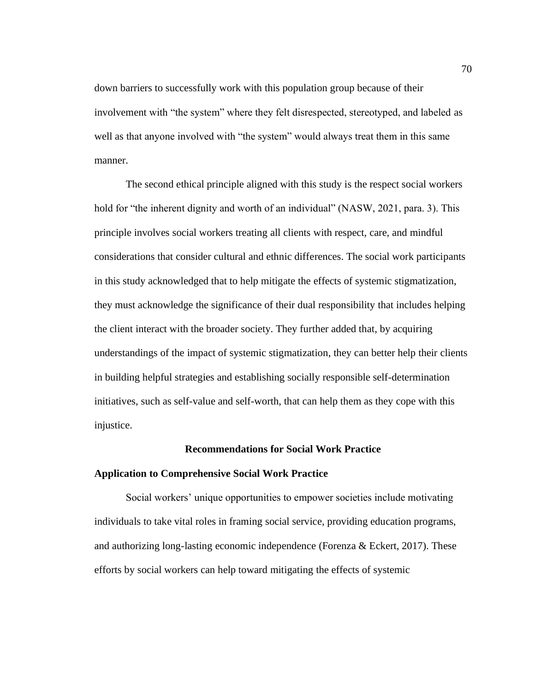down barriers to successfully work with this population group because of their involvement with "the system" where they felt disrespected, stereotyped, and labeled as well as that anyone involved with "the system" would always treat them in this same manner.

The second ethical principle aligned with this study is the respect social workers hold for "the inherent dignity and worth of an individual" (NASW, 2021, para. 3). This principle involves social workers treating all clients with respect, care, and mindful considerations that consider cultural and ethnic differences. The social work participants in this study acknowledged that to help mitigate the effects of systemic stigmatization, they must acknowledge the significance of their dual responsibility that includes helping the client interact with the broader society. They further added that, by acquiring understandings of the impact of systemic stigmatization, they can better help their clients in building helpful strategies and establishing socially responsible self-determination initiatives, such as self-value and self-worth, that can help them as they cope with this injustice.

#### **Recommendations for Social Work Practice**

## **Application to Comprehensive Social Work Practice**

Social workers' unique opportunities to empower societies include motivating individuals to take vital roles in framing social service, providing education programs, and authorizing long-lasting economic independence (Forenza & Eckert, 2017). These efforts by social workers can help toward mitigating the effects of systemic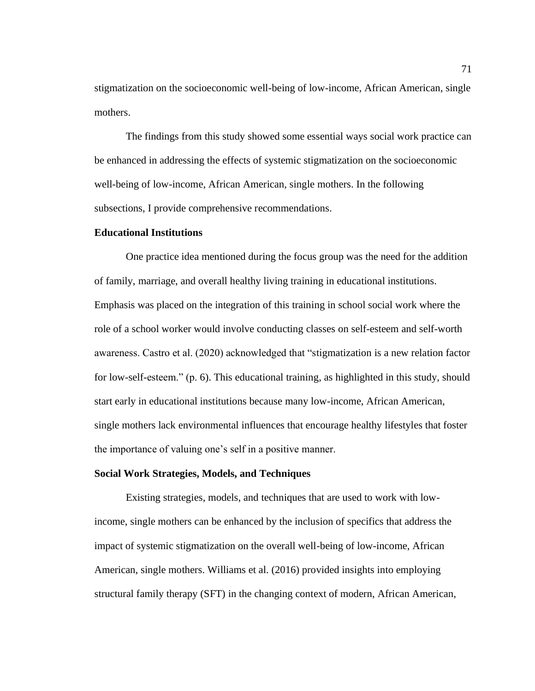stigmatization on the socioeconomic well-being of low-income, African American, single mothers.

The findings from this study showed some essential ways social work practice can be enhanced in addressing the effects of systemic stigmatization on the socioeconomic well-being of low-income, African American, single mothers. In the following subsections, I provide comprehensive recommendations.

# **Educational Institutions**

One practice idea mentioned during the focus group was the need for the addition of family, marriage, and overall healthy living training in educational institutions. Emphasis was placed on the integration of this training in school social work where the role of a school worker would involve conducting classes on self-esteem and self-worth awareness. Castro et al. (2020) acknowledged that "stigmatization is a new relation factor for low-self-esteem." (p. 6). This educational training, as highlighted in this study, should start early in educational institutions because many low-income, African American, single mothers lack environmental influences that encourage healthy lifestyles that foster the importance of valuing one's self in a positive manner.

## **Social Work Strategies, Models, and Techniques**

Existing strategies, models, and techniques that are used to work with lowincome, single mothers can be enhanced by the inclusion of specifics that address the impact of systemic stigmatization on the overall well-being of low-income, African American, single mothers. Williams et al. (2016) provided insights into employing structural family therapy (SFT) in the changing context of modern, African American,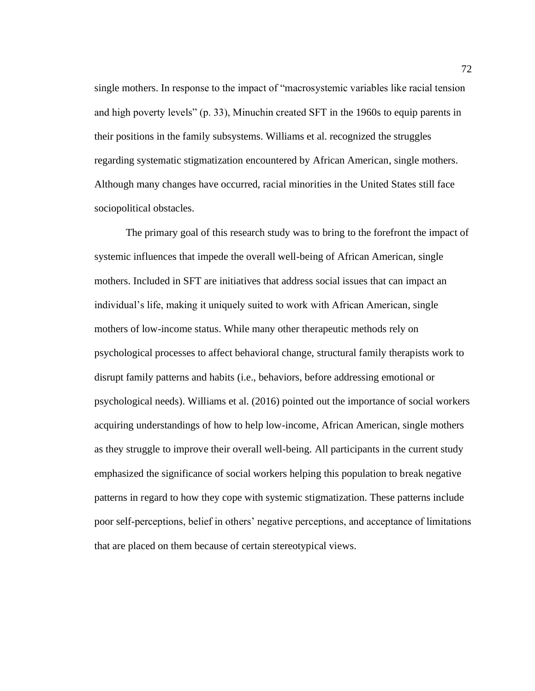single mothers. In response to the impact of "macrosystemic variables like racial tension and high poverty levels" (p. 33), Minuchin created SFT in the 1960s to equip parents in their positions in the family subsystems. Williams et al. recognized the struggles regarding systematic stigmatization encountered by African American, single mothers. Although many changes have occurred, racial minorities in the United States still face sociopolitical obstacles.

The primary goal of this research study was to bring to the forefront the impact of systemic influences that impede the overall well-being of African American, single mothers. Included in SFT are initiatives that address social issues that can impact an individual's life, making it uniquely suited to work with African American, single mothers of low-income status. While many other therapeutic methods rely on psychological processes to affect behavioral change, structural family therapists work to disrupt family patterns and habits (i.e., behaviors, before addressing emotional or psychological needs). Williams et al. (2016) pointed out the importance of social workers acquiring understandings of how to help low-income, African American, single mothers as they struggle to improve their overall well-being. All participants in the current study emphasized the significance of social workers helping this population to break negative patterns in regard to how they cope with systemic stigmatization. These patterns include poor self-perceptions, belief in others' negative perceptions, and acceptance of limitations that are placed on them because of certain stereotypical views.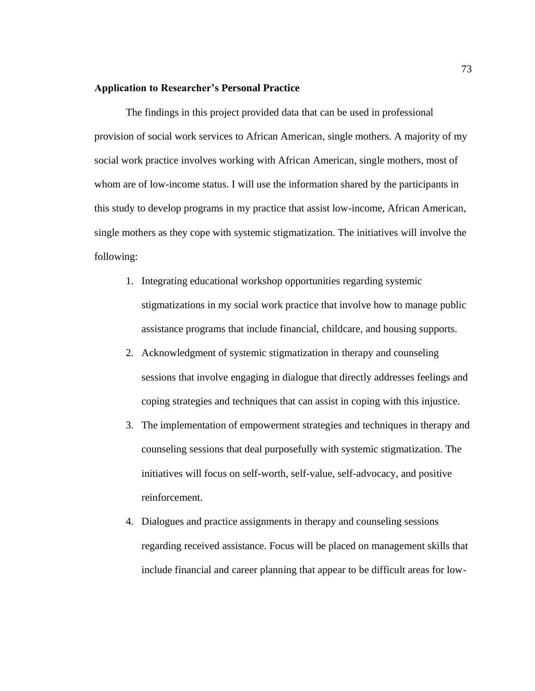# **Application to Researcher's Personal Practice**

The findings in this project provided data that can be used in professional provision of social work services to African American, single mothers. A majority of my social work practice involves working with African American, single mothers, most of whom are of low-income status. I will use the information shared by the participants in this study to develop programs in my practice that assist low-income, African American, single mothers as they cope with systemic stigmatization. The initiatives will involve the following:

- 1. Integrating educational workshop opportunities regarding systemic stigmatizations in my social work practice that involve how to manage public assistance programs that include financial, childcare, and housing supports.
- 2. Acknowledgment of systemic stigmatization in therapy and counseling sessions that involve engaging in dialogue that directly addresses feelings and coping strategies and techniques that can assist in coping with this injustice.
- 3. The implementation of empowerment strategies and techniques in therapy and counseling sessions that deal purposefully with systemic stigmatization. The initiatives will focus on self-worth, self-value, self-advocacy, and positive reinforcement.
- 4. Dialogues and practice assignments in therapy and counseling sessions regarding received assistance. Focus will be placed on management skills that include financial and career planning that appear to be difficult areas for low-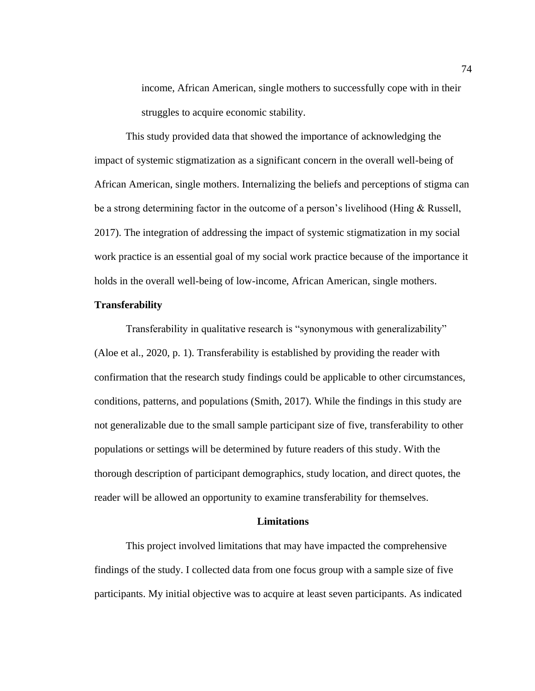income, African American, single mothers to successfully cope with in their struggles to acquire economic stability.

This study provided data that showed the importance of acknowledging the impact of systemic stigmatization as a significant concern in the overall well-being of African American, single mothers. Internalizing the beliefs and perceptions of stigma can be a strong determining factor in the outcome of a person's livelihood (Hing & Russell, 2017). The integration of addressing the impact of systemic stigmatization in my social work practice is an essential goal of my social work practice because of the importance it holds in the overall well-being of low-income, African American, single mothers.

# **Transferability**

Transferability in qualitative research is "synonymous with generalizability" (Aloe et al., 2020, p. 1). Transferability is established by providing the reader with confirmation that the research study findings could be applicable to other circumstances, conditions, patterns, and populations (Smith, 2017). While the findings in this study are not generalizable due to the small sample participant size of five, transferability to other populations or settings will be determined by future readers of this study. With the thorough description of participant demographics, study location, and direct quotes, the reader will be allowed an opportunity to examine transferability for themselves.

# **Limitations**

This project involved limitations that may have impacted the comprehensive findings of the study. I collected data from one focus group with a sample size of five participants. My initial objective was to acquire at least seven participants. As indicated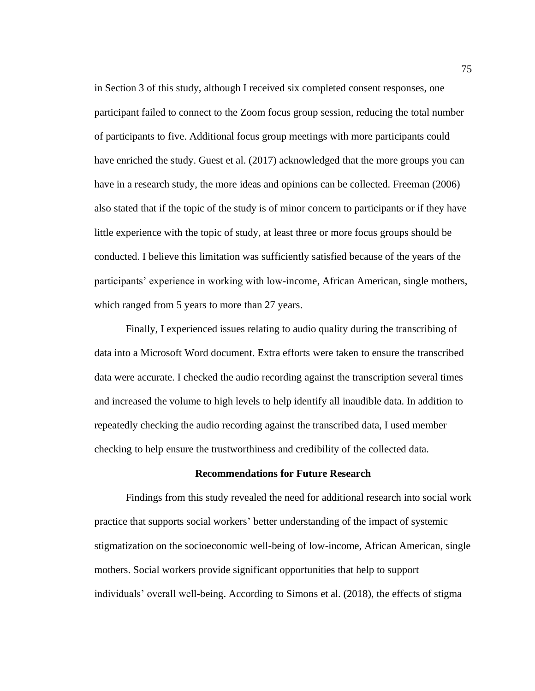in Section 3 of this study, although I received six completed consent responses, one participant failed to connect to the Zoom focus group session, reducing the total number of participants to five. Additional focus group meetings with more participants could have enriched the study. Guest et al. (2017) acknowledged that the more groups you can have in a research study, the more ideas and opinions can be collected. Freeman (2006) also stated that if the topic of the study is of minor concern to participants or if they have little experience with the topic of study, at least three or more focus groups should be conducted. I believe this limitation was sufficiently satisfied because of the years of the participants' experience in working with low-income, African American, single mothers, which ranged from 5 years to more than 27 years.

Finally, I experienced issues relating to audio quality during the transcribing of data into a Microsoft Word document. Extra efforts were taken to ensure the transcribed data were accurate. I checked the audio recording against the transcription several times and increased the volume to high levels to help identify all inaudible data. In addition to repeatedly checking the audio recording against the transcribed data, I used member checking to help ensure the trustworthiness and credibility of the collected data.

# **Recommendations for Future Research**

Findings from this study revealed the need for additional research into social work practice that supports social workers' better understanding of the impact of systemic stigmatization on the socioeconomic well-being of low-income, African American, single mothers. Social workers provide significant opportunities that help to support individuals' overall well-being. According to Simons et al. (2018), the effects of stigma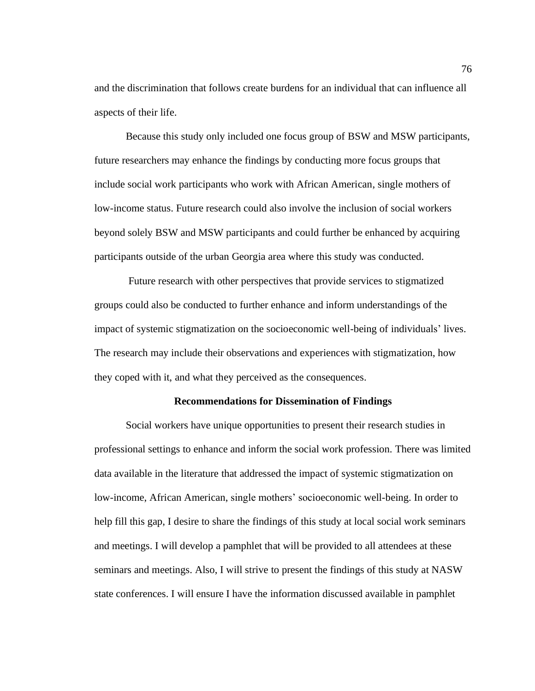and the discrimination that follows create burdens for an individual that can influence all aspects of their life.

Because this study only included one focus group of BSW and MSW participants, future researchers may enhance the findings by conducting more focus groups that include social work participants who work with African American, single mothers of low-income status. Future research could also involve the inclusion of social workers beyond solely BSW and MSW participants and could further be enhanced by acquiring participants outside of the urban Georgia area where this study was conducted.

Future research with other perspectives that provide services to stigmatized groups could also be conducted to further enhance and inform understandings of the impact of systemic stigmatization on the socioeconomic well-being of individuals' lives. The research may include their observations and experiences with stigmatization, how they coped with it, and what they perceived as the consequences.

#### **Recommendations for Dissemination of Findings**

Social workers have unique opportunities to present their research studies in professional settings to enhance and inform the social work profession. There was limited data available in the literature that addressed the impact of systemic stigmatization on low-income, African American, single mothers' socioeconomic well-being. In order to help fill this gap, I desire to share the findings of this study at local social work seminars and meetings. I will develop a pamphlet that will be provided to all attendees at these seminars and meetings. Also, I will strive to present the findings of this study at NASW state conferences. I will ensure I have the information discussed available in pamphlet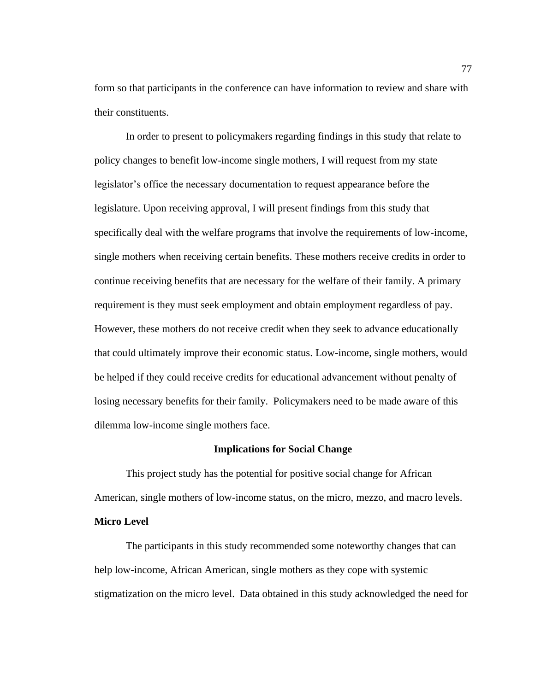form so that participants in the conference can have information to review and share with their constituents.

In order to present to policymakers regarding findings in this study that relate to policy changes to benefit low-income single mothers, I will request from my state legislator's office the necessary documentation to request appearance before the legislature. Upon receiving approval, I will present findings from this study that specifically deal with the welfare programs that involve the requirements of low-income, single mothers when receiving certain benefits. These mothers receive credits in order to continue receiving benefits that are necessary for the welfare of their family. A primary requirement is they must seek employment and obtain employment regardless of pay. However, these mothers do not receive credit when they seek to advance educationally that could ultimately improve their economic status. Low-income, single mothers, would be helped if they could receive credits for educational advancement without penalty of losing necessary benefits for their family. Policymakers need to be made aware of this dilemma low-income single mothers face.

#### **Implications for Social Change**

This project study has the potential for positive social change for African American, single mothers of low-income status, on the micro, mezzo, and macro levels. **Micro Level**

The participants in this study recommended some noteworthy changes that can help low-income, African American, single mothers as they cope with systemic stigmatization on the micro level. Data obtained in this study acknowledged the need for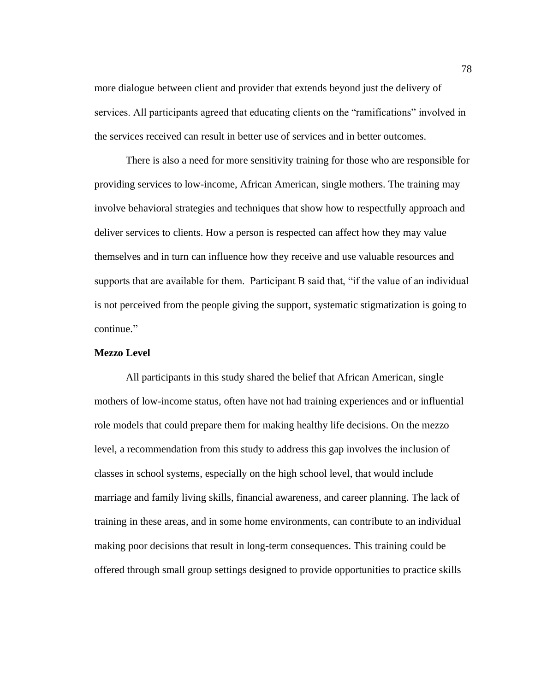more dialogue between client and provider that extends beyond just the delivery of services. All participants agreed that educating clients on the "ramifications" involved in the services received can result in better use of services and in better outcomes.

There is also a need for more sensitivity training for those who are responsible for providing services to low-income, African American, single mothers. The training may involve behavioral strategies and techniques that show how to respectfully approach and deliver services to clients. How a person is respected can affect how they may value themselves and in turn can influence how they receive and use valuable resources and supports that are available for them. Participant B said that, "if the value of an individual is not perceived from the people giving the support, systematic stigmatization is going to continue."

## **Mezzo Level**

All participants in this study shared the belief that African American, single mothers of low-income status, often have not had training experiences and or influential role models that could prepare them for making healthy life decisions. On the mezzo level, a recommendation from this study to address this gap involves the inclusion of classes in school systems, especially on the high school level, that would include marriage and family living skills, financial awareness, and career planning. The lack of training in these areas, and in some home environments, can contribute to an individual making poor decisions that result in long-term consequences. This training could be offered through small group settings designed to provide opportunities to practice skills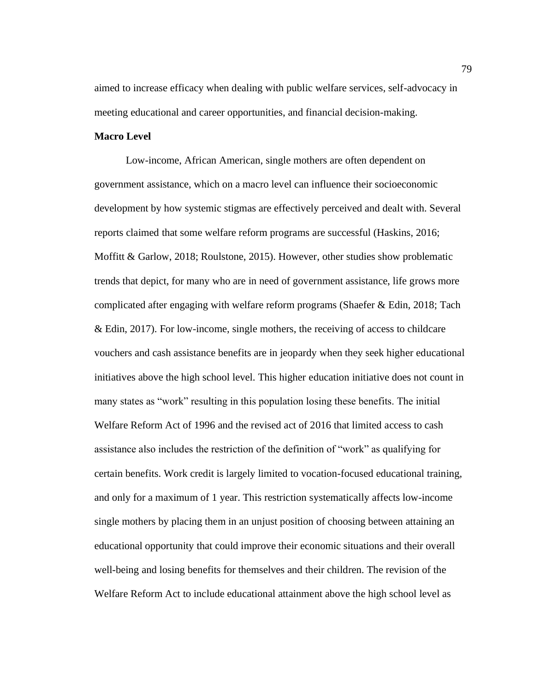aimed to increase efficacy when dealing with public welfare services, self-advocacy in meeting educational and career opportunities, and financial decision-making.

## **Macro Level**

Low-income, African American, single mothers are often dependent on government assistance, which on a macro level can influence their socioeconomic development by how systemic stigmas are effectively perceived and dealt with. Several reports claimed that some welfare reform programs are successful (Haskins, 2016; Moffitt & Garlow, 2018; Roulstone, 2015). However, other studies show problematic trends that depict, for many who are in need of government assistance, life grows more complicated after engaging with welfare reform programs (Shaefer & Edin, 2018; Tach & Edin, 2017). For low-income, single mothers, the receiving of access to childcare vouchers and cash assistance benefits are in jeopardy when they seek higher educational initiatives above the high school level. This higher education initiative does not count in many states as "work" resulting in this population losing these benefits. The initial Welfare Reform Act of 1996 and the revised act of 2016 that limited access to cash assistance also includes the restriction of the definition of "work" as qualifying for certain benefits. Work credit is largely limited to vocation-focused educational training, and only for a maximum of 1 year. This restriction systematically affects low-income single mothers by placing them in an unjust position of choosing between attaining an educational opportunity that could improve their economic situations and their overall well-being and losing benefits for themselves and their children. The revision of the Welfare Reform Act to include educational attainment above the high school level as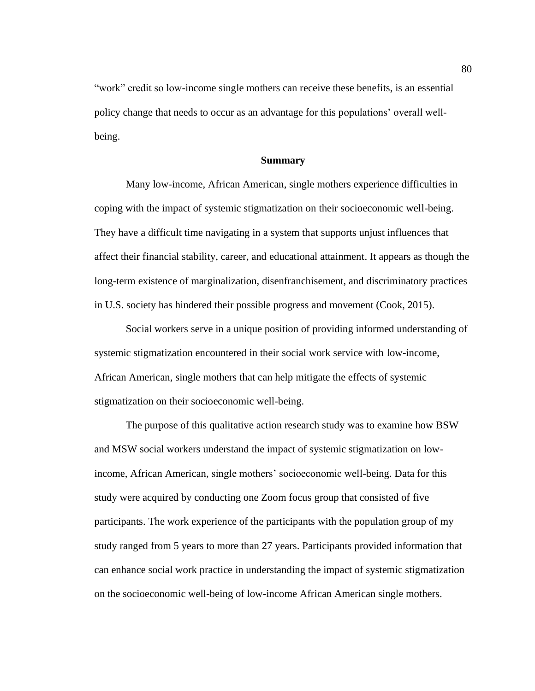"work" credit so low-income single mothers can receive these benefits, is an essential policy change that needs to occur as an advantage for this populations' overall wellbeing.

# **Summary**

Many low-income, African American, single mothers experience difficulties in coping with the impact of systemic stigmatization on their socioeconomic well-being. They have a difficult time navigating in a system that supports unjust influences that affect their financial stability, career, and educational attainment. It appears as though the long-term existence of marginalization, disenfranchisement, and discriminatory practices in U.S. society has hindered their possible progress and movement (Cook, 2015).

Social workers serve in a unique position of providing informed understanding of systemic stigmatization encountered in their social work service with low-income, African American, single mothers that can help mitigate the effects of systemic stigmatization on their socioeconomic well-being.

The purpose of this qualitative action research study was to examine how BSW and MSW social workers understand the impact of systemic stigmatization on lowincome, African American, single mothers' socioeconomic well-being. Data for this study were acquired by conducting one Zoom focus group that consisted of five participants. The work experience of the participants with the population group of my study ranged from 5 years to more than 27 years. Participants provided information that can enhance social work practice in understanding the impact of systemic stigmatization on the socioeconomic well-being of low-income African American single mothers.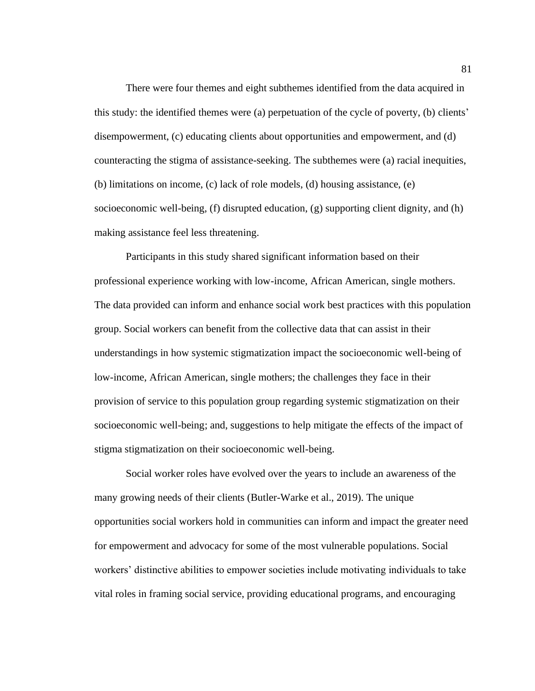There were four themes and eight subthemes identified from the data acquired in this study: the identified themes were (a) perpetuation of the cycle of poverty, (b) clients' disempowerment, (c) educating clients about opportunities and empowerment, and (d) counteracting the stigma of assistance-seeking. The subthemes were (a) racial inequities, (b) limitations on income, (c) lack of role models, (d) housing assistance, (e) socioeconomic well-being, (f) disrupted education, (g) supporting client dignity, and (h) making assistance feel less threatening.

Participants in this study shared significant information based on their professional experience working with low-income, African American, single mothers. The data provided can inform and enhance social work best practices with this population group. Social workers can benefit from the collective data that can assist in their understandings in how systemic stigmatization impact the socioeconomic well-being of low-income, African American, single mothers; the challenges they face in their provision of service to this population group regarding systemic stigmatization on their socioeconomic well-being; and, suggestions to help mitigate the effects of the impact of stigma stigmatization on their socioeconomic well-being.

Social worker roles have evolved over the years to include an awareness of the many growing needs of their clients (Butler-Warke et al., 2019). The unique opportunities social workers hold in communities can inform and impact the greater need for empowerment and advocacy for some of the most vulnerable populations. Social workers' distinctive abilities to empower societies include motivating individuals to take vital roles in framing social service, providing educational programs, and encouraging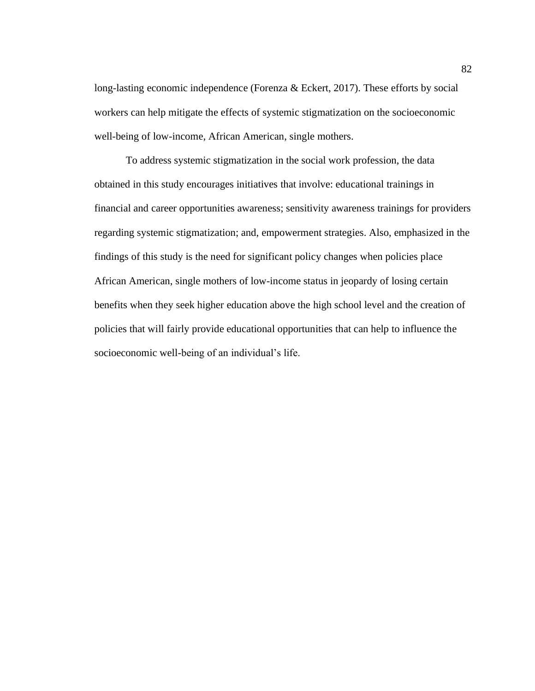long-lasting economic independence (Forenza & Eckert, 2017). These efforts by social workers can help mitigate the effects of systemic stigmatization on the socioeconomic well-being of low-income, African American, single mothers.

To address systemic stigmatization in the social work profession, the data obtained in this study encourages initiatives that involve: educational trainings in financial and career opportunities awareness; sensitivity awareness trainings for providers regarding systemic stigmatization; and, empowerment strategies. Also, emphasized in the findings of this study is the need for significant policy changes when policies place African American, single mothers of low-income status in jeopardy of losing certain benefits when they seek higher education above the high school level and the creation of policies that will fairly provide educational opportunities that can help to influence the socioeconomic well-being of an individual's life.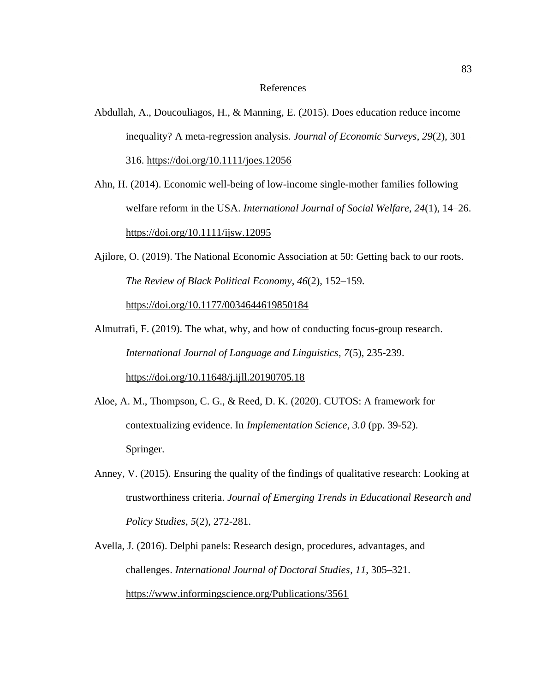## References

- Abdullah, A., Doucouliagos, H., & Manning, E. (2015). Does education reduce income inequality? A meta-regression analysis. *Journal of Economic Surveys*, *29*(2), 301– 316.<https://doi.org/10.1111/joes.12056>
- Ahn, H. (2014). Economic well-being of low-income single-mother families following welfare reform in the USA. *International Journal of Social Welfare*, *24*(1), 14–26. <https://doi.org/10.1111/ijsw.12095>
- Ajilore, O. (2019). The National Economic Association at 50: Getting back to our roots. *The Review of Black Political Economy*, *46*(2), 152–159. https://doi.org[/10.1177/0034644619850184](file:///C:/Users/Alfreda%20Williams/Downloads/10.1177/0034644619850184)
- Almutrafi, F. (2019). The what, why, and how of conducting focus-group research. *International Journal of Language and Linguistics*, *7*(5), 235-239. <https://doi.org/10.11648/j.ijll.20190705.18>
- Aloe, A. M., Thompson, C. G., & Reed, D. K. (2020). CUTOS: A framework for contextualizing evidence. In *Implementation Science, 3.0* (pp. 39-52). Springer.
- Anney, V. (2015). Ensuring the quality of the findings of qualitative research: Looking at trustworthiness criteria. *Journal of Emerging Trends in Educational Research and Policy Studies*, *5*(2), 272-281.
- Avella, J. (2016). Delphi panels: Research design, procedures, advantages, and challenges. *International Journal of Doctoral Studies*, *11*, 305–321. <https://www.informingscience.org/Publications/3561>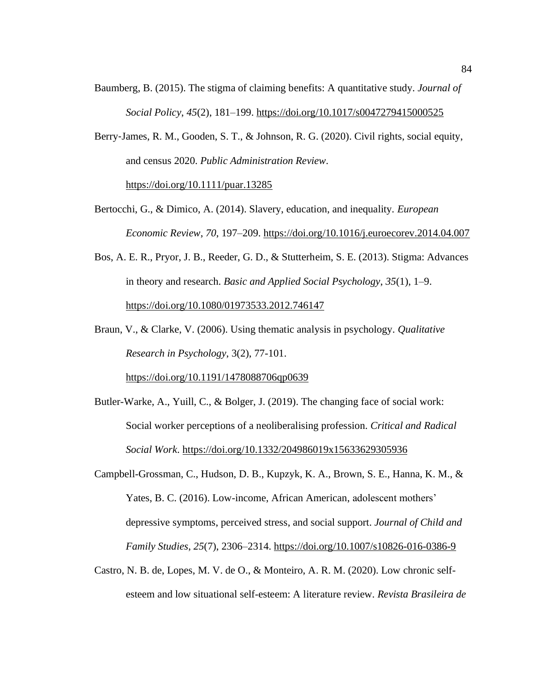- Baumberg, B. (2015). The stigma of claiming benefits: A quantitative study. *Journal of Social Policy*, *45*(2), 181–199.<https://doi.org/10.1017/s0047279415000525>
- Berry‐James, R. M., Gooden, S. T., & Johnson, R. G. (2020). Civil rights, social equity, and census 2020. *Public Administration Review*. <https://doi.org/10.1111/puar.13285>
- Bertocchi, G., & Dimico, A. (2014). Slavery, education, and inequality. *European Economic Review*, *70*, 197–209.<https://doi.org/10.1016/j.euroecorev.2014.04.007>
- Bos, A. E. R., Pryor, J. B., Reeder, G. D., & Stutterheim, S. E. (2013). Stigma: Advances in theory and research. *Basic and Applied Social Psychology*, *35*(1), 1–9. <https://doi.org/10.1080/01973533.2012.746147>
- Braun, V., & Clarke, V. (2006). Using thematic analysis in psychology. *Qualitative Research in Psychology*, 3(2), 77-101.

<https://doi.org/10.1191/1478088706qp0639>

- Butler-Warke, A., Yuill, C., & Bolger, J. (2019). The changing face of social work: Social worker perceptions of a neoliberalising profession. *Critical and Radical Social Work*. https://doi.org[/10.1332/204986019x15633629305936](file:///C:/Users/Alfreda%20Williams/Downloads/10.1332/204986019x15633629305936)
- Campbell-Grossman, C., Hudson, D. B., Kupzyk, K. A., Brown, S. E., Hanna, K. M., & Yates, B. C. (2016). Low-income, African American, adolescent mothers' depressive symptoms, perceived stress, and social support. *Journal of Child and Family Studies*, *25*(7), 2306–2314.<https://doi.org/10.1007/s10826-016-0386-9>
- Castro, N. B. de, Lopes, M. V. de O., & Monteiro, A. R. M. (2020). Low chronic selfesteem and low situational self-esteem: A literature review. *Revista Brasileira de*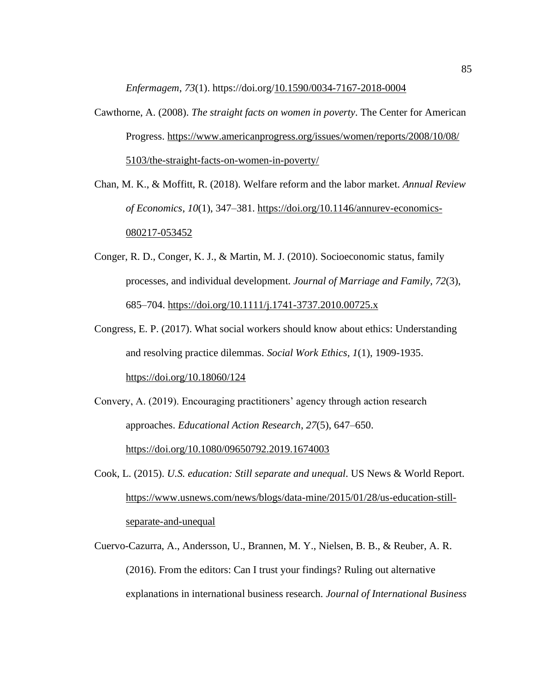*Enfermagem*, *73*(1). https://doi.org[/10.1590/0034-7167-2018-0004](file:///C:/Users/Alfreda%20Williams/Downloads/10.1590/0034-7167-2018-0004)

Cawthorne, A. (2008). *The straight facts on women in poverty*. The Center for American Progress. [https://www.americanprogress.org/issues/women/reports/2008/10/08/](https://www.americanprogress.org/issues/women/reports/2008/10/08/%205103/the-straight-facts-on-women-in-poverty/)  [5103/the-straight-facts-on-women-in-poverty/](https://www.americanprogress.org/issues/women/reports/2008/10/08/%205103/the-straight-facts-on-women-in-poverty/)

Chan, M. K., & Moffitt, R. (2018). Welfare reform and the labor market. *Annual Review of Economics*, *10*(1), 347–381. [https://doi.org/10.1146/annurev-economics-](https://doi.org/10.1146/annurev-economics-080217-053452)[080217-053452](https://doi.org/10.1146/annurev-economics-080217-053452)

- Conger, R. D., Conger, K. J., & Martin, M. J. (2010). Socioeconomic status, family processes, and individual development. *Journal of Marriage and Family*, *72*(3), 685–704.<https://doi.org/10.1111/j.1741-3737.2010.00725.x>
- Congress, E. P. (2017). What social workers should know about ethics: Understanding and resolving practice dilemmas. *Social Work Ethics, 1*(1), 1909-1935. <https://doi.org/10.18060/124>

Convery, A. (2019). Encouraging practitioners' agency through action research approaches. *Educational Action Research*, *27*(5), 647–650. <https://doi.org/10.1080/09650792.2019.1674003>

Cook, L. (2015). *U.S. education: Still separate and unequal*. US News & World Report. [https://www.usnews.com/news/blogs/data-mine/2015/01/28/us-education-still](https://www.usnews.com/news/blogs/data-mine/2015/01/28/us-education-still-separate-and-unequal)[separate-and-unequal](https://www.usnews.com/news/blogs/data-mine/2015/01/28/us-education-still-separate-and-unequal)

Cuervo-Cazurra, A., Andersson, U., Brannen, M. Y., Nielsen, B. B., & Reuber, A. R. (2016). From the editors: Can I trust your findings? Ruling out alternative explanations in international business research. *Journal of International Business*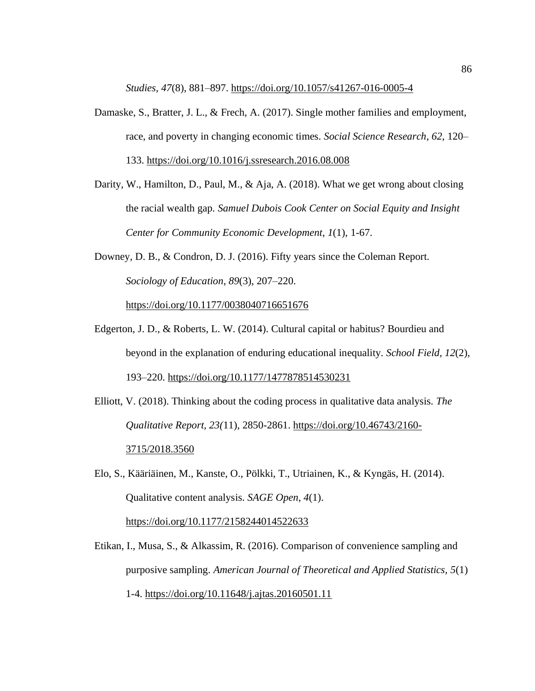*Studies*, *47*(8), 881–897.<https://doi.org/10.1057/s41267-016-0005-4>

- Damaske, S., Bratter, J. L., & Frech, A. (2017). Single mother families and employment, race, and poverty in changing economic times. *Social Science Research*, *62*, 120– 133.<https://doi.org/10.1016/j.ssresearch.2016.08.008>
- Darity, W., Hamilton, D., Paul, M., & Aja, A. (2018). What we get wrong about closing the racial wealth gap. *Samuel Dubois Cook Center on Social Equity and Insight Center for Community Economic Development*, *1*(1), 1-67.
- Downey, D. B., & Condron, D. J. (2016). Fifty years since the Coleman Report. *Sociology of Education*, *89*(3), 207–220.

<https://doi.org/10.1177/0038040716651676>

- Edgerton, J. D., & Roberts, L. W. (2014). Cultural capital or habitus? Bourdieu and beyond in the explanation of enduring educational inequality. *School Field*, *12*(2), 193–220.<https://doi.org/10.1177/1477878514530231>
- Elliott, V. (2018). Thinking about the coding process in qualitative data analysis. *The Qualitative Report, 23(*11), 2850-2861. [https://doi.org/10.46743/2160-](https://doi.org/10.46743/2160-3715/2018.3560) [3715/2018.3560](https://doi.org/10.46743/2160-3715/2018.3560)
- Elo, S., Kääriäinen, M., Kanste, O., Pölkki, T., Utriainen, K., & Kyngäs, H. (2014). Qualitative content analysis. *SAGE Open*, *4*(1). <https://doi.org/10.1177/2158244014522633>
- Etikan, I., Musa, S., & Alkassim, R. (2016). Comparison of convenience sampling and purposive sampling. *American Journal of Theoretical and Applied Statistics, 5*(1) 1-4. <https://doi.org/10.11648/j.ajtas.20160501.11>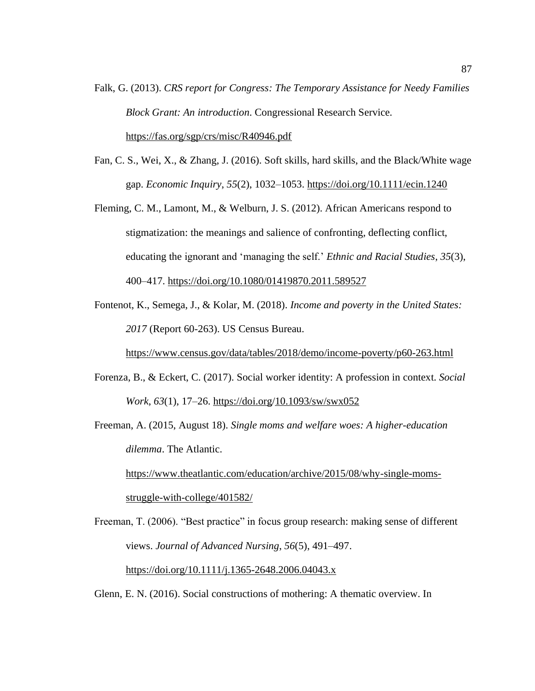- Falk, G. (2013). *CRS report for Congress: The Temporary Assistance for Needy Families Block Grant: An introduction*. Congressional Research Service. <https://fas.org/sgp/crs/misc/R40946.pdf>
- Fan, C. S., Wei, X., & Zhang, J. (2016). Soft skills, hard skills, and the Black/White wage gap. *Economic Inquiry*, *55*(2), 1032–1053.<https://doi.org/10.1111/ecin.1240>
- Fleming, C. M., Lamont, M., & Welburn, J. S. (2012). African Americans respond to stigmatization: the meanings and salience of confronting, deflecting conflict, educating the ignorant and 'managing the self.' *Ethnic and Racial Studies*, *35*(3), 400–417.<https://doi.org/10.1080/01419870.2011.589527>
- Fontenot, K., Semega, J., & Kolar, M. (2018). *Income and poverty in the United States: 2017* (Report 60-263). US Census Bureau.

<https://www.census.gov/data/tables/2018/demo/income-poverty/p60-263.html>

Forenza, B., & Eckert, C. (2017). Social worker identity: A profession in context. *Social Work*, *63*(1), 17–26. https://doi.org[/10.1093/sw/swx052](file:///C:/Users/Alfreda%20Williams/Downloads/10.1093/sw/swx052)

Freeman, A. (2015, August 18). *Single moms and welfare woes: A higher-education dilemma*. The Atlantic.

[https://www.theatlantic.com/education/archive/2015/08/why-single-moms](https://www.theatlantic.com/education/archive/2015/08/why-single-moms-struggle-with-college/401582/)[struggle-with-college/401582/](https://www.theatlantic.com/education/archive/2015/08/why-single-moms-struggle-with-college/401582/)

Freeman, T. (2006). "Best practice" in focus group research: making sense of different views. *Journal of Advanced Nursing*, *56*(5), 491–497. https://doi.org[/10.1111/j.1365-2648.2006.04043.x](file:///C:/Users/Alfreda%20Williams/Downloads/10.1111/j.1365-2648.2006.04043.x)

Glenn, E. N. (2016). Social constructions of mothering: A thematic overview. In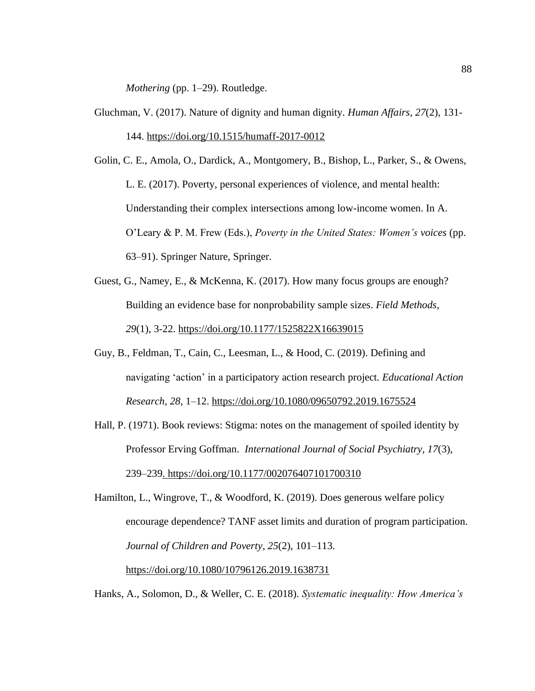*Mothering* (pp. 1–29). Routledge.

- Gluchman, V. (2017). Nature of dignity and human dignity. *Human Affairs*, *27*(2), 131- 144. https://doi.org/10.1515/humaff-2017-0012
- Golin, C. E., Amola, O., Dardick, A., Montgomery, B., Bishop, L., Parker, S., & Owens, L. E. (2017). Poverty, personal experiences of violence, and mental health: Understanding their complex intersections among low-income women. In A. O'Leary & P. M. Frew (Eds.), *Poverty in the United States: Women's voices* (pp. 63–91). Springer Nature, Springer.
- Guest, G., Namey, E., & McKenna, K. (2017). How many focus groups are enough? Building an evidence base for nonprobability sample sizes. *Field Methods, 29*(1), 3-22. https://doi.org/10.1177/1525822X16639015
- Guy, B., Feldman, T., Cain, C., Leesman, L., & Hood, C. (2019). Defining and navigating 'action' in a participatory action research project. *Educational Action Research*, *28*, 1–12.<https://doi.org/10.1080/09650792.2019.1675524>
- Hall, P. (1971). Book reviews: Stigma: notes on the management of spoiled identity by Professor Erving Goffman. *International Journal of Social Psychiatry*, *17*(3), 239–239. https://doi.org/10.1177/002076407101700310

Hamilton, L., Wingrove, T., & Woodford, K. (2019). Does generous welfare policy encourage dependence? TANF asset limits and duration of program participation. *Journal of Children and Poverty*, *25*(2), 101–113. https://doi.org/10.1080/10796126.2019.1638731

Hanks, A., Solomon, D., & Weller, C. E. (2018). *Systematic inequality: How America's*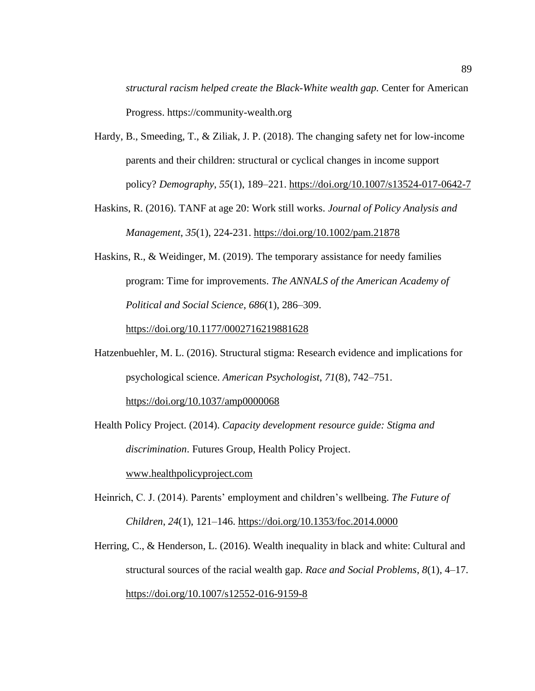*structural racism helped create the Black-White wealth gap.* Center for American Progress. https://community-wealth.org

- Hardy, B., Smeeding, T., & Ziliak, J. P. (2018). The changing safety net for low-income parents and their children: structural or cyclical changes in income support policy? *Demography*, *55*(1), 189–221.<https://doi.org/10.1007/s13524-017-0642-7>
- Haskins, R. (2016). TANF at age 20: Work still works. *Journal of Policy Analysis and Management*, *35*(1), 224-231. <https://doi.org/10.1002/pam.21878>
- Haskins, R., & Weidinger, M. (2019). The temporary assistance for needy families program: Time for improvements. *The ANNALS of the American Academy of Political and Social Science*, *686*(1), 286–309.

<https://doi.org/10.1177/0002716219881628>

- Hatzenbuehler, M. L. (2016). Structural stigma: Research evidence and implications for psychological science. *American Psychologist*, *71*(8), 742–751. <https://doi.org/10.1037/amp0000068>
- Health Policy Project. (2014). *Capacity development resource guide: Stigma and discrimination*. Futures Group, Health Policy Project.

www.healthpolicyproject.com

- Heinrich, C. J. (2014). Parents' employment and children's wellbeing. *The Future of Children*, *24*(1), 121–146.<https://doi.org/10.1353/foc.2014.0000>
- Herring, C., & Henderson, L. (2016). Wealth inequality in black and white: Cultural and structural sources of the racial wealth gap. *Race and Social Problems*, *8*(1), 4–17. <https://doi.org/10.1007/s12552-016-9159-8>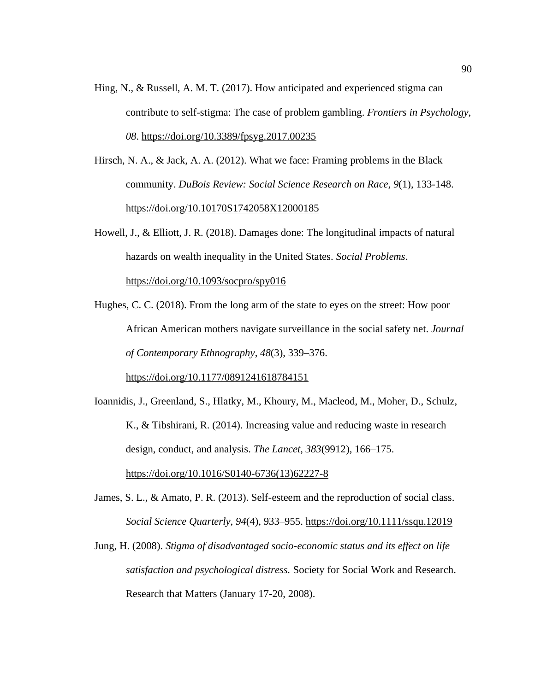- Hing, N., & Russell, A. M. T. (2017). How anticipated and experienced stigma can contribute to self-stigma: The case of problem gambling. *Frontiers in Psychology*, *08*. https://doi.org[/10.3389/fpsyg.2017.00235](file:///C:/Users/Alfreda%20Williams/Downloads/10.3389/fpsyg.2017.00235)
- Hirsch, N. A., & Jack, A. A. (2012). What we face: Framing problems in the Black community. *DuBois Review: Social Science Research on Race, 9*(1), 133-148. https://doi.org/10.10170S1742058X12000185
- Howell, J., & Elliott, J. R. (2018). Damages done: The longitudinal impacts of natural hazards on wealth inequality in the United States. *Social Problems*.

https://doi.org/10.1093/socpro/spy016

Hughes, C. C. (2018). From the long arm of the state to eyes on the street: How poor African American mothers navigate surveillance in the social safety net. *Journal of Contemporary Ethnography*, *48*(3), 339–376.

https://doi.org/10.1177/0891241618784151

Ioannidis, J., Greenland, S., Hlatky, M., Khoury, M., Macleod, M., Moher, D., Schulz, K., & Tibshirani, R. (2014). Increasing value and reducing waste in research design, conduct, and analysis. *The Lancet*, *383*(9912), 166–175. https://doi.org/10.1016/S0140-6736(13)62227-8

- James, S. L., & Amato, P. R. (2013). Self-esteem and the reproduction of social class. *Social Science Quarterly*, *94*(4), 933–955.<https://doi.org/10.1111/ssqu.12019>
- Jung, H. (2008). *Stigma of disadvantaged socio-economic status and its effect on life satisfaction and psychological distress.* Society for Social Work and Research. Research that Matters (January 17-20, 2008).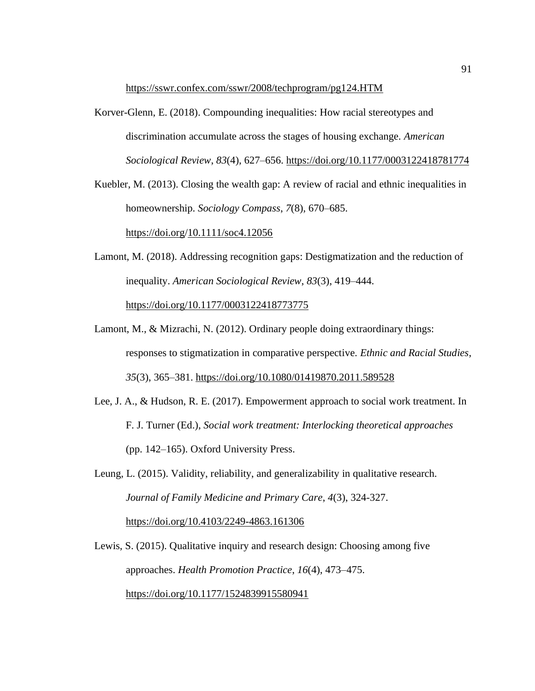<https://sswr.confex.com/sswr/2008/techprogram/pg124.HTM>

Korver-Glenn, E. (2018). Compounding inequalities: How racial stereotypes and discrimination accumulate across the stages of housing exchange. *American Sociological Review*, *83*(4), 627–656.<https://doi.org/10.1177/0003122418781774>

Kuebler, M. (2013). Closing the wealth gap: A review of racial and ethnic inequalities in homeownership. *Sociology Compass*, *7*(8), 670–685. https://doi.org[/10.1111/soc4.12056](file:///C:/Users/Alfreda%20Williams/Downloads/10.1111/soc4.12056)

- Lamont, M. (2018). Addressing recognition gaps: Destigmatization and the reduction of inequality. *American Sociological Review*, *83*(3), 419–444. <https://doi.org/10.1177/0003122418773775>
- Lamont, M., & Mizrachi, N. (2012). Ordinary people doing extraordinary things: responses to stigmatization in comparative perspective. *Ethnic and Racial Studies*, *35*(3), 365–381. https://doi.org[/10.1080/01419870.2011.589528](file:///C:/Users/Alfreda%20Williams/Downloads/10.1080/01419870.2011.589528)
- Lee, J. A., & Hudson, R. E. (2017). Empowerment approach to social work treatment. In F. J. Turner (Ed.), *Social work treatment: Interlocking theoretical approaches* (pp. 142–165). Oxford University Press.
- Leung, L. (2015). Validity, reliability, and generalizability in qualitative research. *Journal of Family Medicine and Primary Care*, *4*(3), 324-327. https://doi.org/10.4103/2249-4863.161306

Lewis, S. (2015). Qualitative inquiry and research design: Choosing among five approaches. *Health Promotion Practice*, *16*(4), 473–475. <https://doi.org/10.1177/1524839915580941>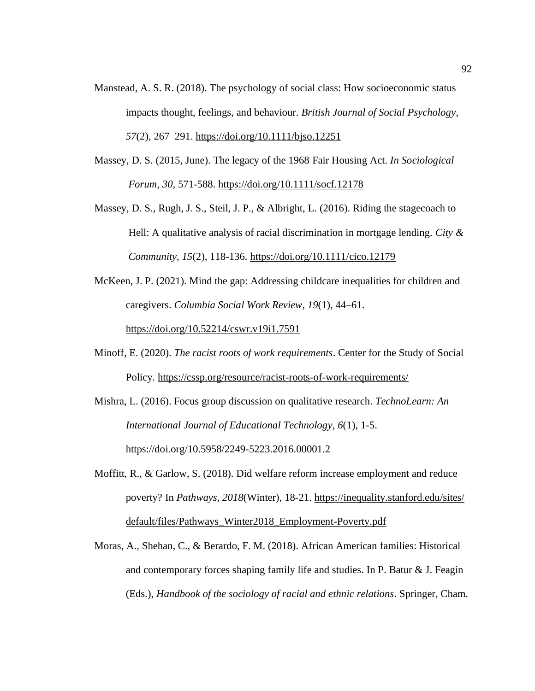- Manstead, A. S. R. (2018). The psychology of social class: How socioeconomic status impacts thought, feelings, and behaviour. *British Journal of Social Psychology*, *57*(2), 267–291.<https://doi.org/10.1111/bjso.12251>
- Massey, D. S. (2015, June). The legacy of the 1968 Fair Housing Act. *In Sociological Forum, 30,* 571-588. https://doi.org/10.1111/socf.12178
- Massey, D. S., Rugh, J. S., Steil, J. P., & Albright, L. (2016). Riding the stagecoach to Hell: A qualitative analysis of racial discrimination in mortgage lending. *City & Community, 15*(2), 118-136.<https://doi.org/10.1111/cico.12179>
- McKeen, J. P. (2021). Mind the gap: Addressing childcare inequalities for children and caregivers. *Columbia Social Work Review*, *19*(1), 44–61.

https://doi.org[/10.52214/cswr.v19i1.7591](file:///C:/Users/Alfreda%20Williams/Downloads/10.52214/cswr.v19i1.7591)

Minoff, E. (2020). *The racist roots of work requirements*. Center for the Study of Social Policy. https://cssp.org/resource/racist-roots-of-work-requirements/

Mishra, L. (2016). Focus group discussion on qualitative research. *TechnoLearn: An International Journal of Educational Technology*, *6*(1), 1-5. <https://doi.org/10.5958/2249-5223.2016.00001.2>

- Moffitt, R., & Garlow, S. (2018). Did welfare reform increase employment and reduce poverty? In *Pathways, 2018*(Winter), 18-21. https://inequality.stanford.edu/sites/ default/files/Pathways\_Winter2018\_Employment-Poverty.pdf
- Moras, A., Shehan, C., & Berardo, F. M. (2018). African American families: Historical and contemporary forces shaping family life and studies. In P. Batur & J. Feagin (Eds.), *Handbook of the sociology of racial and ethnic relations*. Springer, Cham.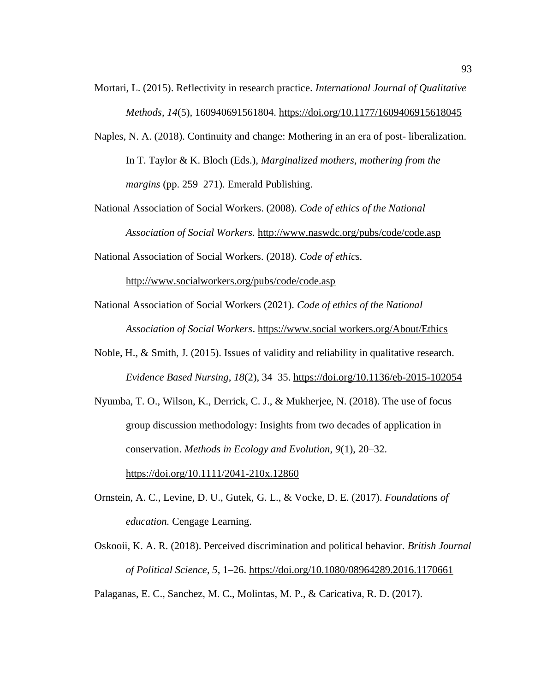- Mortari, L. (2015). Reflectivity in research practice. *International Journal of Qualitative Methods*, *14*(5), 160940691561804. https://doi.org/10.1177/1609406915618045
- Naples, N. A. (2018). Continuity and change: Mothering in an era of post- liberalization. In T. Taylor & K. Bloch (Eds.), *Marginalized mothers, mothering from the margins* (pp. 259–271). Emerald Publishing.
- National Association of Social Workers. (2008). *Code of ethics of the National Association of Social Workers.* <http://www.naswdc.org/pubs/code/code.asp>
- National Association of Social Workers. (2018). *Code of ethics.*

<http://www.socialworkers.org/pubs/code/code.asp>

- National Association of Social Workers (2021). *Code of ethics of the National Association of Social Workers*. [https://www.](https://www/)social workers.org/About/Ethics
- Noble, H., & Smith, J. (2015). Issues of validity and reliability in qualitative research. *Evidence Based Nursing*, *18*(2), 34–35.<https://doi.org/10.1136/eb-2015-102054>
- Nyumba, T. O., Wilson, K., Derrick, C. J., & Mukherjee, N. (2018). The use of focus group discussion methodology: Insights from two decades of application in conservation. *Methods in Ecology and Evolution*, *9*(1), 20–32.

<https://doi.org/10.1111/2041-210x.12860>

- Ornstein, A. C., Levine, D. U., Gutek, G. L., & Vocke, D. E. (2017). *Foundations of education.* Cengage Learning.
- Oskooii, K. A. R. (2018). Perceived discrimination and political behavior. *British Journal of Political Science*, *5*, 1–26. <https://doi.org/10.1080/08964289.2016.1170661>

Palaganas, E. C., Sanchez, M. C., Molintas, M. P., & Caricativa, R. D. (2017).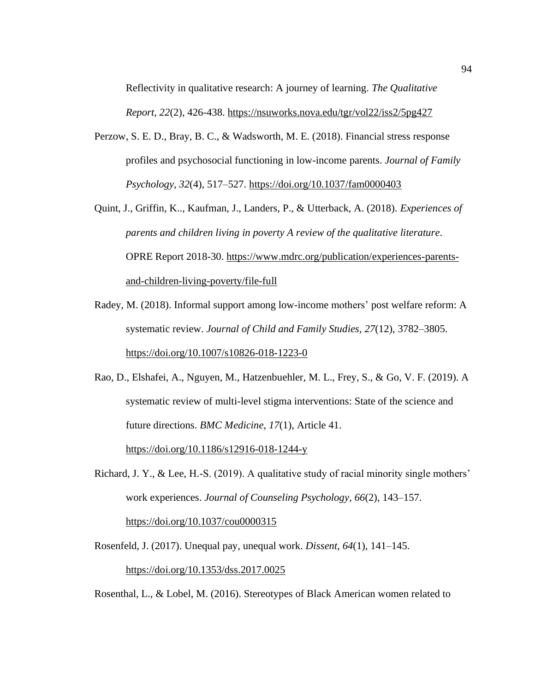Reflectivity in qualitative research: A journey of learning. *The Qualitative Report, 22*(2), 426-438. https://nsuworks.nova.edu/tgr/vol22/iss2/5pg427

- Perzow, S. E. D., Bray, B. C., & Wadsworth, M. E. (2018). Financial stress response profiles and psychosocial functioning in low-income parents. *Journal of Family Psychology*, *32*(4), 517–527.<https://doi.org/10.1037/fam0000403>
- Quint, J., Griffin, K.., Kaufman, J., Landers, P., & Utterback, A. (2018). *Experiences of parents and children living in poverty A review of the qualitative literature*. OPRE Report 2018-30. https://www.mdrc.org/publication/experiences-parentsand-children-living-poverty/file-full
- Radey, M. (2018). Informal support among low-income mothers' post welfare reform: A systematic review. *Journal of Child and Family Studies*, *27*(12), 3782–3805. https://doi.org/10.1007/s10826-018-1223-0
- Rao, D., Elshafei, A., Nguyen, M., Hatzenbuehler, M. L., Frey, S., & Go, V. F. (2019). A systematic review of multi-level stigma interventions: State of the science and future directions. *BMC Medicine*, *17*(1), Article 41.

https://doi.org/10.1186/s12916-018-1244-y

- Richard, J. Y., & Lee, H.-S. (2019). A qualitative study of racial minority single mothers' work experiences. *Journal of Counseling Psychology*, *66*(2), 143–157. <https://doi.org/10.1037/cou0000315>
- Rosenfeld, J. (2017). Unequal pay, unequal work. *Dissent*, *64*(1), 141–145. https://doi.org/10.1353/dss.2017.0025

Rosenthal, L., & Lobel, M. (2016). Stereotypes of Black American women related to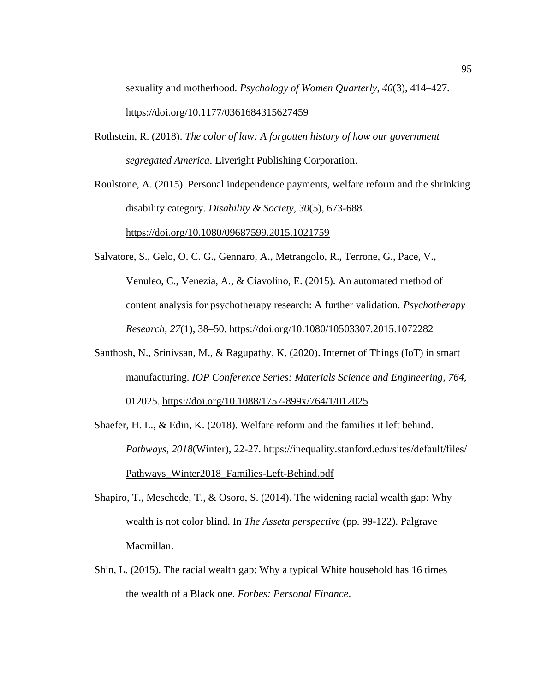sexuality and motherhood. *Psychology of Women Quarterly*, *40*(3), 414–427. <https://doi.org/10.1177/0361684315627459>

Rothstein, R. (2018). *The color of law: A forgotten history of how our government segregated America*. Liveright Publishing Corporation.

Roulstone, A. (2015). Personal independence payments, welfare reform and the shrinking disability category. *Disability & Society*, *30*(5), 673-688. https://doi.org/10.1080/09687599.2015.1021759

- Salvatore, S., Gelo, O. C. G., Gennaro, A., Metrangolo, R., Terrone, G., Pace, V., Venuleo, C., Venezia, A., & Ciavolino, E. (2015). An automated method of content analysis for psychotherapy research: A further validation. *Psychotherapy Research*, *27*(1), 38–50.<https://doi.org/10.1080/10503307.2015.1072282>
- Santhosh, N., Srinivsan, M., & Ragupathy, K. (2020). Internet of Things (IoT) in smart manufacturing. *IOP Conference Series: Materials Science and Engineering*, *764*, 012025. https://doi.org[/10.1088/1757-899x/764/1/012025](file:///C:/Users/Alfreda%20Williams/Downloads/10.1088/1757-899x/764/1/012025)
- Shaefer, H. L., & Edin, K. (2018). Welfare reform and the families it left behind. *Pathways*, *2018*(Winter), 22-27. https://inequality.stanford.edu/sites/default/files/ Pathways\_Winter2018\_Families-Left-Behind.pdf
- Shapiro, T., Meschede, T., & Osoro, S. (2014). The widening racial wealth gap: Why wealth is not color blind. In *The Asseta perspective* (pp. 99-122). Palgrave Macmillan.
- Shin, L. (2015). The racial wealth gap: Why a typical White household has 16 times the wealth of a Black one. *Forbes: Personal Finance.*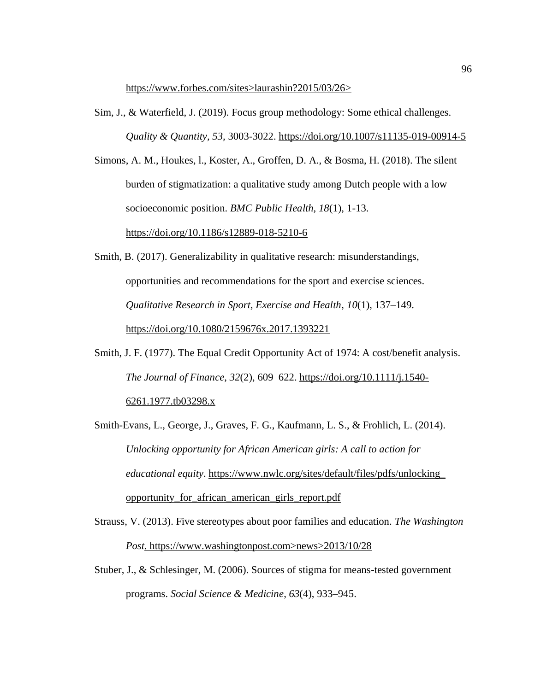https://www.forbes.com/sites>laurashin?2015/03/26>

Sim, J., & Waterfield, J. (2019). Focus group methodology: Some ethical challenges. *Quality & Quantity, 53,* 3003-3022.<https://doi.org/10.1007/s11135-019-00914-5>

Simons, A. M., Houkes, l., Koster, A., Groffen, D. A., & Bosma, H. (2018). The silent burden of stigmatization: a qualitative study among Dutch people with a low socioeconomic position. *BMC Public Health, 18*(1), 1-13.

https://doi.org/10.1186/s12889-018-5210-6

- Smith, B. (2017). Generalizability in qualitative research: misunderstandings, opportunities and recommendations for the sport and exercise sciences. *Qualitative Research in Sport, Exercise and Health*, *10*(1), 137–149. https://doi.org[/10.1080/2159676x.2017.1393221](file:///C:/Users/Alfreda%20Williams/Downloads/10.1080/2159676x.2017.1393221)
- Smith, J. F. (1977). The Equal Credit Opportunity Act of 1974: A cost/benefit analysis. *The Journal of Finance*, *32*(2), 609–622. https://doi.org/10.1111/j.1540- 6261.1977.tb03298.x
- Smith-Evans, L., George, J., Graves, F. G., Kaufmann, L. S., & Frohlich, L. (2014). *Unlocking opportunity for African American girls: A call to action for educational equity*. https://www.nwlc.org/sites/default/files/pdfs/unlocking\_ opportunity\_for\_african\_american\_girls\_report.pdf
- Strauss, V. (2013). Five stereotypes about poor families and education. *The Washington Post.* https://www.washingtonpost.com>news>2013/10/28
- Stuber, J., & Schlesinger, M. (2006). Sources of stigma for means-tested government programs. *Social Science & Medicine*, *63*(4), 933–945.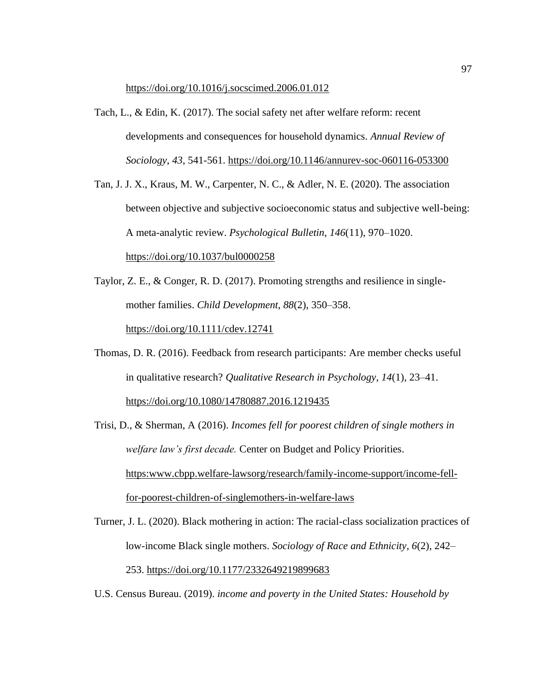https://doi.org[/10.1016/j.socscimed.2006.01.012](file:///C:/Users/Alfreda%20Williams/Downloads/10.1016/j.socscimed.2006.01.012)

- Tach, L., & Edin, K. (2017). The social safety net after welfare reform: recent developments and consequences for household dynamics. *Annual Review of Sociology*, *43*, 541-561. https://doi.org/10.1146/annurev-soc-060116-053300
- Tan, J. J. X., Kraus, M. W., Carpenter, N. C., & Adler, N. E. (2020). The association between objective and subjective socioeconomic status and subjective well-being: A meta-analytic review. *Psychological Bulletin*, *146*(11), 970–1020. <https://doi.org/10.1037/bul0000258>
- Taylor, Z. E., & Conger, R. D. (2017). Promoting strengths and resilience in singlemother families. *Child Development*, *88*(2), 350–358. https://doi.org/10.1111/cdev.12741
- Thomas, D. R. (2016). Feedback from research participants: Are member checks useful in qualitative research? *Qualitative Research in Psychology*, *14*(1), 23–41. https://doi.org/10.1080/14780887.2016.1219435
- Trisi, D., & Sherman, A (2016). *Incomes fell for poorest children of single mothers in welfare law's first decade.* Center on Budget and Policy Priorities. https:www.cbpp.welfare-lawsorg/research/family-income-support/income-fellfor-poorest-children-of-singlemothers-in-welfare-laws
- Turner, J. L. (2020). Black mothering in action: The racial-class socialization practices of low-income Black single mothers. *Sociology of Race and Ethnicity*, *6*(2), 242– 253. https://doi.org/10.1177/2332649219899683
- U.S. Census Bureau. (2019). *income and poverty in the United States: Household by*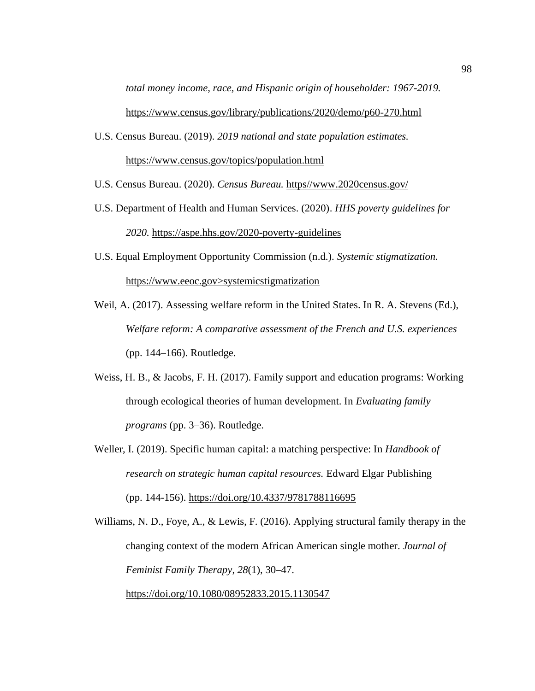*total money income, race, and Hispanic origin of householder: 1967-2019.*  https://www.census.gov/library/publications/2020/demo/p60-270.html

- U.S. Census Bureau. (2019). *2019 national and state population estimates.*  <https://www.census.gov/topics/population.html>
- U.S. Census Bureau. (2020). *Census Bureau.* https//www.2020census.gov/
- U.S. Department of Health and Human Services. (2020). *HHS poverty guidelines for 2020.* https://aspe.hhs.gov/2020-poverty-guidelines
- U.S. Equal Employment Opportunity Commission (n.d.). *Systemic stigmatization.* https://www.eeoc.gov>systemicstigmatization
- Weil, A. (2017). Assessing welfare reform in the United States. In R. A. Stevens (Ed.), *Welfare reform: A comparative assessment of the French and U.S. experiences* (pp. 144–166). Routledge.
- Weiss, H. B., & Jacobs, F. H. (2017). Family support and education programs: Working through ecological theories of human development. In *Evaluating family programs* (pp. 3–36). Routledge.
- Weller, I. (2019). Specific human capital: a matching perspective: In *Handbook of research on strategic human capital resources.* Edward Elgar Publishing (pp. 144-156). https://doi.org/10.4337/9781788116695

Williams, N. D., Foye, A., & Lewis, F. (2016). Applying structural family therapy in the changing context of the modern African American single mother. *Journal of Feminist Family Therapy*, *28*(1), 30–47.

https://doi.org/10.1080/08952833.2015.1130547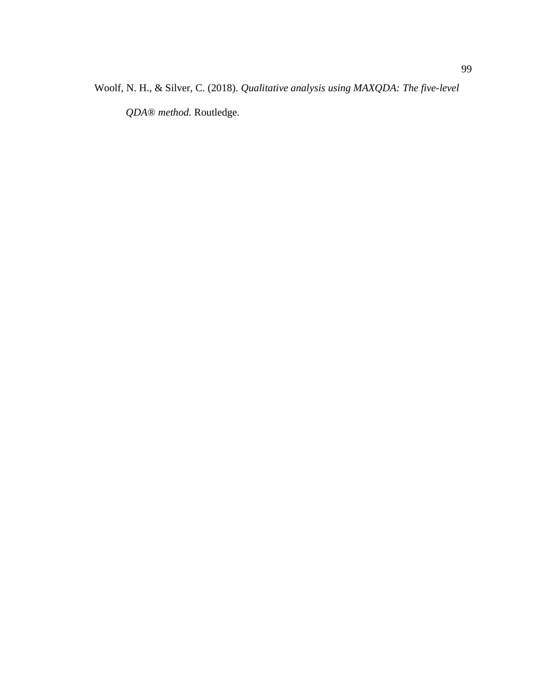Woolf, N. H., & Silver, C. (2018). *Qualitative analysis using MAXQDA: The five-level* 

*QDA® method.* Routledge.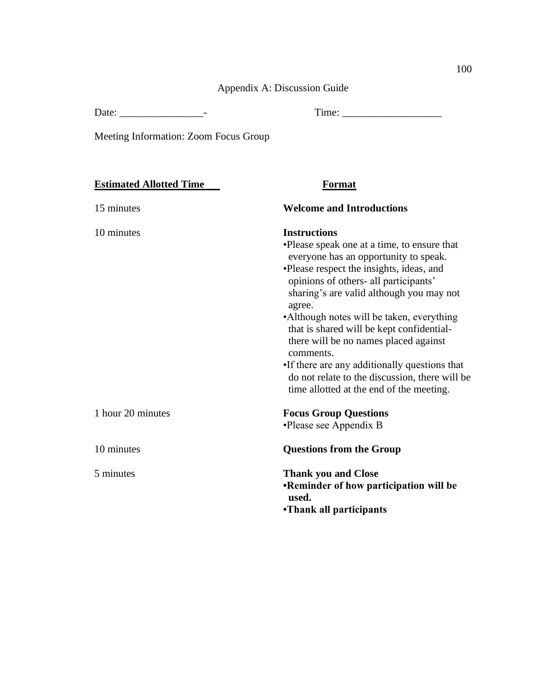Appendix A: Discussion Guide

Date: \_\_\_\_\_\_\_\_\_\_\_\_\_\_\_\_- Time: \_\_\_\_\_\_\_\_\_\_\_\_\_\_\_\_\_\_\_

Meeting Information: Zoom Focus Group

# **Estimated Allotted Time Format**

| 15 minutes        | <b>Welcome and Introductions</b>                                                                                                                       |
|-------------------|--------------------------------------------------------------------------------------------------------------------------------------------------------|
| 10 minutes        | <b>Instructions</b>                                                                                                                                    |
|                   | •Please speak one at a time, to ensure that<br>everyone has an opportunity to speak.                                                                   |
|                   | •Please respect the insights, ideas, and<br>opinions of others- all participants'<br>sharing's are valid although you may not                          |
|                   | agree.<br>•Although notes will be taken, everything<br>that is shared will be kept confidential-<br>there will be no names placed against<br>comments. |
|                   | •If there are any additionally questions that<br>do not relate to the discussion, there will be<br>time allotted at the end of the meeting.            |
| 1 hour 20 minutes | <b>Focus Group Questions</b><br>•Please see Appendix B                                                                                                 |
| 10 minutes        | <b>Questions from the Group</b>                                                                                                                        |
| 5 minutes         | <b>Thank you and Close</b><br><b>•Reminder of how participation will be</b><br>used.<br>•Thank all participants                                        |